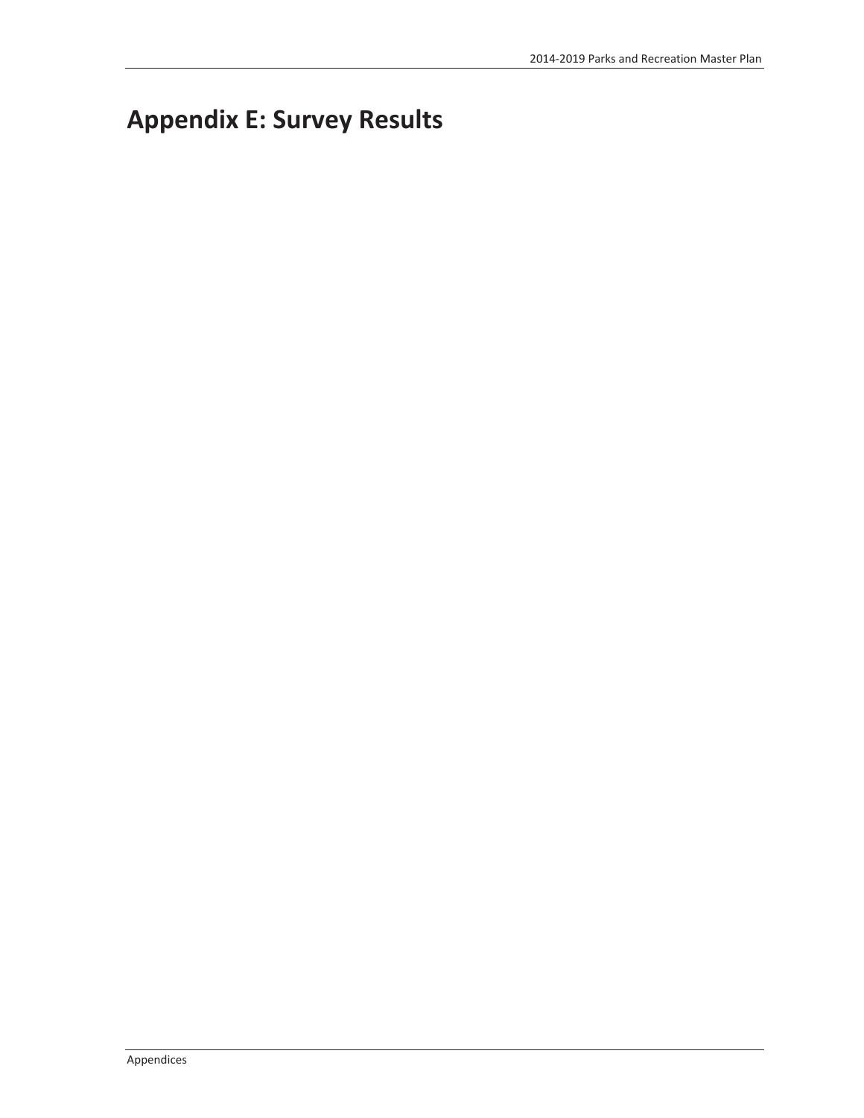# **Appendix E: Survey Results**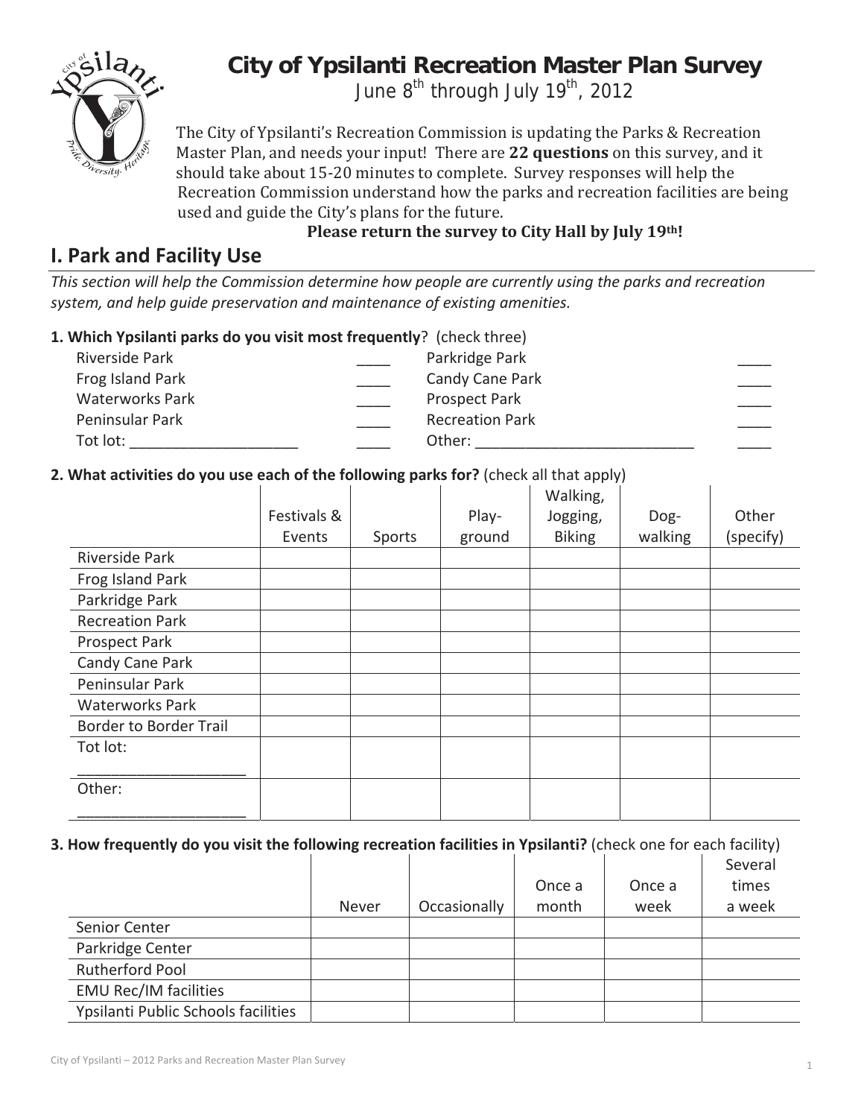

# **City of Ypsilanti Recreation Master Plan Survey**

June 8<sup>th</sup> through July 19<sup>th</sup>, 2012

The City of Ypsilanti's Recreation Commission is updating the Parks & Recreation Master Plan, and needs your input! There are 22 questions on this survey, and it should take about 15-20 minutes to complete. Survey responses will help the Recreation Commission understand how the parks and recreation facilities are being used and guide the City's plans for the future.

# **I. Park and Facility Use**

**Please return the survey to City Hall by July 19th!**

*This section will help the Commission determine how people are currently using the parks and recreation system, and help guide preservation and maintenance of existing amenities.*

# **1. Which Ypsilanti parks do you visit most frequently**?(check three)

| Riverside Park         | Parkridge Park         |
|------------------------|------------------------|
| Frog Island Park       | Candy Cane Park        |
| <b>Waterworks Park</b> | <b>Prospect Park</b>   |
| Peninsular Park        | <b>Recreation Park</b> |
| Tot lot:               | Other:                 |

# **2. What activities do you use each of the following parks for?** (check all that apply)

|                               | Festivals & |        | Play-  | Walking,<br>Jogging, | Dog-    | Other     |
|-------------------------------|-------------|--------|--------|----------------------|---------|-----------|
|                               | Events      | Sports | ground | <b>Biking</b>        | walking | (specify) |
| Riverside Park                |             |        |        |                      |         |           |
| Frog Island Park              |             |        |        |                      |         |           |
| Parkridge Park                |             |        |        |                      |         |           |
| <b>Recreation Park</b>        |             |        |        |                      |         |           |
| Prospect Park                 |             |        |        |                      |         |           |
| Candy Cane Park               |             |        |        |                      |         |           |
| Peninsular Park               |             |        |        |                      |         |           |
| <b>Waterworks Park</b>        |             |        |        |                      |         |           |
| <b>Border to Border Trail</b> |             |        |        |                      |         |           |
| Tot lot:                      |             |        |        |                      |         |           |
| Other:                        |             |        |        |                      |         |           |
|                               |             |        |        |                      |         |           |

## **3. How frequently do you visit the following recreation facilities in Ypsilanti?** (check one for each facility)

|                                     |       |              |        |        | Several |
|-------------------------------------|-------|--------------|--------|--------|---------|
|                                     |       |              | Once a | Once a | times   |
|                                     | Never | Occasionally | month  | week   | a week  |
| Senior Center                       |       |              |        |        |         |
| Parkridge Center                    |       |              |        |        |         |
| Rutherford Pool                     |       |              |        |        |         |
| <b>EMU Rec/IM facilities</b>        |       |              |        |        |         |
| Ypsilanti Public Schools facilities |       |              |        |        |         |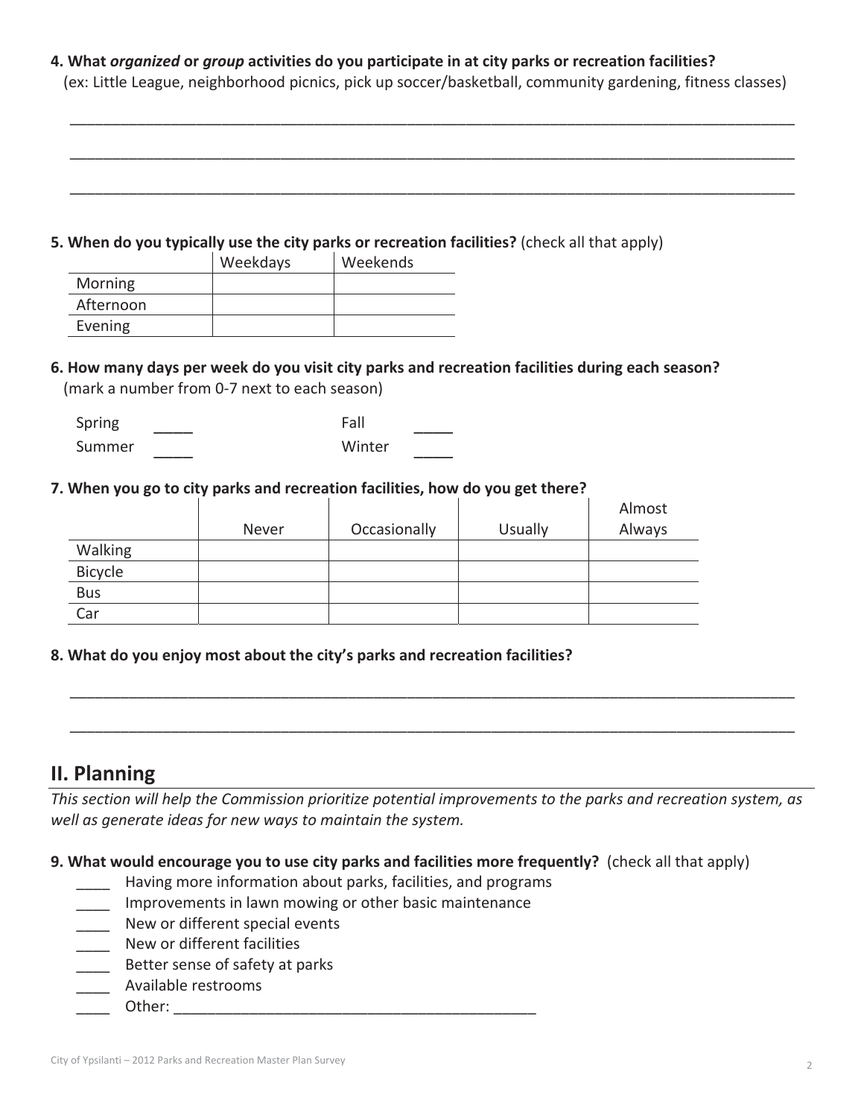**4. What** *organized* **or** *group* **activities do you participate in at city parks or recreation facilities?** (ex: Little League, neighborhood picnics, pick up soccer/basketball, community gardening, fitness classes)

\_\_\_\_\_\_\_\_\_\_\_\_\_\_\_\_\_\_\_\_\_\_\_\_\_\_\_\_\_\_\_\_\_\_\_\_\_\_\_\_\_\_\_\_\_\_\_\_\_\_\_\_\_\_\_\_\_\_\_\_\_\_\_\_\_\_\_\_\_\_\_\_\_\_\_\_\_\_\_\_\_\_\_\_\_\_

\_\_\_\_\_\_\_\_\_\_\_\_\_\_\_\_\_\_\_\_\_\_\_\_\_\_\_\_\_\_\_\_\_\_\_\_\_\_\_\_\_\_\_\_\_\_\_\_\_\_\_\_\_\_\_\_\_\_\_\_\_\_\_\_\_\_\_\_\_\_\_\_\_\_\_\_\_\_\_\_\_\_\_\_\_\_

\_\_\_\_\_\_\_\_\_\_\_\_\_\_\_\_\_\_\_\_\_\_\_\_\_\_\_\_\_\_\_\_\_\_\_\_\_\_\_\_\_\_\_\_\_\_\_\_\_\_\_\_\_\_\_\_\_\_\_\_\_\_\_\_\_\_\_\_\_\_\_\_\_\_\_\_\_\_\_\_\_\_\_\_\_\_

#### **5. When do you typically use the city parks or recreation facilities?** (check all that apply)

|                | Weekdays | Weekends |
|----------------|----------|----------|
| <b>Morning</b> |          |          |
| Afternoon      |          |          |
| Evening        |          |          |

### **6. How many days per week do you visit city parks and recreation facilities during each season?** (mark a number from 0-7 next to each season)

| Spring | Fall   |  |
|--------|--------|--|
| Summer | Winter |  |

#### **7. When you go to city parks and recreation facilities, how do you get there?**

|            | Never | Occasionally | <b>Usually</b> | Almost<br>Always |
|------------|-------|--------------|----------------|------------------|
| Walking    |       |              |                |                  |
| Bicycle    |       |              |                |                  |
| <b>Bus</b> |       |              |                |                  |
| Car        |       |              |                |                  |

### **8. What do you enjoy most about the city's parks and recreation facilities?**

# **II. Planning**

*This section will help the Commission prioritize potential improvements to the parks and recreation system, as well as generate ideas for new ways to maintain the system.*

\_\_\_\_\_\_\_\_\_\_\_\_\_\_\_\_\_\_\_\_\_\_\_\_\_\_\_\_\_\_\_\_\_\_\_\_\_\_\_\_\_\_\_\_\_\_\_\_\_\_\_\_\_\_\_\_\_\_\_\_\_\_\_\_\_\_\_\_\_\_\_\_\_\_\_\_\_\_\_\_\_\_\_\_\_\_

\_\_\_\_\_\_\_\_\_\_\_\_\_\_\_\_\_\_\_\_\_\_\_\_\_\_\_\_\_\_\_\_\_\_\_\_\_\_\_\_\_\_\_\_\_\_\_\_\_\_\_\_\_\_\_\_\_\_\_\_\_\_\_\_\_\_\_\_\_\_\_\_\_\_\_\_\_\_\_\_\_\_\_\_\_\_

**9. What would encourage you to use city parks and facilities more frequently?**(check all that apply)

- \_\_\_\_ Having more information about parks, facilities, and programs
- Improvements in lawn mowing or other basic maintenance
- \_\_\_\_ New or different special events
- \_\_\_\_ New or different facilities
- Better sense of safety at parks
- \_\_\_\_ Available restrooms
- \_\_\_\_ Other: \_\_\_\_\_\_\_\_\_\_\_\_\_\_\_\_\_\_\_\_\_\_\_\_\_\_\_\_\_\_\_\_\_\_\_\_\_\_\_\_\_\_\_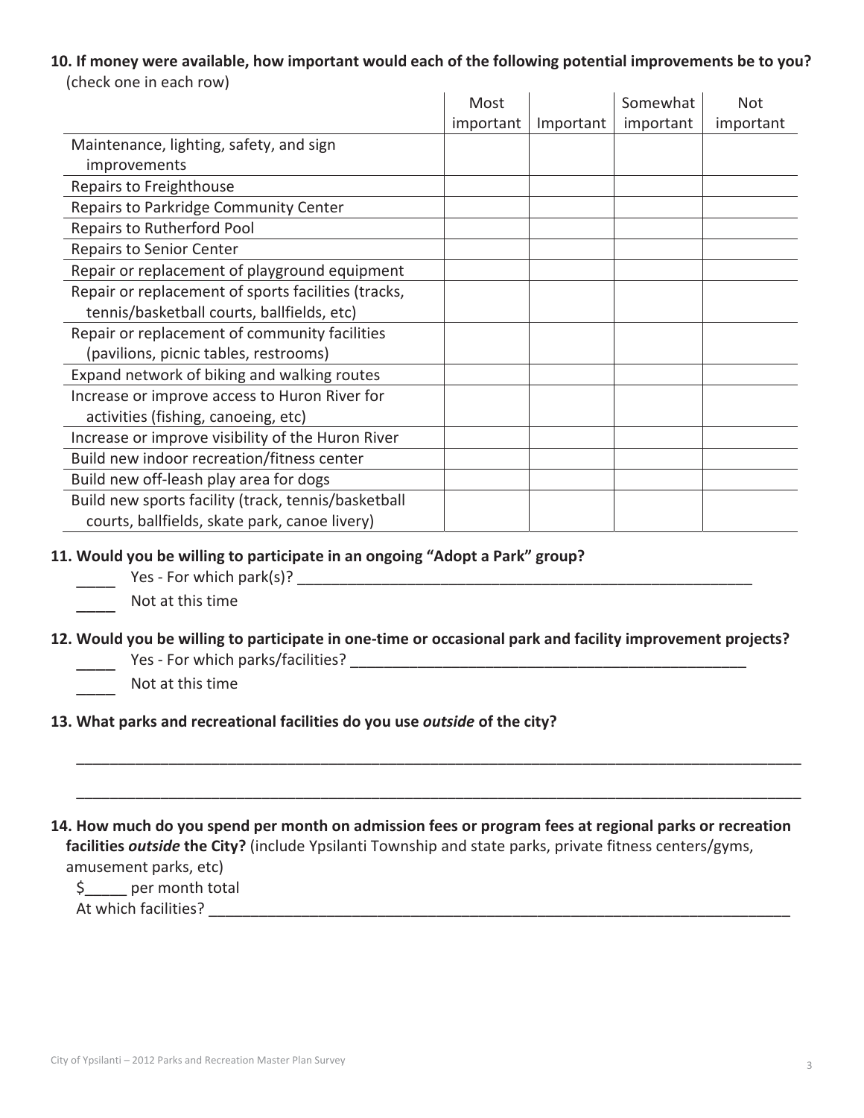# **10. If money were available, how important would each of the following potential improvements be to you?**

| ILIICUN UIIC III CAUI I UW J                        |           |           |           |            |
|-----------------------------------------------------|-----------|-----------|-----------|------------|
|                                                     | Most      |           | Somewhat  | <b>Not</b> |
|                                                     | important | Important | important | important  |
| Maintenance, lighting, safety, and sign             |           |           |           |            |
| improvements                                        |           |           |           |            |
| Repairs to Freighthouse                             |           |           |           |            |
| Repairs to Parkridge Community Center               |           |           |           |            |
| Repairs to Rutherford Pool                          |           |           |           |            |
| <b>Repairs to Senior Center</b>                     |           |           |           |            |
| Repair or replacement of playground equipment       |           |           |           |            |
| Repair or replacement of sports facilities (tracks, |           |           |           |            |
| tennis/basketball courts, ballfields, etc)          |           |           |           |            |
| Repair or replacement of community facilities       |           |           |           |            |
| (pavilions, picnic tables, restrooms)               |           |           |           |            |
| Expand network of biking and walking routes         |           |           |           |            |
| Increase or improve access to Huron River for       |           |           |           |            |
| activities (fishing, canoeing, etc)                 |           |           |           |            |
| Increase or improve visibility of the Huron River   |           |           |           |            |
| Build new indoor recreation/fitness center          |           |           |           |            |
| Build new off-leash play area for dogs              |           |           |           |            |
| Build new sports facility (track, tennis/basketball |           |           |           |            |
| courts, ballfields, skate park, canoe livery)       |           |           |           |            |
|                                                     |           |           |           |            |

#### (check one in each row)

#### **11. Would you be willing to participate in an ongoing "Adopt a Park" group?**

Yes - For which park(s)? **Example 2** 

### \_\_\_\_ Not at this time

- 12. Would you be willing to participate in one-time or occasional park and facility improvement projects? \_\_\_\_ YesͲFor which parks/facilities? \_\_\_\_\_\_\_\_\_\_\_\_\_\_\_\_\_\_\_\_\_\_\_\_\_\_\_\_\_\_\_\_\_\_\_\_\_\_\_\_\_\_\_\_\_\_\_
	- Not at this time

#### **13. What parks and recreational facilities do you use** *outside* **of the city?**

14. How much do you spend per month on admission fees or program fees at regional parks or recreation **facilities** *outside* **the City?** (include Ypsilanti Township and state parks, private fitness centers/gyms, amusement parks, etc)

\_\_\_\_\_\_\_\_\_\_\_\_\_\_\_\_\_\_\_\_\_\_\_\_\_\_\_\_\_\_\_\_\_\_\_\_\_\_\_\_\_\_\_\_\_\_\_\_\_\_\_\_\_\_\_\_\_\_\_\_\_\_\_\_\_\_\_\_\_\_\_\_\_\_\_\_\_\_\_\_\_\_\_\_\_\_

\_\_\_\_\_\_\_\_\_\_\_\_\_\_\_\_\_\_\_\_\_\_\_\_\_\_\_\_\_\_\_\_\_\_\_\_\_\_\_\_\_\_\_\_\_\_\_\_\_\_\_\_\_\_\_\_\_\_\_\_\_\_\_\_\_\_\_\_\_\_\_\_\_\_\_\_\_\_\_\_\_\_\_\_\_\_

\$\_\_\_\_\_ per month total

At which facilities? \_\_\_\_\_\_\_\_\_\_\_\_\_\_\_\_\_\_\_\_\_\_\_\_\_\_\_\_\_\_\_\_\_\_\_\_\_\_\_\_\_\_\_\_\_\_\_\_\_\_\_\_\_\_\_\_\_\_\_\_\_\_\_\_\_\_\_\_\_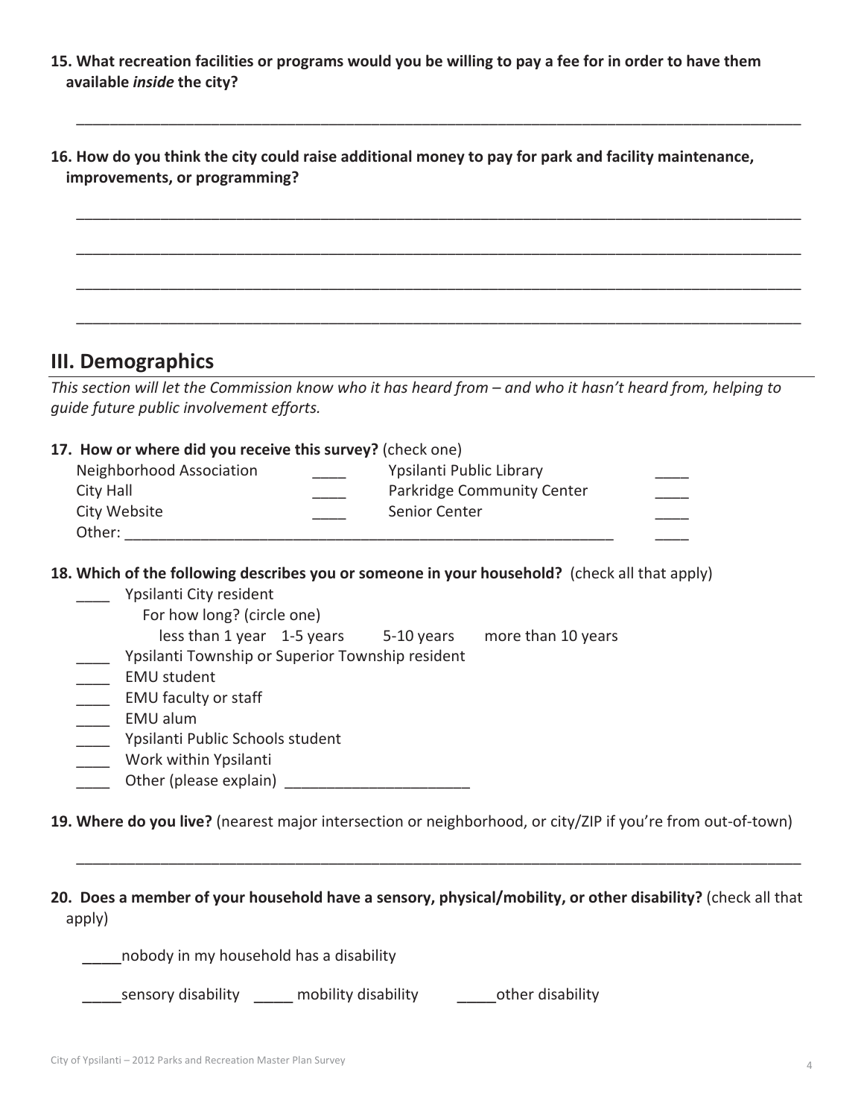15. What recreation facilities or programs would you be willing to pay a fee for in order to have them **available** *inside* **the city?**

| 16. How do you think the city could raise additional money to pay for park and facility maintenance,<br>improvements, or programming? |  |  |  |  |  |  |
|---------------------------------------------------------------------------------------------------------------------------------------|--|--|--|--|--|--|
|                                                                                                                                       |  |  |  |  |  |  |
|                                                                                                                                       |  |  |  |  |  |  |
|                                                                                                                                       |  |  |  |  |  |  |

\_\_\_\_\_\_\_\_\_\_\_\_\_\_\_\_\_\_\_\_\_\_\_\_\_\_\_\_\_\_\_\_\_\_\_\_\_\_\_\_\_\_\_\_\_\_\_\_\_\_\_\_\_\_\_\_\_\_\_\_\_\_\_\_\_\_\_\_\_\_\_\_\_\_\_\_\_\_\_\_\_\_\_\_\_\_

## **III. Demographics**

This section will let the Commission know who it has heard from - and who it hasn't heard from, helping to *guide future public involvement efforts.*

#### **17.How or where did you receive this survey?** (check one)

| Neighborhood Association<br>City Hall | Ypsilanti Public Library<br>Parkridge Community Center |  |
|---------------------------------------|--------------------------------------------------------|--|
| City Website<br>Other:                | Senior Center                                          |  |

**18. Which of the following describes you or someone in your household?**(check all that apply)

- \_\_\_\_ Ypsilanti City resident For how long? (circle one)
	- less than 1 year 1-5 years 5-10 years more than 10 years
- \_\_\_\_ Ypsilanti Township or Superior Township resident
- \_\_\_\_\_ EMU student
- \_\_\_\_\_ EMU faculty or staff
- \_\_\_\_ EMU alum
- \_\_\_\_ Ypsilanti Public Schools student
- \_\_\_\_ Work within Ypsilanti
- \_\_\_\_ Other (please explain)\_\_\_\_\_\_\_\_\_\_\_\_\_\_\_\_\_\_\_\_\_\_

19. Where do you live? (nearest major intersection or neighborhood, or city/ZIP if you're from out-of-town)

**20.Does a member of your household have a sensory, physical/mobility, or other disability?** (check all that apply)

\_\_\_\_\_\_\_\_\_\_\_\_\_\_\_\_\_\_\_\_\_\_\_\_\_\_\_\_\_\_\_\_\_\_\_\_\_\_\_\_\_\_\_\_\_\_\_\_\_\_\_\_\_\_\_\_\_\_\_\_\_\_\_\_\_\_\_\_\_\_\_\_\_\_\_\_\_\_\_\_\_\_\_\_\_\_

\_\_\_\_nobody in my household has a disability

sensory disability and mobility disability and other disability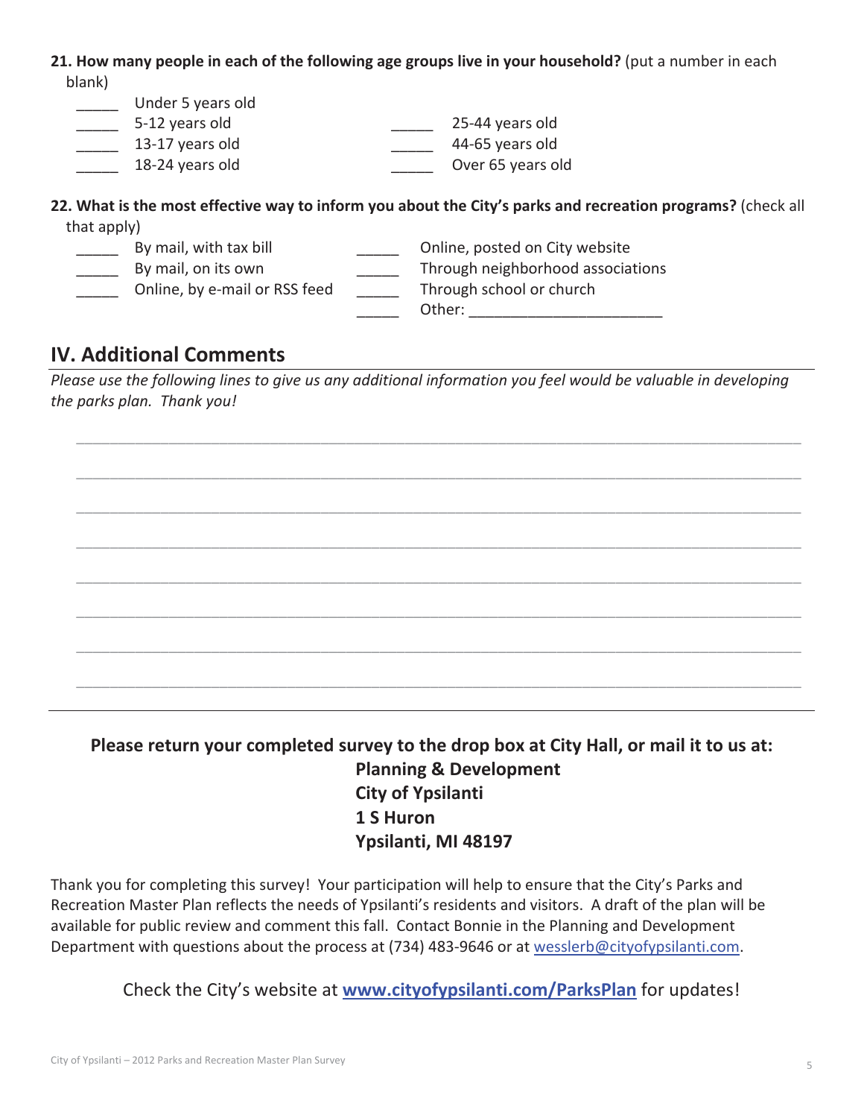**21. How many people in each of the following age groups live in your household?** (put a number in each blank)

| Under 5 years old |                                                                                                             |
|-------------------|-------------------------------------------------------------------------------------------------------------|
| 5-12 years old    | 25-44 years old                                                                                             |
| 13-17 years old   | 44-65 years old                                                                                             |
| 18-24 years old   | Over 65 years old                                                                                           |
| that $annly$      | 22. What is the most effective way to inform you about the City's parks and recreation programs? (check all |

| that apply) |                               |                                   |
|-------------|-------------------------------|-----------------------------------|
|             | By mail, with tax bill        | Online, posted on City website    |
|             | By mail, on its own           | Through neighborhood associations |
|             | Online, by e-mail or RSS feed | Through school or church          |
|             |                               | Other:                            |

# **IV. Additional Comments**

Please use the following lines to give us any additional information you feel would be valuable in developing *the parks plan.Thank you!*

\_\_\_\_\_\_\_\_\_\_\_\_\_\_\_\_\_\_\_\_\_\_\_\_\_\_\_\_\_\_\_\_\_\_\_\_\_\_\_\_\_\_\_\_\_\_\_\_\_\_\_\_\_\_\_\_\_\_\_\_\_\_\_\_\_\_\_\_\_\_\_\_\_\_\_\_\_\_\_\_\_\_\_\_\_\_

\_\_\_\_\_\_\_\_\_\_\_\_\_\_\_\_\_\_\_\_\_\_\_\_\_\_\_\_\_\_\_\_\_\_\_\_\_\_\_\_\_\_\_\_\_\_\_\_\_\_\_\_\_\_\_\_\_\_\_\_\_\_\_\_\_\_\_\_\_\_\_\_\_\_\_\_\_\_\_\_\_\_\_\_\_\_

\_\_\_\_\_\_\_\_\_\_\_\_\_\_\_\_\_\_\_\_\_\_\_\_\_\_\_\_\_\_\_\_\_\_\_\_\_\_\_\_\_\_\_\_\_\_\_\_\_\_\_\_\_\_\_\_\_\_\_\_\_\_\_\_\_\_\_\_\_\_\_\_\_\_\_\_\_\_\_\_\_\_\_\_\_\_

\_\_\_\_\_\_\_\_\_\_\_\_\_\_\_\_\_\_\_\_\_\_\_\_\_\_\_\_\_\_\_\_\_\_\_\_\_\_\_\_\_\_\_\_\_\_\_\_\_\_\_\_\_\_\_\_\_\_\_\_\_\_\_\_\_\_\_\_\_\_\_\_\_\_\_\_\_\_\_\_\_\_\_\_\_\_

\_\_\_\_\_\_\_\_\_\_\_\_\_\_\_\_\_\_\_\_\_\_\_\_\_\_\_\_\_\_\_\_\_\_\_\_\_\_\_\_\_\_\_\_\_\_\_\_\_\_\_\_\_\_\_\_\_\_\_\_\_\_\_\_\_\_\_\_\_\_\_\_\_\_\_\_\_\_\_\_\_\_\_\_\_\_

\_\_\_\_\_\_\_\_\_\_\_\_\_\_\_\_\_\_\_\_\_\_\_\_\_\_\_\_\_\_\_\_\_\_\_\_\_\_\_\_\_\_\_\_\_\_\_\_\_\_\_\_\_\_\_\_\_\_\_\_\_\_\_\_\_\_\_\_\_\_\_\_\_\_\_\_\_\_\_\_\_\_\_\_\_\_

\_\_\_\_\_\_\_\_\_\_\_\_\_\_\_\_\_\_\_\_\_\_\_\_\_\_\_\_\_\_\_\_\_\_\_\_\_\_\_\_\_\_\_\_\_\_\_\_\_\_\_\_\_\_\_\_\_\_\_\_\_\_\_\_\_\_\_\_\_\_\_\_\_\_\_\_\_\_\_\_\_\_\_\_\_\_

\_\_\_\_\_\_\_\_\_\_\_\_\_\_\_\_\_\_\_\_\_\_\_\_\_\_\_\_\_\_\_\_\_\_\_\_\_\_\_\_\_\_\_\_\_\_\_\_\_\_\_\_\_\_\_\_\_\_\_\_\_\_\_\_\_\_\_\_\_\_\_\_\_\_\_\_\_\_\_\_\_\_\_\_\_\_

**Please return your completed survey to the drop box at City Hall, or mail it to us at: Planning & Development City of Ypsilanti 1 S Huron Ypsilanti, MI 48197**

Thank you for completing this survey! Your participation will help to ensure that the City's Parks and Recreation Master Plan reflects the needs of Ypsilanti's residents and visitors. A draft of the plan will be available for public review and comment this fall. Contact Bonnie in the Planning and Development Department with questions about the process at (734) 483-9646 or at wesslerb@cityofypsilanti.com.

Check the City's website at **www.cityofypsilanti.com/ParksPlan** for updates!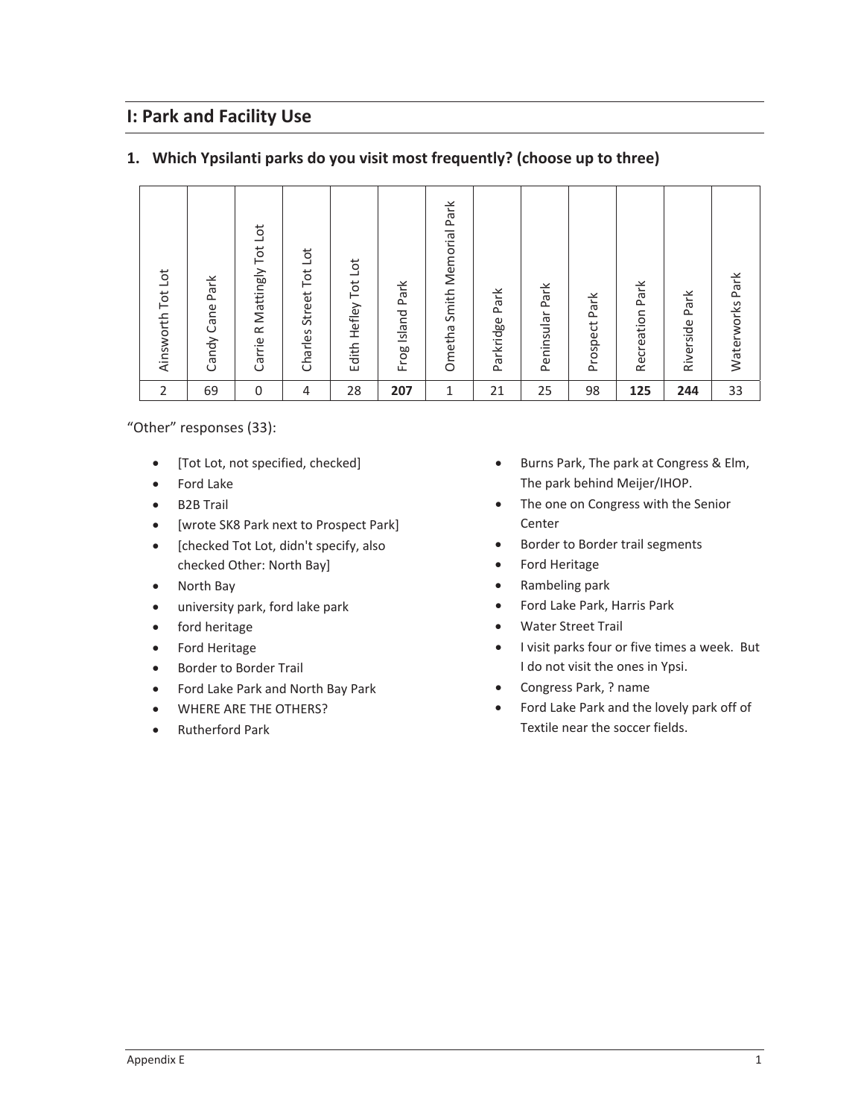# **I: Park and Facility Use**

#### **1. Which Ypsilanti parks do you visit most frequently? (choose up to three)**

"Other" responses (33):

- [Tot Lot, not specified, checked]
- Ford Lake
- B2B Trail
- [wrote SK8 Park next to Prospect Park]
- [checked Tot Lot, didn't specify, also checked Other: North Bay]
- North Bay
- $\bullet$  university park, ford lake park
- ford heritage
- Ford Heritage
- **•** Border to Border Trail
- Ford Lake Park and North Bay Park
- **WHERE ARE THE OTHERS?**
- Rutherford Park
- **•** Burns Park, The park at Congress & Elm, The park behind Meijer/IHOP.
- The one on Congress with the Senior Center
- Border to Border trail segments
- Ford Heritage
- Rambeling park
- Ford Lake Park, Harris Park
- Water Street Trail
- I visit parks four or five times a week. But I do not visit the ones in Ypsi.
- Congress Park, ? name
- Ford Lake Park and the lovely park off of Textile near the soccer fields.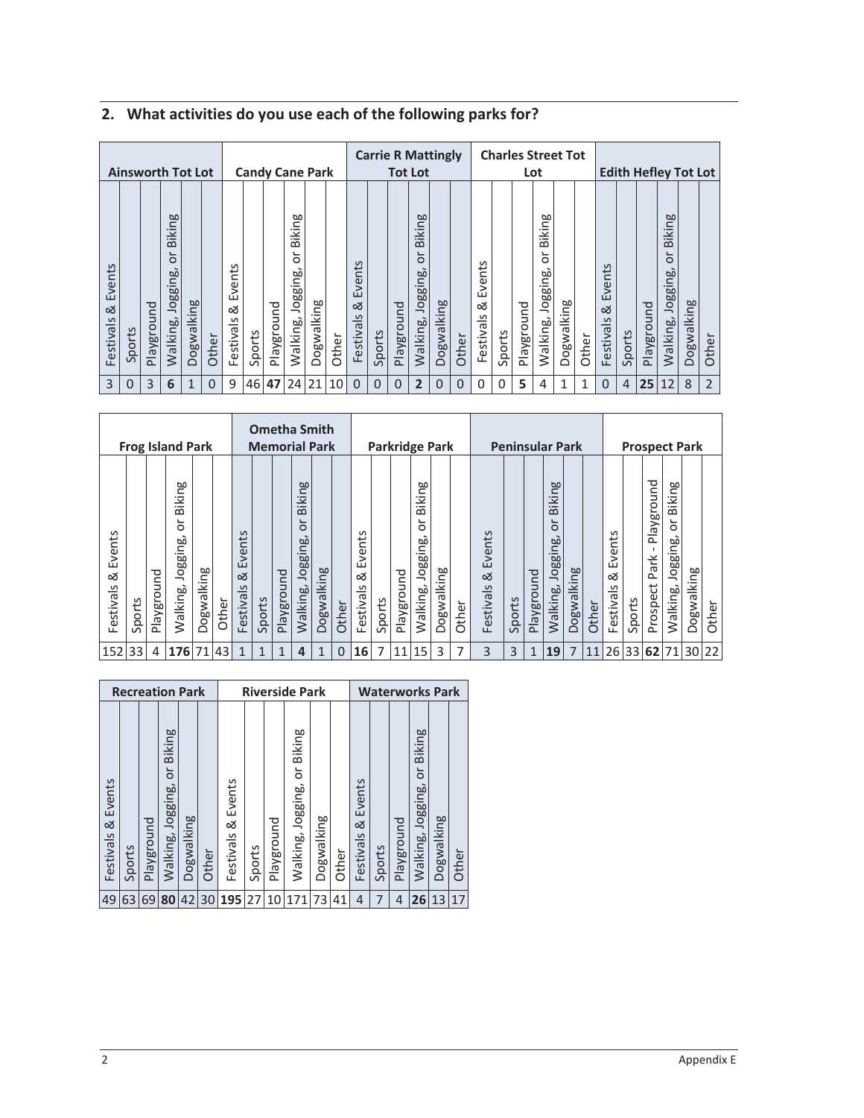|                          | <b>Ainsworth Tot Lot</b> |            |                                           |            |              |                          |        |            |                                          | <b>Candy Cane Park</b> |           |                               |                |              | <b>Carrie R Mattingly</b><br><b>Tot Lot</b> |             |                |                          |          | <b>Charles Street Tot</b> | Lot                                      |            |       |                          |                |            | <b>Edith Hefley Tot Lot</b>                    |            |                |
|--------------------------|--------------------------|------------|-------------------------------------------|------------|--------------|--------------------------|--------|------------|------------------------------------------|------------------------|-----------|-------------------------------|----------------|--------------|---------------------------------------------|-------------|----------------|--------------------------|----------|---------------------------|------------------------------------------|------------|-------|--------------------------|----------------|------------|------------------------------------------------|------------|----------------|
| Events<br>ಹ<br>Festivals | Sports                   | Playground | Biking<br>$\circ$<br>Jogging,<br>Walking, | Dogwalking | Other        | Events<br>∞<br>Festivals | Sports | Playground | Biking<br>$\circ$<br>Jogging<br>Walking, | Dogwalking             | Other     | nts<br>Ever<br>∞<br>Festivals | Sports         | Playground   | Biking<br>$\circ$<br>Jogging,<br>Walking,   | Dogwalking  | Other          | Events<br>ಹ<br>Festivals | Sports   | Playground                | Biking<br>$\circ$<br>Jogging<br>Walking, | Dogwalking | Other | Events<br>ळ<br>Festivals | Sports         | Playground | Biking<br>ے<br>$\circ$<br>Jogging,<br>Walking, | Dogwalking | Other          |
| 3                        | 0                        | 3          | 6                                         | 1          | $\mathbf{0}$ | 9                        |        |            | 46 47 24 21                              |                        | <b>10</b> | $\Omega$                      | $\overline{0}$ | $\mathbf{0}$ | $\overline{2}$                              | $\mathbf 0$ | $\overline{0}$ | $\Omega$                 | $\Omega$ | 5                         | 4                                        | 1          | 1     | $\Omega$                 | $\overline{4}$ | 25         | $ 12\rangle$                                   | 8          | $\overline{2}$ |

# **2. What activities do you use each of the following parks for?**

|                           |                   |            | <b>Frog Island Park</b>                        |            |       |                               |              | <b>Ometha Smith</b><br><b>Memorial Park</b> |                                           |            |          |                                      |        |            | <b>Parkridge Park</b>              |            |       |                          |        |              | <b>Peninsular Park</b>                           |            |       |                                           |             |                                | <b>Prospect Park</b>                |            |       |
|---------------------------|-------------------|------------|------------------------------------------------|------------|-------|-------------------------------|--------------|---------------------------------------------|-------------------------------------------|------------|----------|--------------------------------------|--------|------------|------------------------------------|------------|-------|--------------------------|--------|--------------|--------------------------------------------------|------------|-------|-------------------------------------------|-------------|--------------------------------|-------------------------------------|------------|-------|
| Events<br>ಂಶ<br>Festivals | ports<br>$\Omega$ | Playground | Biking<br>$\circ$<br>စ္တ<br>loggil<br>Walking, | Dogwalking | Other | vents<br>ய்<br>ळ<br>Festivals | Sports       | Playground                                  | <b>Biking</b><br>ă<br>Jogging<br>Walking, | Dogwalking | Other    | $\sigma$<br>Events<br>∞<br>Festivals | Sports | Playground | Biking<br>ŏ<br>Jogging<br>Walking, | Dogwalking | Other | Events<br>ळ<br>Festivals | Sports | Playground   | <b>Biking</b><br>ă<br><b>Jogging</b><br>Walking, | Dogwalking | Other | $\sigma$<br>vents<br>ய்<br>∝<br>Festivals | Sports      | Playground<br>Park<br>Prospect | Biking<br>ă<br>Jogging,<br>Walking, | Dogwalking | Other |
| 152 33                    |                   | 4          | 176                                            | 71         | 43    | $\mathbf{1}$                  | $\mathbf{1}$ | 1                                           | 4                                         | 1          | $\Omega$ | 16                                   | 7      | 11         | 15                                 | 3          | 7     | 3                        | 3      | $\mathbf{1}$ | <b>19</b>                                        | 7          | 11    |                                           | 26 33 62 71 |                                |                                     | 30 22      |       |

|                          | <b>Recreation Park</b> |            |                                         |            |       |                          |        |            | <b>Riverside Park</b>          |            |       |                          |        |            | <b>Waterworks Park</b>                   |            |       |
|--------------------------|------------------------|------------|-----------------------------------------|------------|-------|--------------------------|--------|------------|--------------------------------|------------|-------|--------------------------|--------|------------|------------------------------------------|------------|-------|
| Events<br>∞<br>Festivals | Sports                 | Playground | <b>Biking</b><br>ð<br>Walking, Jogging, | Dogwalking | Other | Events<br>∞<br>Festivals | Sports | Playground | or Biking<br>Walking, Jogging, | Dogwalking | Other | Events<br>∞<br>Festivals | Sports | Playground | <b>Biking</b><br>ðr<br>Walking, Jogging, | Dogwalking | Other |
| 49                       | 63                     | 69         | 80                                      | 42         | 30    | 195                      | 27     | 10         | 171                            | 73         | 41    | 4                        | 7      | 4          | 26                                       | 13         | 17    |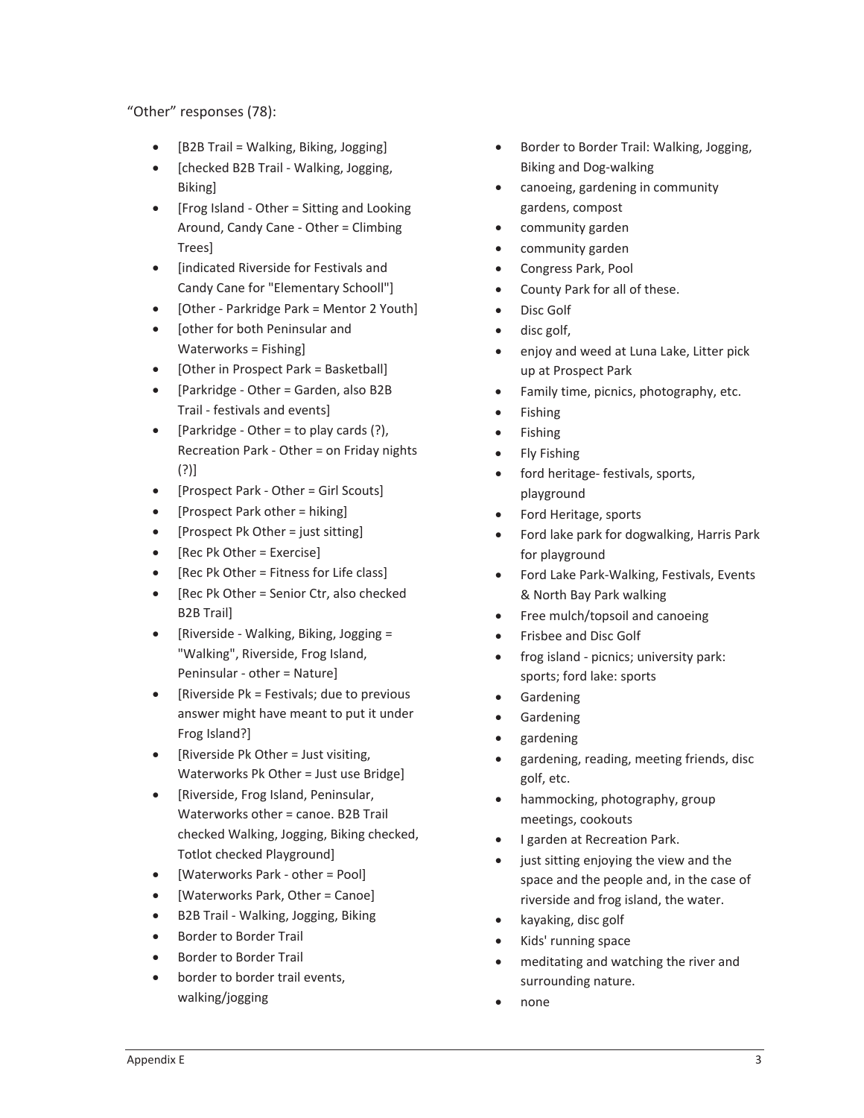"Other" responses (78):

- [B2B Trail = Walking, Biking, Jogging]
- [checked B2B Trail Walking, Jogging, Biking]
- [Frog Island Other = Sitting and Looking Around, Candy Cane - Other = Climbing Trees]
- [indicated Riverside for Festivals and Candy Cane for "Elementary Schooll"]
- [Other Parkridge Park = Mentor 2 Youth]
- **Iother for both Peninsular and** Waterworks = Fishing]
- $\bullet$  [Other in Prospect Park = Basketball]
- [Parkridge Other = Garden, also B2B Trail - festivals and events]
- [Parkridge Other = to play cards  $(?)$ , Recreation Park - Other = on Friday nights (?)]
- [Prospect Park Other = Girl Scouts]
- [Prospect Park other  $=$  hiking]
- [Prospect Pk Other = just sitting]
- $\bullet$  [Rec Pk Other = Exercise]
- $\bullet$  [Rec Pk Other = Fitness for Life class]
- $\bullet$  [Rec Pk Other = Senior Ctr, also checked B2B Trail]
- [Riverside Walking, Biking, Jogging = "Walking", Riverside, Frog Island, Peninsular - other = Nature]
- [Riverside Pk = Festivals; due to previous answer might have meant to put it under Frog Island?]
- [Riverside Pk Other = Just visiting, Waterworks Pk Other = Just use Bridge]
- [Riverside, Frog Island, Peninsular, Waterworks other = canoe. B2B Trail checked Walking, Jogging, Biking checked, Totlot checked Playground]
- [Waterworks Park other = Pool]
- [Waterworks Park, Other = Canoe]
- B2B Trail Walking, Jogging, Biking
- Border to Border Trail
- Border to Border Trail
- border to border trail events, walking/jogging
- **•** Border to Border Trail: Walking, Jogging, Biking and Dog-walking
- canoeing, gardening in community gardens, compost
- community garden
- community garden
- Congress Park, Pool
- County Park for all of these.
- Disc Golf
- $\bullet$  disc golf,
- enjoy and weed at Luna Lake, Litter pick up at Prospect Park
- Family time, picnics, photography, etc.
- Fishing
- Fishing
- Fly Fishing
- ford heritage- festivals, sports, playground
- Ford Heritage, sports
- Ford lake park for dogwalking, Harris Park for playground
- Ford Lake Park-Walking, Festivals, Events & North Bay Park walking
- $\bullet$  Free mulch/topsoil and canoeing
- Frisbee and Disc Golf
- frog island picnics; university park: sports; ford lake: sports
- Gardening
- Gardening
- x gardening
- gardening, reading, meeting friends, disc golf, etc.
- hammocking, photography, group meetings, cookouts
- I garden at Recreation Park.
- just sitting enjoying the view and the space and the people and, in the case of riverside and frog island, the water.
- kayaking, disc golf
- Kids' running space
- meditating and watching the river and surrounding nature.
- none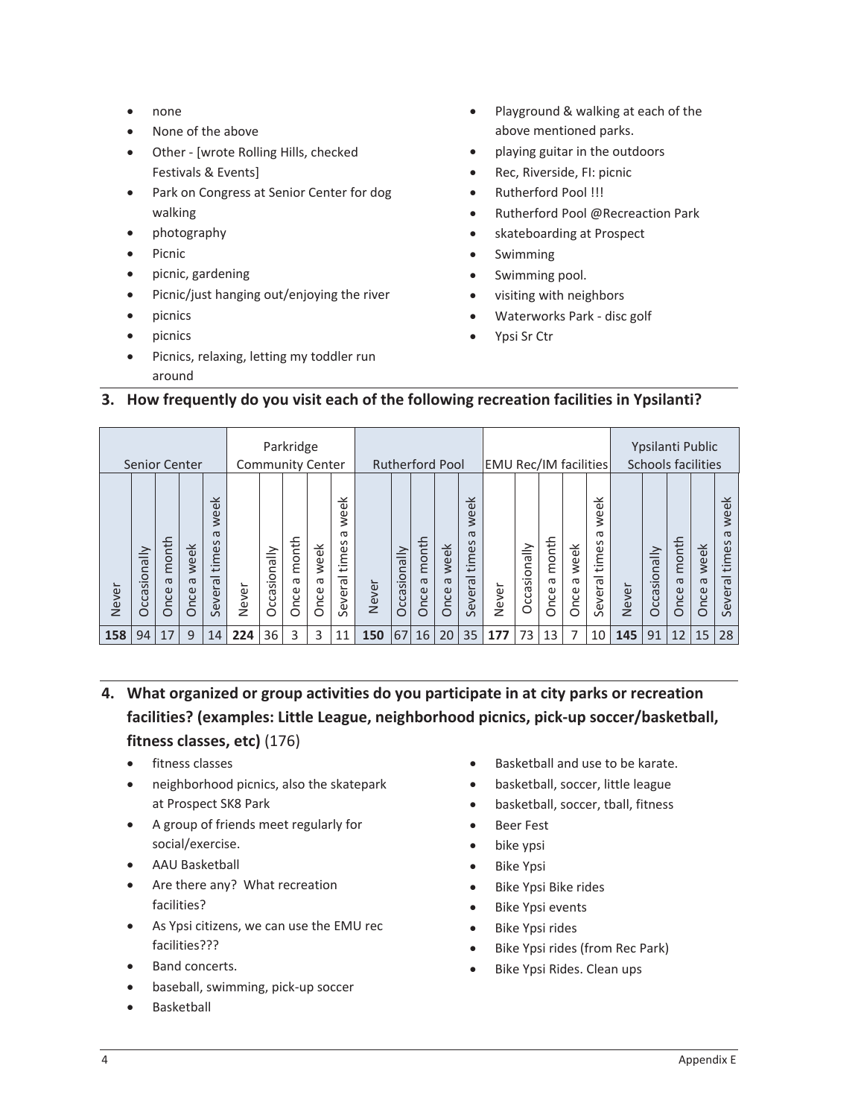- none
- None of the above
- Other [wrote Rolling Hills, checked Festivals & Events]
- Park on Congress at Senior Center for dog walking
- photography
- $\bullet$  Picnic
- picnic, gardening
- Picnic/just hanging out/enjoying the river
- $\bullet$  picnics
- $\bullet$  picnics
- Picnics, relaxing, letting my toddler run around
- Playground & walking at each of the above mentioned parks.
- playing guitar in the outdoors
- Rec, Riverside, FI: picnic
- Rutherford Pool !!!
- x Rutherford Pool @Recreaction Park
- skateboarding at Prospect
- **Swimming**
- Swimming pool.
- visiting with neighbors
- Waterworks Park disc golf
- Ypsi Sr Ctr

#### **3. How frequently do you visit each of the following recreation facilities in Ypsilanti?**

**4. What organized or group activities do you participate in at city parks or recreation**  $f$ acilities? (examples: Little League, neighborhood picnics, pick-up soccer/basketball, **fitness classes, etc)** (176)

- fitness classes
- neighborhood picnics, also the skatepark at Prospect SK8 Park
- A group of friends meet regularly for social/exercise.
- AAU Basketball
- Are there any? What recreation facilities?
- As Ypsi citizens, we can use the EMU rec facilities???
- Band concerts.
- baseball, swimming, pick-up soccer
- **Basketball**
- Basketball and use to be karate.
- basketball, soccer, little league
- basketball, soccer, tball, fitness
- **•** Beer Fest
- bike ypsi
- Bike Ypsi
- Bike Ypsi Bike rides
- Bike Ypsi events
- Bike Ypsi rides
- Bike Ypsi rides (from Rec Park)
- Bike Ypsi Rides. Clean ups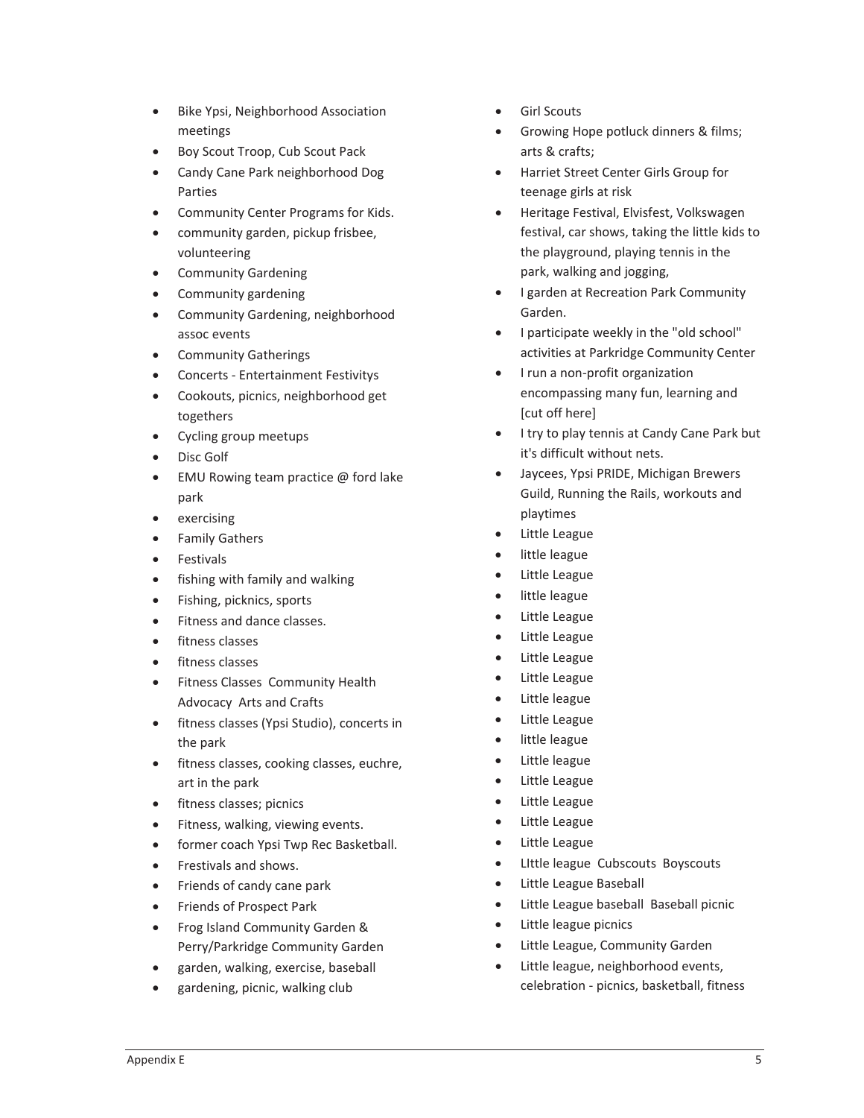- Bike Ypsi, Neighborhood Association meetings
- Boy Scout Troop, Cub Scout Pack
- Candy Cane Park neighborhood Dog Parties
- Community Center Programs for Kids.
- community garden, pickup frisbee, volunteering
- Community Gardening
- Community gardening
- Community Gardening, neighborhood assoc events
- Community Gatherings
- Concerts Entertainment Festivitys
- Cookouts, picnics, neighborhood get togethers
- Cycling group meetups
- Disc Golf
- EMU Rowing team practice  $\omega$  ford lake park
- exercising
- Family Gathers
- Festivals
- fishing with family and walking
- Fishing, picknics, sports
- Fitness and dance classes.
- fitness classes
- fitness classes
- Fitness Classes Community Health Advocacy Arts and Crafts
- **•** fitness classes (Ypsi Studio), concerts in the park
- fitness classes, cooking classes, euchre, art in the park
- fitness classes; picnics
- Fitness, walking, viewing events.
- former coach Ypsi Twp Rec Basketball.
- x Frestivals and shows.
- Friends of candy cane park
- **•** Friends of Prospect Park
- Frog Island Community Garden & Perry/Parkridge Community Garden
- garden, walking, exercise, baseball
- gardening, picnic, walking club
- **•** Girl Scouts
- Growing Hope potluck dinners & films; arts & crafts;
- **•** Harriet Street Center Girls Group for teenage girls at risk
- Heritage Festival, Elvisfest, Volkswagen festival, car shows, taking the little kids to the playground, playing tennis in the park, walking and jogging,
- **•** I garden at Recreation Park Community Garden.
- I participate weekly in the "old school" activities at Parkridge Community Center
- I run a non-profit organization encompassing many fun, learning and [cut off here]
- **•** I try to play tennis at Candy Cane Park but it's difficult without nets.
- Jaycees, Ypsi PRIDE, Michigan Brewers Guild, Running the Rails, workouts and playtimes
- Little League
- little league
- Little League
- little league
- Little League
- Little League
- Little League
- Little League
- Little league
- Little League
- little league
- Little league
- Little League
- Little League
- Little League
- Little League
- Little league Cubscouts Boyscouts
- Little League Baseball
- $\bullet$  Little League baseball Baseball picnic
- Little league picnics
- Little League, Community Garden
- Little league, neighborhood events, celebration - picnics, basketball, fitness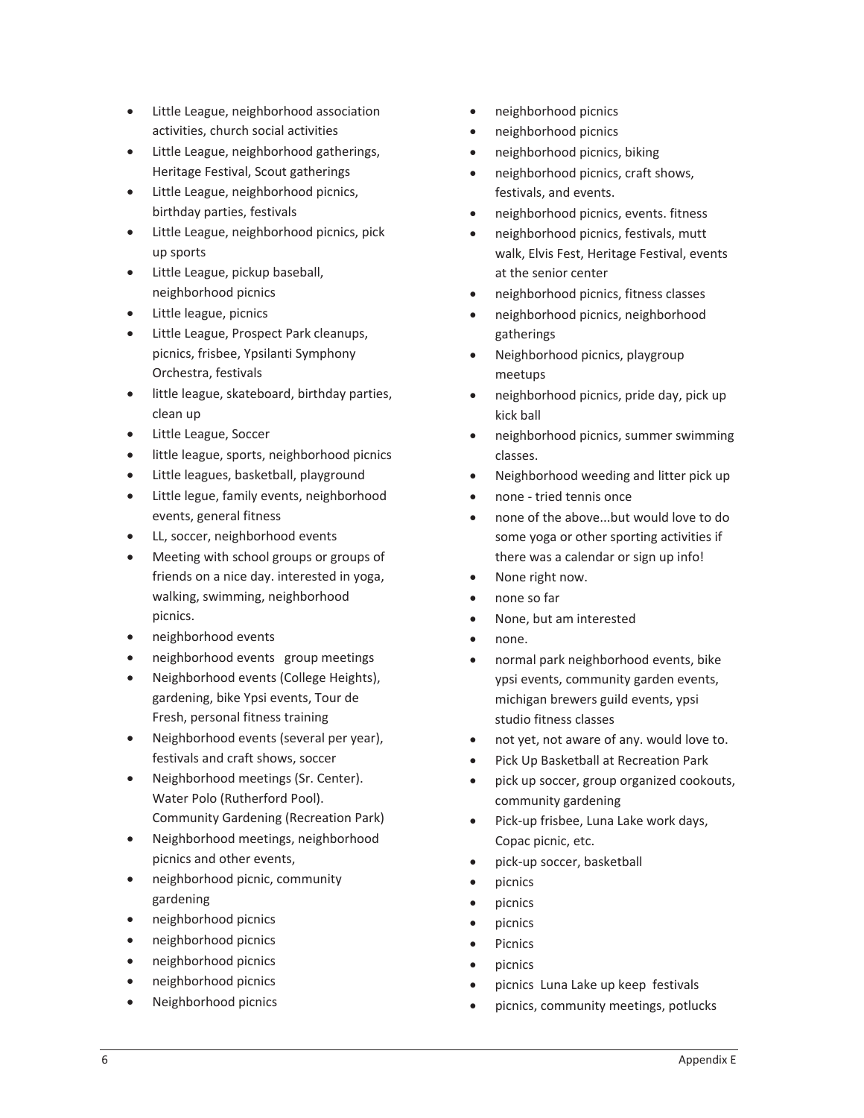- Little League, neighborhood association activities, church social activities
- Little League, neighborhood gatherings, Heritage Festival, Scout gatherings
- Little League, neighborhood picnics, birthday parties, festivals
- Little League, neighborhood picnics, pick up sports
- Little League, pickup baseball, neighborhood picnics
- Little league, picnics
- Little League, Prospect Park cleanups, picnics, frisbee, Ypsilanti Symphony Orchestra, festivals
- $\bullet$  little league, skateboard, birthday parties, clean up
- Little League, Soccer
- **•** little league, sports, neighborhood picnics
- Little leagues, basketball, playground
- Little legue, family events, neighborhood events, general fitness
- LL, soccer, neighborhood events
- Meeting with school groups or groups of friends on a nice day. interested in yoga, walking, swimming, neighborhood picnics.
- neighborhood events
- neighborhood events group meetings
- Neighborhood events (College Heights), gardening, bike Ypsi events, Tour de Fresh, personal fitness training
- Neighborhood events (several per year), festivals and craft shows, soccer
- Neighborhood meetings (Sr. Center). Water Polo (Rutherford Pool). Community Gardening (Recreation Park)
- Neighborhood meetings, neighborhood picnics and other events,
- neighborhood picnic, community gardening
- neighborhood picnics
- neighborhood picnics
- neighborhood picnics
- neighborhood picnics
- x Neighborhood picnics
- x neighborhood picnics
- neighborhood picnics
- neighborhood picnics, biking
- neighborhood picnics, craft shows, festivals, and events.
- neighborhood picnics, events. fitness
- neighborhood picnics, festivals, mutt walk, Elvis Fest, Heritage Festival, events at the senior center
- x neighborhood picnics, fitness classes
- neighborhood picnics, neighborhood gatherings
- x Neighborhood picnics, playgroup meetups
- neighborhood picnics, pride day, pick up kick ball
- neighborhood picnics, summer swimming classes.
- Neighborhood weeding and litter pick up
- none tried tennis once
- none of the above...but would love to do some yoga or other sporting activities if there was a calendar or sign up info!
- None right now.
- none so far
- None, but am interested
- none.
- normal park neighborhood events, bike ypsi events, community garden events, michigan brewers guild events, ypsi studio fitness classes
- not yet, not aware of any. would love to.
- Pick Up Basketball at Recreation Park
- pick up soccer, group organized cookouts, community gardening
- Pick-up frisbee, Luna Lake work days, Copac picnic, etc.
- pick-up soccer, basketball
- picnics
- picnics
- picnics
- Picnics
- picnics
- picnics Luna Lake up keep festivals
- picnics, community meetings, potlucks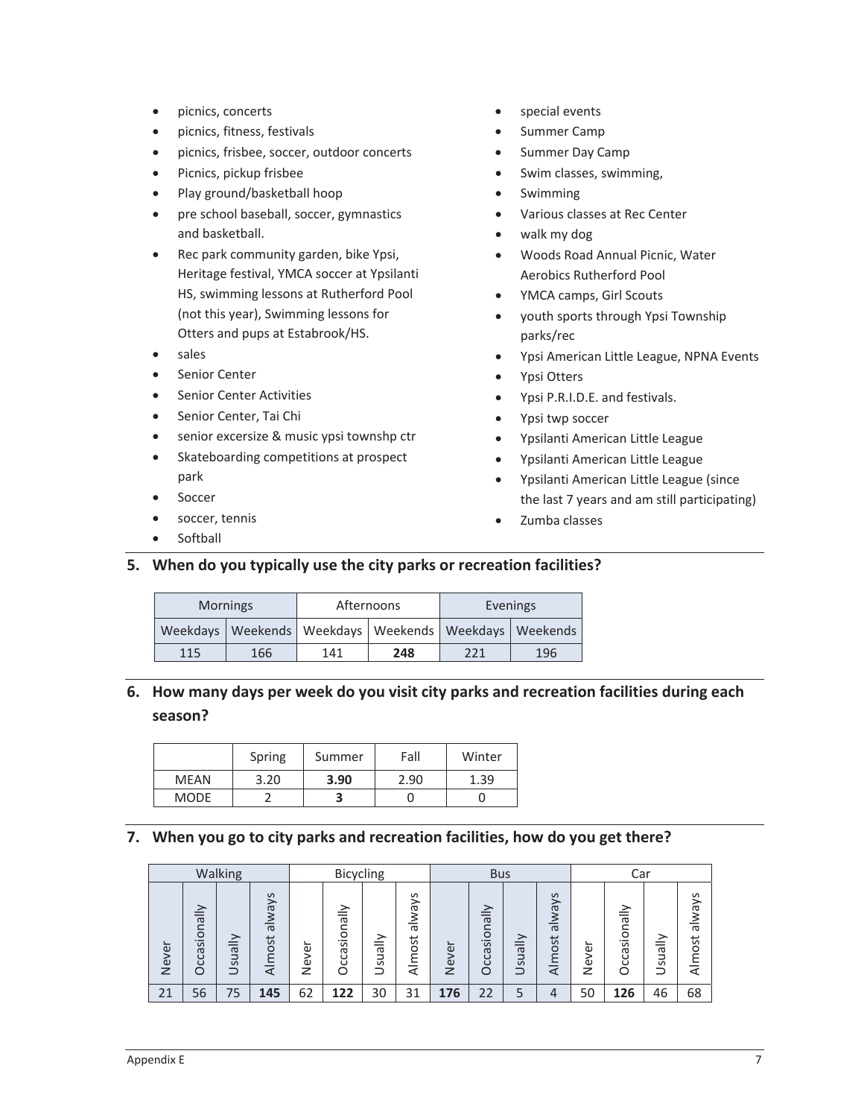- picnics, concerts
- picnics, fitness, festivals
- picnics, frisbee, soccer, outdoor concerts
- Picnics, pickup frisbee
- Play ground/basketball hoop
- pre school baseball, soccer, gymnastics and basketball.
- Rec park community garden, bike Ypsi, Heritage festival, YMCA soccer at Ypsilanti HS, swimming lessons at Rutherford Pool (not this year), Swimming lessons for Otters and pups at Estabrook/HS.
- x sales
- **•** Senior Center
- Senior Center Activities
- Senior Center, Tai Chi
- **•** senior excersize & music ypsi townshp ctr
- Skateboarding competitions at prospect park
- Soccer
- soccer, tennis
- Softball
- special events
- Summer Camp
- Summer Day Camp
- Swim classes, swimming,
- **Swimming**
- Various classes at Rec Center
- walk my dog
- Woods Road Annual Picnic, Water Aerobics Rutherford Pool
- YMCA camps, Girl Scouts
- youth sports through Ypsi Township parks/rec
- Ypsi American Little League, NPNA Events
- Ypsi Otters
- Ypsi P.R.I.D.E. and festivals.
- Ypsi twp soccer
- Ypsilanti American Little League
- Ypsilanti American Little League
- x Ypsilanti American Little League (since the last 7 years and am still participating)
- Zumba classes
- **5. When do you typically use the city parks or recreation facilities?**

|     | <b>Mornings</b> |     | Afternoons                                                      | Evenings |     |  |  |  |
|-----|-----------------|-----|-----------------------------------------------------------------|----------|-----|--|--|--|
|     |                 |     | Weekdays   Weekends   Weekdays   Weekends   Weekdays   Weekends |          |     |  |  |  |
| 115 | 166             | 141 | 248                                                             | 221      | 196 |  |  |  |

### **6. How many days per week do you visit city parks and recreation facilities during each season?**

|             | Spring | Summer | Fall | Winter |
|-------------|--------|--------|------|--------|
| MEAN        | 3.20   | 3.90   | 2.90 | 1.39   |
| <b>MODE</b> |        |        |      |        |

#### **7. When you go to city parks and recreation facilities, how do you get there?**

|       |                              | Walking                  |                                |                  | Bicycling               |             |                                            |                             | <b>Bus</b>                                              |                          |                             |                  | Car                                      |                   |                      |
|-------|------------------------------|--------------------------|--------------------------------|------------------|-------------------------|-------------|--------------------------------------------|-----------------------------|---------------------------------------------------------|--------------------------|-----------------------------|------------------|------------------------------------------|-------------------|----------------------|
| Never | yllsnois<br>σ<br>ပ<br>$\cup$ | ➢<br>=<br>ω<br><b>US</b> | $5\sqrt{2}$<br>rewle<br>Almost | ∽<br>Φ<br>Š<br>z | sionally<br>ത<br>ت<br>Š | ylleus<br>Ξ | $\frac{5}{2}$<br>$\sigma$<br>ത<br>ost<br>₹ | ∽<br>$\omega$<br><b>Nev</b> | $\frac{1}{16}$<br>$\subset$<br>sion<br>σ<br>ပ<br>$\cup$ | ≐<br>$\sigma$<br>su<br>- | lways<br>$\sigma$<br>Almost | ∽<br>Φ<br>Š<br>Z | ≻<br>ಸ<br>┶<br>O<br>َ آن<br>ᡕᢐ<br>ပ<br>ပ | ≧<br>ത<br>5Ü<br>- | lways<br>σ<br>Almost |
| 21    | 56                           | 75                       | 145                            | 62               | 122                     | 30          | 31                                         | 176                         | 22                                                      |                          | 4                           | 50               | 126                                      | 46                | 68                   |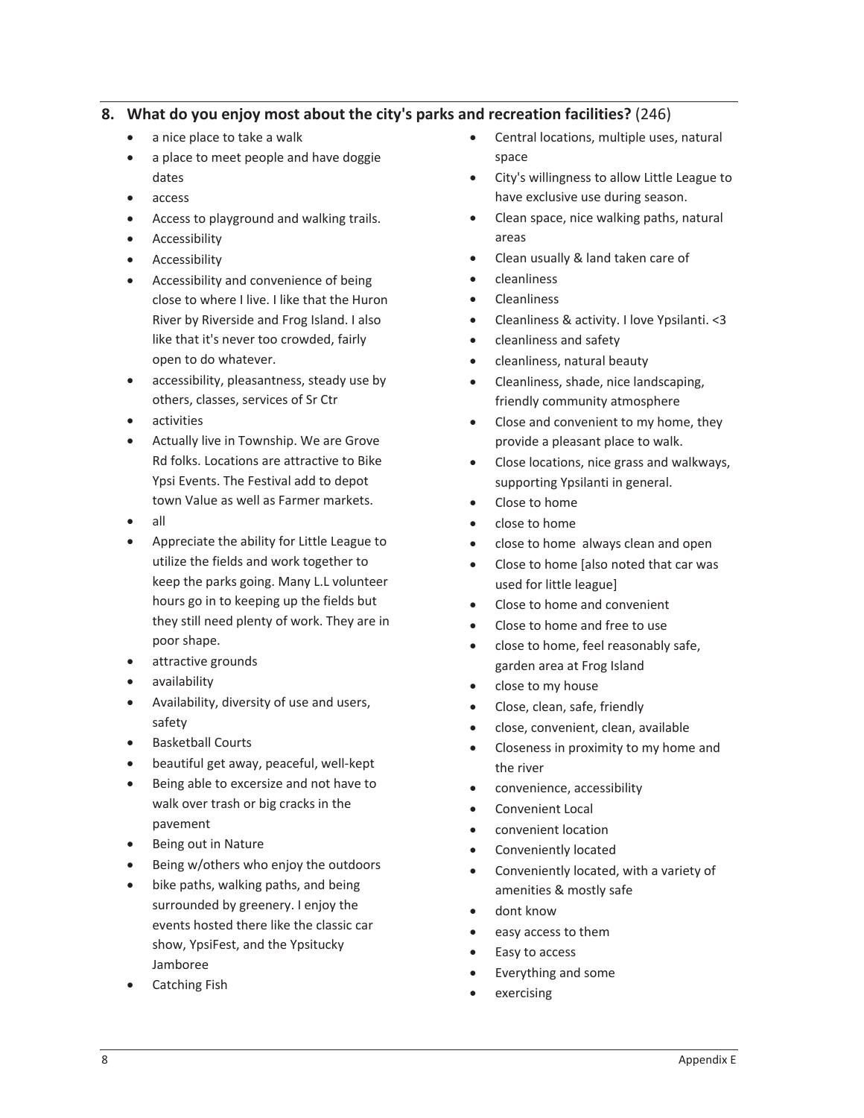#### **8. What do you enjoy most about the city's parks and recreation facilities?** (246)

- a nice place to take a walk
- a place to meet people and have doggie dates
- $\bullet$  access
- Access to playground and walking trails.
- Accessibility
- Accessibility
- Accessibility and convenience of being close to where I live. I like that the Huron River by Riverside and Frog Island. I also like that it's never too crowded, fairly open to do whatever.
- accessibility, pleasantness, steady use by others, classes, services of Sr Ctr
- activities
- Actually live in Township. We are Grove Rd folks. Locations are attractive to Bike Ypsi Events. The Festival add to depot town Value as well as Farmer markets.
- x all
- Appreciate the ability for Little League to utilize the fields and work together to keep the parks going. Many L.L volunteer hours go in to keeping up the fields but they still need plenty of work. They are in poor shape.
- attractive grounds
- x availability
- Availability, diversity of use and users, safety
- Basketball Courts
- beautiful get away, peaceful, well-kept
- Being able to excersize and not have to walk over trash or big cracks in the pavement
- Being out in Nature
- Being w/others who enjoy the outdoors
- bike paths, walking paths, and being surrounded by greenery. I enjoy the events hosted there like the classic car show, YpsiFest, and the Ypsitucky Jamboree
- Catching Fish
- Central locations, multiple uses, natural space
- City's willingness to allow Little League to have exclusive use during season.
- Clean space, nice walking paths, natural areas
- x Clean usually & land taken care of
- x cleanliness
- x Cleanliness
- x Cleanliness & activity. I love Ypsilanti. <3
- cleanliness and safety
- cleanliness, natural beauty
- x Cleanliness, shade, nice landscaping, friendly community atmosphere
- Close and convenient to my home, they provide a pleasant place to walk.
- x Close locations, nice grass and walkways, supporting Ypsilanti in general.
- Close to home
- close to home
- close to home always clean and open
- Close to home [also noted that car was used for little league]
- Close to home and convenient
- Close to home and free to use
- close to home, feel reasonably safe, garden area at Frog Island
- close to my house
- Close, clean, safe, friendly
- close, convenient, clean, available
- Closeness in proximity to my home and the river
- convenience, accessibility
- Convenient Local
- convenient location
- Conveniently located
- Conveniently located, with a variety of amenities & mostly safe
- dont know
- easy access to them
- Easy to access
- Everything and some
- exercising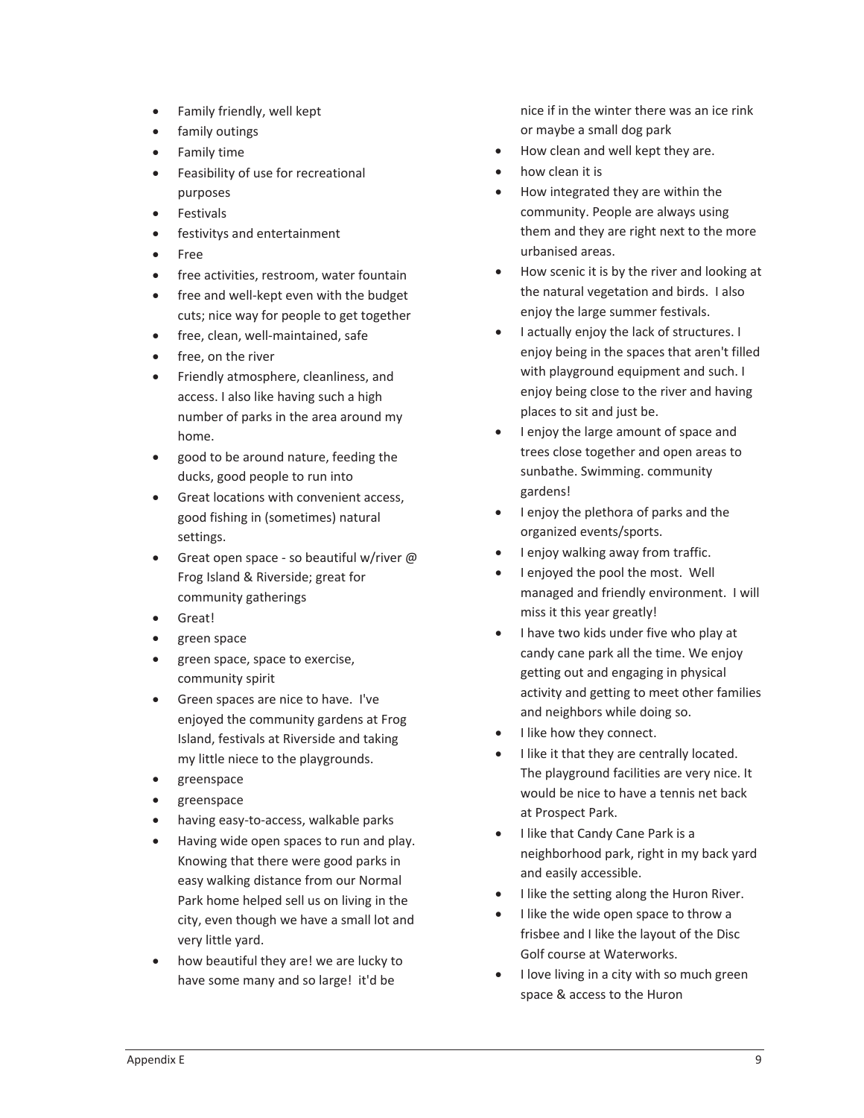- Family friendly, well kept
- family outings
- Family time
- **•** Feasibility of use for recreational purposes
- **Festivals**
- **•** festivitys and entertainment
- **Free**
- free activities, restroom, water fountain
- free and well-kept even with the budget cuts; nice way for people to get together
- free, clean, well-maintained, safe
- free, on the river
- **•** Friendly atmosphere, cleanliness, and access. I also like having such a high number of parks in the area around my home.
- good to be around nature, feeding the ducks, good people to run into
- **•** Great locations with convenient access, good fishing in (sometimes) natural settings.
- Great open space so beautiful w/river @ Frog Island & Riverside; great for community gatherings
- Great!
- $\bullet$  green space
- green space, space to exercise, community spirit
- Green spaces are nice to have. I've enjoyed the community gardens at Frog Island, festivals at Riverside and taking my little niece to the playgrounds.
- x greenspace
- greenspace
- having easy-to-access, walkable parks
- Having wide open spaces to run and play. Knowing that there were good parks in easy walking distance from our Normal Park home helped sell us on living in the city, even though we have a small lot and very little yard.
- how beautiful they are! we are lucky to have some many and so large! it'd be

nice if in the winter there was an ice rink or maybe a small dog park

- How clean and well kept they are.
- how clean it is
- How integrated they are within the community. People are always using them and they are right next to the more urbanised areas.
- How scenic it is by the river and looking at the natural vegetation and birds. I also enjoy the large summer festivals.
- **•** I actually enjoy the lack of structures. I enjoy being in the spaces that aren't filled with playground equipment and such. I enjoy being close to the river and having places to sit and just be.
- I enjoy the large amount of space and trees close together and open areas to sunbathe. Swimming. community gardens!
- I enjoy the plethora of parks and the organized events/sports.
- I enjoy walking away from traffic.
- I enjoyed the pool the most. Well managed and friendly environment. I will miss it this year greatly!
- $\bullet$  I have two kids under five who play at candy cane park all the time. We enjoy getting out and engaging in physical activity and getting to meet other families and neighbors while doing so.
- I like how they connect.
- I like it that they are centrally located. The playground facilities are very nice. It would be nice to have a tennis net back at Prospect Park.
- I like that Candy Cane Park is a neighborhood park, right in my back yard and easily accessible.
- I like the setting along the Huron River.
- I like the wide open space to throw a frisbee and I like the layout of the Disc Golf course at Waterworks.
- I love living in a city with so much green space & access to the Huron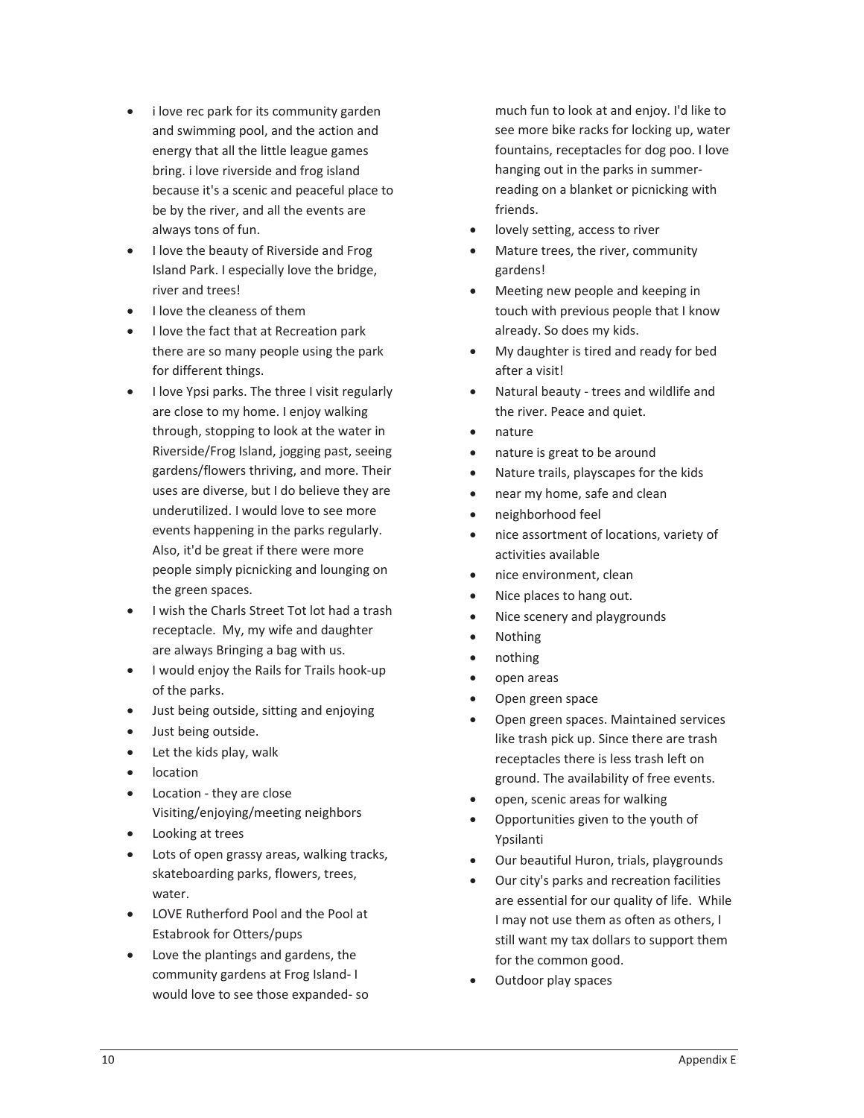- i love rec park for its community garden and swimming pool, and the action and energy that all the little league games bring. i love riverside and frog island because it's a scenic and peaceful place to be by the river, and all the events are always tons of fun.
- I love the beauty of Riverside and Frog Island Park. I especially love the bridge, river and trees!
- I love the cleaness of them
- I love the fact that at Recreation park there are so many people using the park for different things.
- I love Ypsi parks. The three I visit regularly are close to my home. I enjoy walking through, stopping to look at the water in Riverside/Frog Island, jogging past, seeing gardens/flowers thriving, and more. Their uses are diverse, but I do believe they are underutilized. I would love to see more events happening in the parks regularly. Also, it'd be great if there were more people simply picnicking and lounging on the green spaces.
- I wish the Charls Street Tot lot had a trash receptacle. My, my wife and daughter are always Bringing a bag with us.
- I would enjoy the Rails for Trails hook-up of the parks.
- Just being outside, sitting and enjoying
- Just being outside.
- Let the kids play, walk
- $\bullet$  location
- Location they are close Visiting/enjoying/meeting neighbors
- Looking at trees
- Lots of open grassy areas, walking tracks, skateboarding parks, flowers, trees, water.
- LOVE Rutherford Pool and the Pool at Estabrook for Otters/pups
- Love the plantings and gardens, the community gardens at Frog Island-I would love to see those expanded-so

much fun to look at and enjoy. I'd like to see more bike racks for locking up, water fountains, receptacles for dog poo. I love hanging out in the parks in summerreading on a blanket or picnicking with friends.

- lovely setting, access to river
- Mature trees, the river, community gardens!
- Meeting new people and keeping in touch with previous people that I know already. So does my kids.
- My daughter is tired and ready for bed after a visit!
- Natural beauty trees and wildlife and the river. Peace and quiet.
- nature
- nature is great to be around
- Nature trails, playscapes for the kids
- near my home, safe and clean
- neighborhood feel
- nice assortment of locations, variety of activities available
- nice environment, clean
- Nice places to hang out.
- Nice scenery and playgrounds
- **Nothing**
- nothing
- open areas
- Open green space
- Open green spaces. Maintained services like trash pick up. Since there are trash receptacles there is less trash left on ground. The availability of free events.
- open, scenic areas for walking
- Opportunities given to the youth of Ypsilanti
- Our beautiful Huron, trials, playgrounds
- Our city's parks and recreation facilities are essential for our quality of life. While I may not use them as often as others, I still want my tax dollars to support them for the common good.
- Outdoor play spaces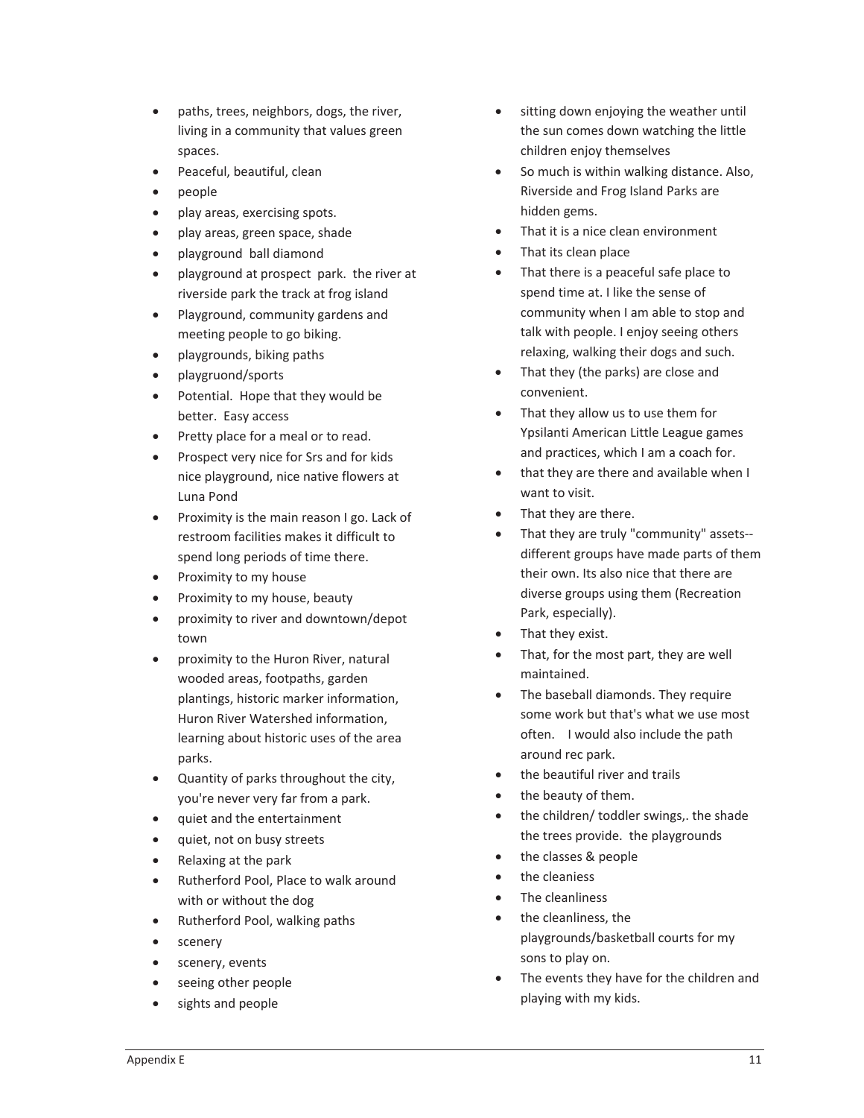- paths, trees, neighbors, dogs, the river, living in a community that values green spaces.
- Peaceful, beautiful, clean
- $\bullet$  people
- play areas, exercising spots.
- play areas, green space, shade
- playground ball diamond
- $\bullet$  playground at prospect park. the river at riverside park the track at frog island
- Playground, community gardens and meeting people to go biking.
- playgrounds, biking paths
- playgruond/sports
- Potential. Hope that they would be better. Easy access
- Pretty place for a meal or to read.
- Prospect very nice for Srs and for kids nice playground, nice native flowers at Luna Pond
- Proximity is the main reason I go. Lack of restroom facilities makes it difficult to spend long periods of time there.
- Proximity to my house
- Proximity to my house, beauty
- proximity to river and downtown/depot town
- proximity to the Huron River, natural wooded areas, footpaths, garden plantings, historic marker information, Huron River Watershed information, learning about historic uses of the area parks.
- Quantity of parks throughout the city, you're never very far from a park.
- quiet and the entertainment
- quiet, not on busy streets
- Relaxing at the park
- Rutherford Pool, Place to walk around with or without the dog
- $\bullet$  Rutherford Pool, walking paths
- scenery
- scenery, events
- x seeing other people
- sights and people
- sitting down enjoying the weather until the sun comes down watching the little children enjoy themselves
- So much is within walking distance. Also, Riverside and Frog Island Parks are hidden gems.
- That it is a nice clean environment
- That its clean place
- That there is a peaceful safe place to spend time at. I like the sense of community when I am able to stop and talk with people. I enjoy seeing others relaxing, walking their dogs and such.
- That they (the parks) are close and convenient.
- That they allow us to use them for Ypsilanti American Little League games and practices, which I am a coach for.
- that they are there and available when I want to visit.
- That they are there.
- That they are truly "community" assets-different groups have made parts of them their own. Its also nice that there are diverse groups using them (Recreation Park, especially).
- That they exist.
- That, for the most part, they are well maintained.
- The baseball diamonds. They require some work but that's what we use most often. I would also include the path around rec park.
- the beautiful river and trails
- the beauty of them.
- the children/ toddler swings,. the shade the trees provide. the playgrounds
- the classes & people
- the cleaniess
- The cleanliness
- $\bullet$  the cleanliness, the playgrounds/basketball courts for my sons to play on.
- The events they have for the children and playing with my kids.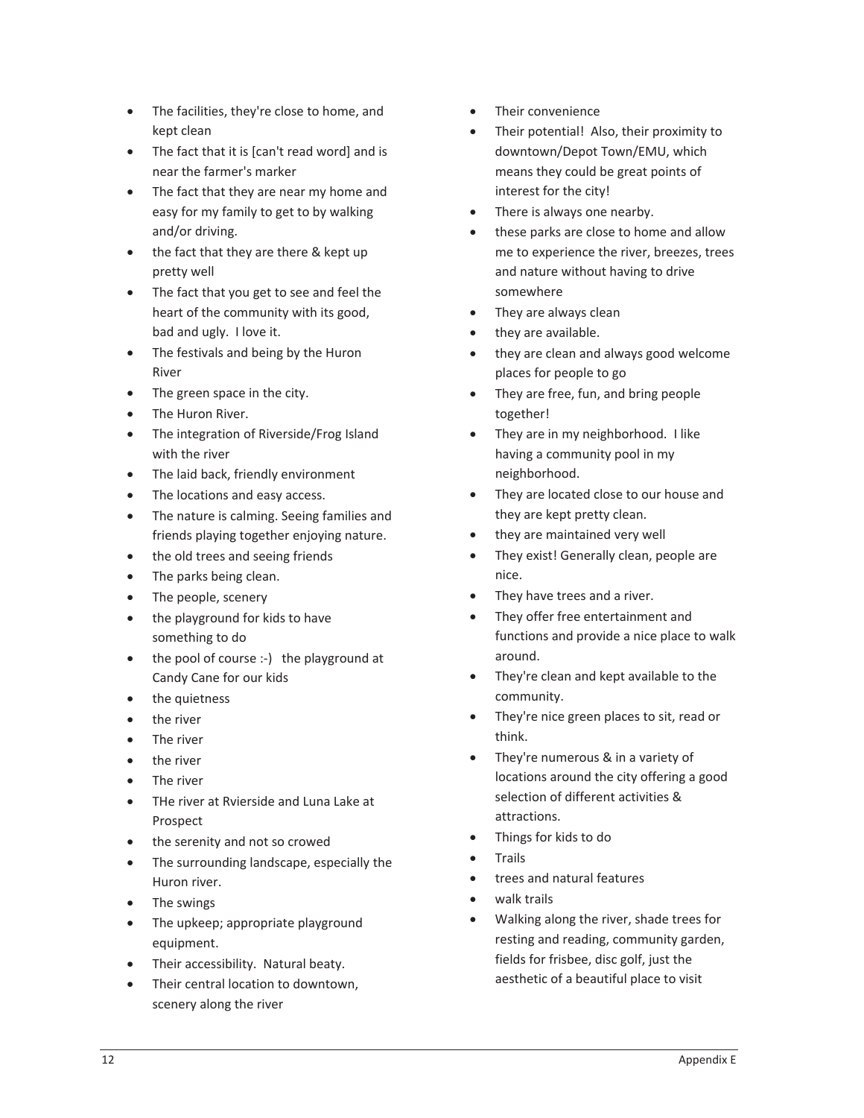- The facilities, they're close to home, and kept clean
- The fact that it is [can't read word] and is near the farmer's marker
- The fact that they are near my home and easy for my family to get to by walking and/or driving.
- the fact that they are there & kept up pretty well
- The fact that you get to see and feel the heart of the community with its good, bad and ugly. I love it.
- $\bullet$  The festivals and being by the Huron River
- The green space in the city.
- The Huron River.
- The integration of Riverside/Frog Island with the river
- The laid back, friendly environment
- The locations and easy access.
- The nature is calming. Seeing families and friends playing together enjoying nature.
- the old trees and seeing friends
- The parks being clean.
- The people, scenery
- $\bullet$  the playground for kids to have something to do
- the pool of course :-) the playground at Candy Cane for our kids
- the quietness
- the river
- The river
- the river
- $\bullet$  The river
- THe river at Rvierside and Luna Lake at Prospect
- the serenity and not so crowed
- The surrounding landscape, especially the Huron river.
- The swings
- The upkeep; appropriate playground equipment.
- Their accessibility. Natural beaty.
- Their central location to downtown, scenery along the river
- Their convenience
- Their potential! Also, their proximity to downtown/Depot Town/EMU, which means they could be great points of interest for the city!
- There is always one nearby.
- these parks are close to home and allow me to experience the river, breezes, trees and nature without having to drive somewhere
- They are always clean
- they are available.
- $\bullet$  they are clean and always good welcome places for people to go
- They are free, fun, and bring people together!
- They are in my neighborhood. I like having a community pool in my neighborhood.
- They are located close to our house and they are kept pretty clean.
- they are maintained very well
- They exist! Generally clean, people are nice.
- They have trees and a river.
- They offer free entertainment and functions and provide a nice place to walk around.
- They're clean and kept available to the community.
- They're nice green places to sit, read or think.
- They're numerous & in a variety of locations around the city offering a good selection of different activities & attractions.
- Things for kids to do
- **Trails**
- trees and natural features
- walk trails
- x Walking along the river, shade trees for resting and reading, community garden, fields for frisbee, disc golf, just the aesthetic of a beautiful place to visit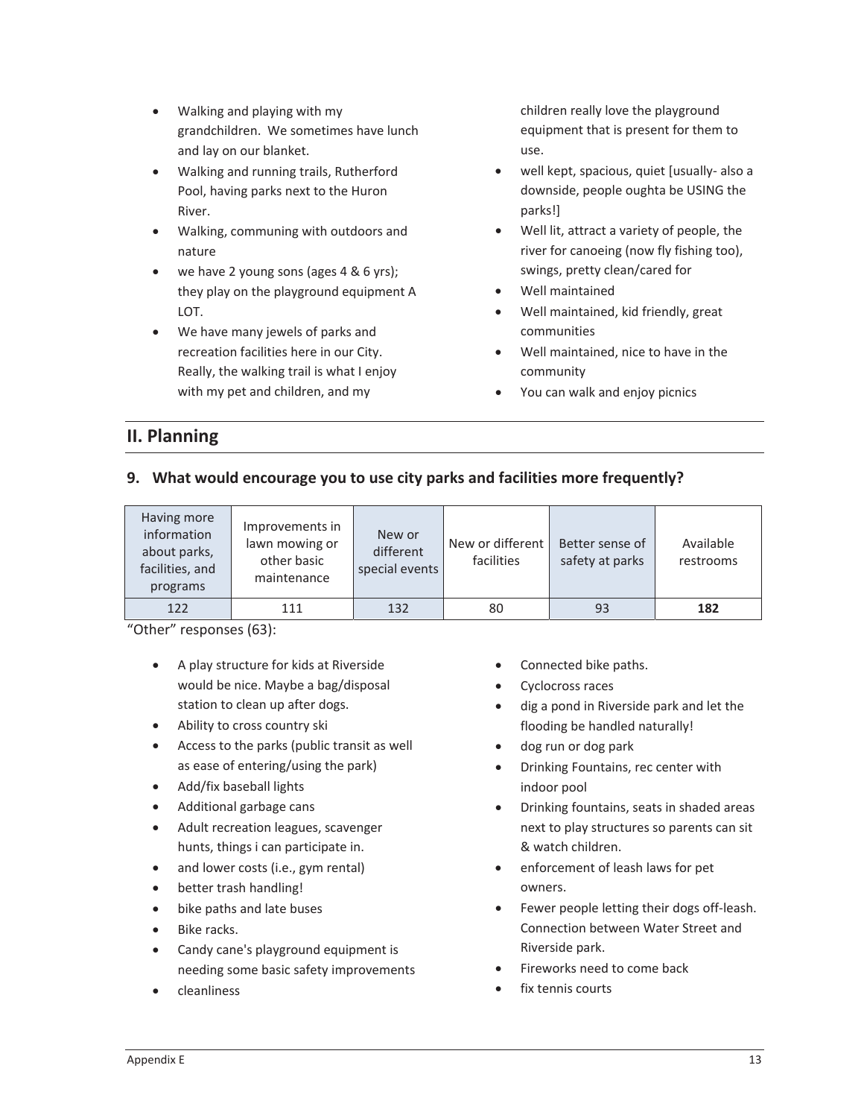- $\bullet$  Walking and playing with my grandchildren.We sometimes have lunch and lay on our blanket.
- Walking and running trails, Rutherford Pool, having parks next to the Huron River.
- Walking, communing with outdoors and nature
- $\bullet$  we have 2 young sons (ages 4 & 6 yrs); they play on the playground equipment A LOT.
- We have many jewels of parks and recreation facilities here in our City. Really, the walking trail is what I enjoy with my pet and children, and my

children really love the playground equipment that is present for them to use.

- well kept, spacious, quiet [usually- also a downside, people oughta be USING the parks!]
- Well lit, attract a variety of people, the river for canoeing (now fly fishing too), swings, pretty clean/cared for
- x Well maintained
- Well maintained, kid friendly, great communities
- Well maintained, nice to have in the community
- You can walk and enjoy picnics

# **II. Planning**

## **9. What would encourage you to use city parks and facilities more frequently?**

| Having more<br>information<br>about parks,<br>facilities, and<br>programs | Improvements in<br>lawn mowing or<br>other basic<br>maintenance | New or<br>different<br>special events | New or different<br>facilities | Better sense of<br>safety at parks | Available<br>restrooms |
|---------------------------------------------------------------------------|-----------------------------------------------------------------|---------------------------------------|--------------------------------|------------------------------------|------------------------|
| 122                                                                       | 111                                                             | 132                                   | 80                             | 93                                 | 182                    |

"Other" responses (63):

- A play structure for kids at Riverside would be nice. Maybe a bag/disposal station to clean up after dogs.
- Ability to cross country ski
- Access to the parks (public transit as well as ease of entering/using the park)
- Add/fix baseball lights
- Additional garbage cans
- Adult recreation leagues, scavenger hunts, things i can participate in.
- and lower costs (i.e., gym rental)
- better trash handling!
- bike paths and late buses
- $\bullet$  Bike racks.
- Candy cane's playground equipment is needing some basic safety improvements
- x cleanliness
- Connected bike paths.
- Cyclocross races
- dig a pond in Riverside park and let the flooding be handled naturally!
- dog run or dog park
- Drinking Fountains, rec center with indoor pool
- Drinking fountains, seats in shaded areas next to play structures so parents can sit & watch children.
- enforcement of leash laws for pet owners.
- Fewer people letting their dogs off-leash. Connection between Water Street and Riverside park.
- Fireworks need to come back
- fix tennis courts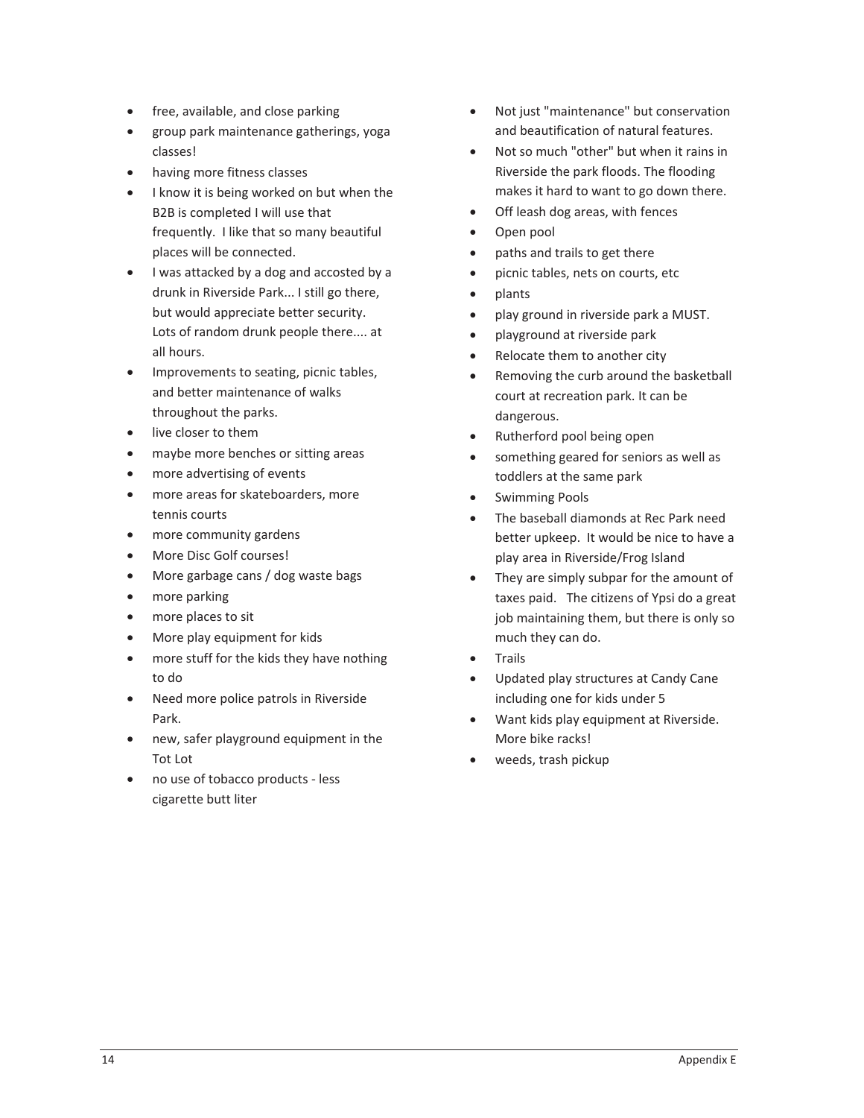- free, available, and close parking
- group park maintenance gatherings, yoga classes!
- having more fitness classes
- I know it is being worked on but when the B2B is completed I will use that frequently. I like that so many beautiful places will be connected.
- I was attacked by a dog and accosted by a drunk in Riverside Park... I still go there, but would appreciate better security. Lots of random drunk people there.... at all hours.
- Improvements to seating, picnic tables, and better maintenance of walks throughout the parks.
- live closer to them
- maybe more benches or sitting areas
- more advertising of events
- more areas for skateboarders, more tennis courts
- more community gardens
- More Disc Golf courses!
- More garbage cans / dog waste bags
- $\bullet$  more parking
- more places to sit
- More play equipment for kids
- more stuff for the kids they have nothing to do
- Need more police patrols in Riverside Park.
- new, safer playground equipment in the Tot Lot
- no use of tobacco products less cigarette butt liter
- Not just "maintenance" but conservation and beautification of natural features.
- Not so much "other" but when it rains in Riverside the park floods. The flooding makes it hard to want to go down there.
- Off leash dog areas, with fences
- Open pool
- paths and trails to get there
- picnic tables, nets on courts, etc
- x plants
- play ground in riverside park a MUST.
- playground at riverside park
- Relocate them to another city
- Removing the curb around the basketball court at recreation park. It can be dangerous.
- Rutherford pool being open
- something geared for seniors as well as toddlers at the same park
- Swimming Pools
- The baseball diamonds at Rec Park need better upkeep. It would be nice to have a play area in Riverside/Frog Island
- They are simply subpar for the amount of taxes paid. The citizens of Ypsi do a great job maintaining them, but there is only so much they can do.
- Trails
- Updated play structures at Candy Cane including one for kids under 5
- Want kids play equipment at Riverside. More bike racks!
- weeds, trash pickup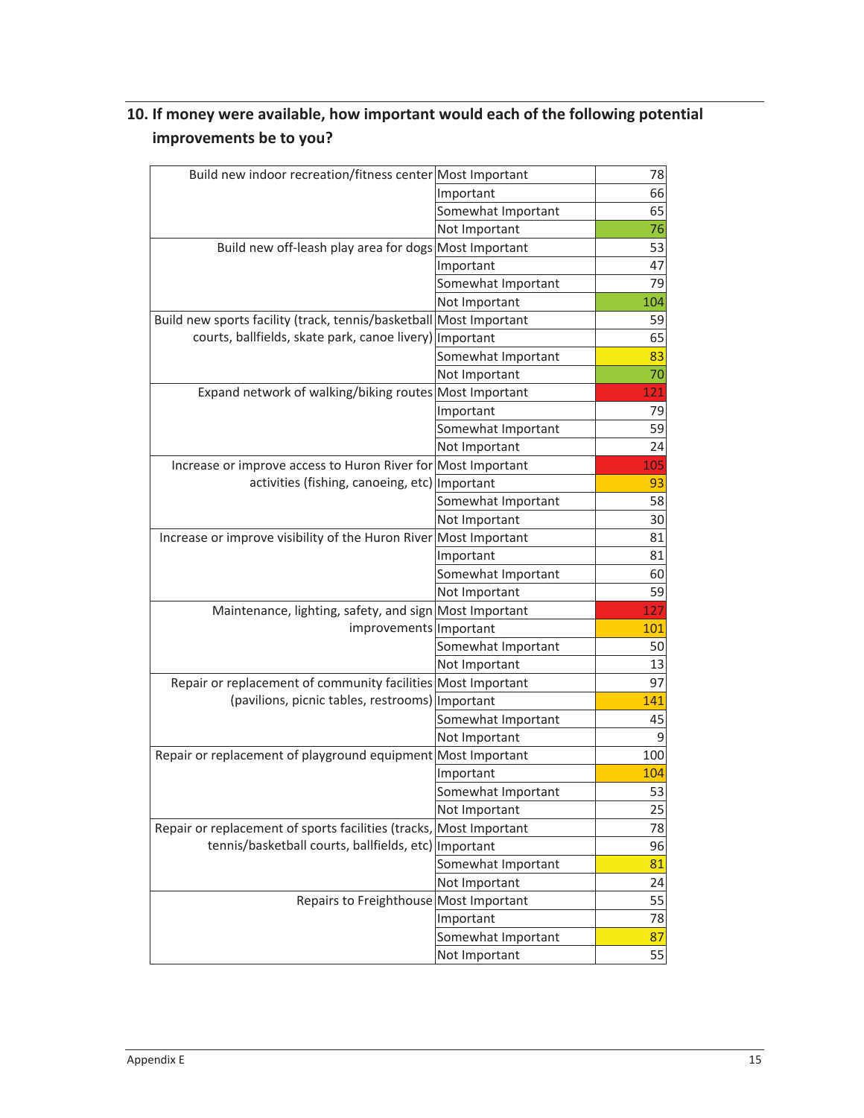# **10. If money were available, how important would each of the following potential improvements be to you?**

| Build new indoor recreation/fitness center Most Important          |                    | 78  |
|--------------------------------------------------------------------|--------------------|-----|
|                                                                    | Important          | 66  |
|                                                                    | Somewhat Important | 65  |
|                                                                    | Not Important      | 76  |
| Build new off-leash play area for dogs Most Important              |                    | 53  |
|                                                                    | Important          | 47  |
|                                                                    | Somewhat Important | 79  |
|                                                                    | Not Important      | 104 |
| Build new sports facility (track, tennis/basketball Most Important |                    | 59  |
| courts, ballfields, skate park, canoe livery)   Important          |                    | 65  |
|                                                                    | Somewhat Important | 83  |
|                                                                    | Not Important      | 70  |
| Expand network of walking/biking routes Most Important             |                    | 121 |
|                                                                    | Important          | 79  |
|                                                                    | Somewhat Important | 59  |
|                                                                    | Not Important      | 24  |
| Increase or improve access to Huron River for Most Important       |                    | 105 |
| activities (fishing, canoeing, etc) Important                      |                    | 93  |
|                                                                    | Somewhat Important | 58  |
|                                                                    | Not Important      | 30  |
| Increase or improve visibility of the Huron River Most Important   |                    | 81  |
|                                                                    | Important          | 81  |
|                                                                    | Somewhat Important | 60  |
|                                                                    | Not Important      | 59  |
| Maintenance, lighting, safety, and sign Most Important             |                    | 127 |
| improvements Important                                             |                    | 101 |
|                                                                    | Somewhat Important | 50  |
|                                                                    | Not Important      | 13  |
| Repair or replacement of community facilities Most Important       |                    | 97  |
| (pavilions, picnic tables, restrooms) Important                    |                    | 141 |
|                                                                    | Somewhat Important | 45  |
|                                                                    | Not Important      | 9   |
| Repair or replacement of playground equipment Most Important       |                    | 100 |
|                                                                    | Important          | 104 |
|                                                                    | Somewhat Important | 53  |
|                                                                    | Not Important      | 25  |
| Repair or replacement of sports facilities (tracks, Most Important |                    | 78  |
| tennis/basketball courts, ballfields, etc)   Important             |                    | 96  |
|                                                                    | Somewhat Important | 81  |
|                                                                    | Not Important      | 24  |
| Repairs to Freighthouse Most Important                             |                    | 55  |
|                                                                    | Important          | 78  |
|                                                                    | Somewhat Important | 87  |
|                                                                    | Not Important      | 55  |
|                                                                    |                    |     |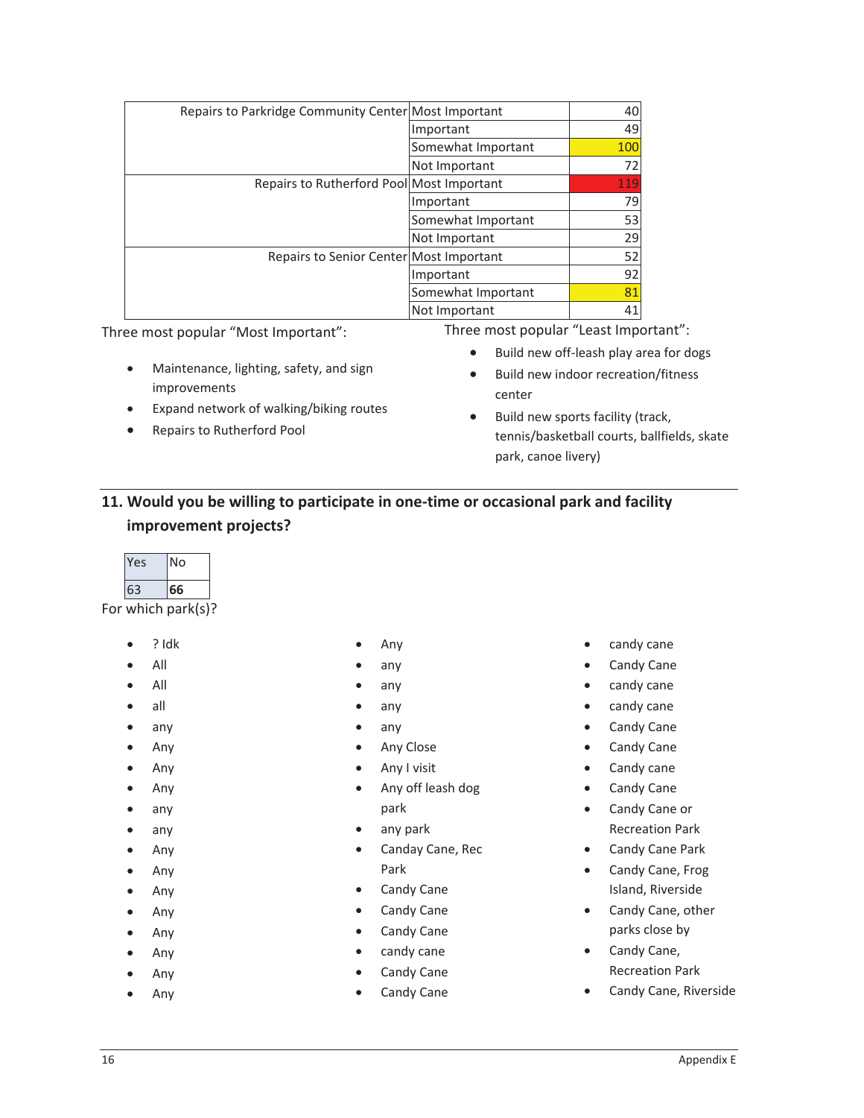| Repairs to Parkridge Community Center Most Important |                    | 40  |
|------------------------------------------------------|--------------------|-----|
|                                                      | Important          | 49  |
|                                                      | Somewhat Important | 100 |
|                                                      | Not Important      | 72  |
| Repairs to Rutherford Pool Most Important            |                    | 119 |
|                                                      | Important          | 79  |
|                                                      | Somewhat Important | 53  |
|                                                      | Not Important      | 29  |
| Repairs to Senior Center Most Important              |                    | 52  |
|                                                      | Important          | 92  |
|                                                      | Somewhat Important | 81  |
|                                                      | Not Important      | 41  |

Three most popular "Most Important":

- Maintenance, lighting, safety, and sign improvements
- Expand network of walking/biking routes
- Repairs to Rutherford Pool

Three most popular "Least Important":

- Build new off-leash play area for dogs
- Build new indoor recreation/fitness center
- $\bullet$  Build new sports facility (track, tennis/basketball courts, ballfields, skate park, canoe livery)

# **11. Would you be willing to participate in oneͲtime or occasional park and facility improvement projects?**

| es | No |  |
|----|----|--|
| 53 | 66 |  |
|    |    |  |

For which park(s)?

- x ? Idk
- $\bullet$  All
- $\bullet$  All
- $\bullet$  all
- $\bullet$  any
- $\bullet$  Any
- $\bullet$  Any
- $\bullet$  Any
- $\bullet$  any
- $\bullet$  any
- $\bullet$  Any
- $\bullet$  Any
- $\bullet$  Any
- $\bullet$  Any
- $\bullet$  Any
- $\bullet$  Any
- Any
- $\bullet$  Any
- Any
- any
- 
- $\bullet$  any
- $\bullet$  any
- Any Close
- $\bullet$  Any I visit
- Any off leash dog park
- any park
- Canday Cane, Rec Park
- Candy Cane
- Candy Cane
- Candy Cane
- $\bullet$  candy cane
- Candy Cane
- Candy Cane
- candy cane
- Candy Cane
- candy cane
- $\bullet$  candy cane
- Candy Cane
- Candy Cane
- Candy cane
- Candy Cane
- Candy Cane or Recreation Park
- Candy Cane Park
- Candy Cane, Frog Island, Riverside
- Candy Cane, other parks close by
- Candy Cane, Recreation Park
- Candy Cane, Riverside
- -
	- any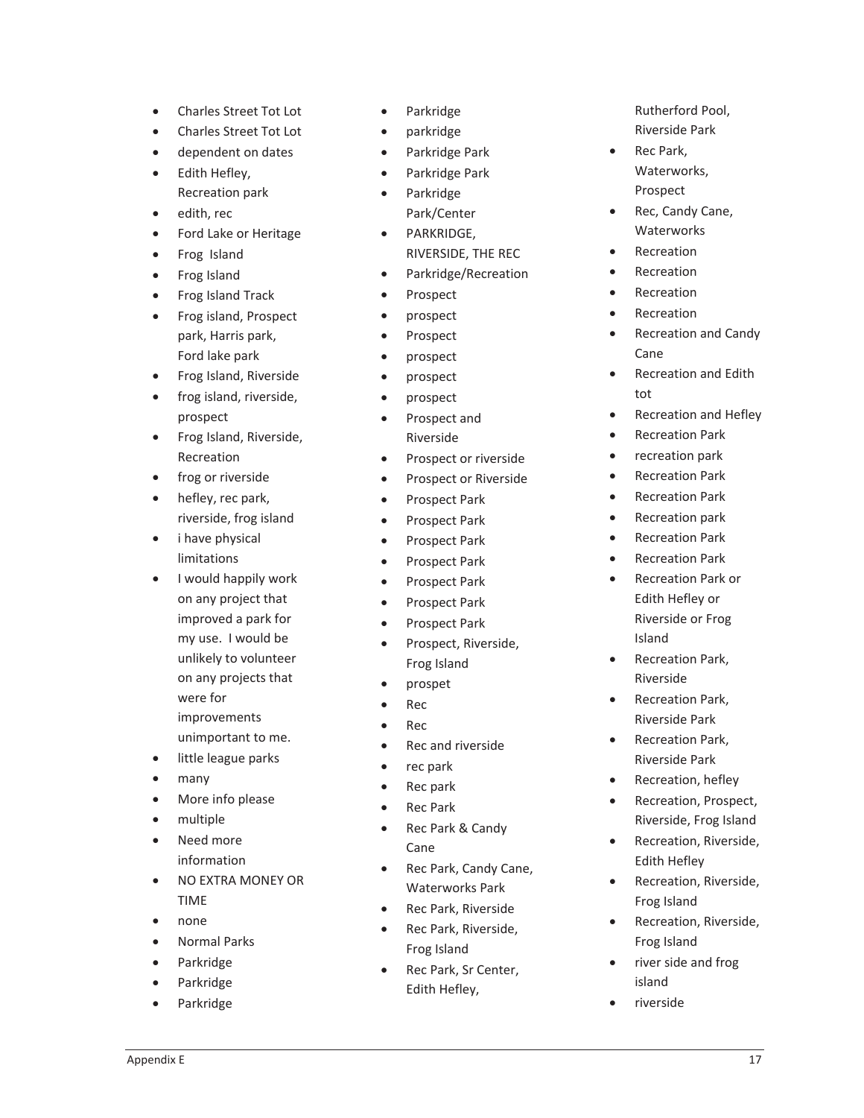- Charles Street Tot Lot
- Charles Street Tot Lot
- dependent on dates
- Edith Hefley, Recreation park
- $\bullet$  edith, rec
- Ford Lake or Heritage
- Frog Island
- Frog Island
- Frog Island Track
- Frog island, Prospect park, Harris park, Ford lake park
- Frog Island, Riverside
- frog island, riverside, prospect
- Frog Island, Riverside, Recreation
- frog or riverside
- hefley, rec park, riverside, frog island
- $\bullet$ i have physical limitations
- $\bullet$ I would happily work on any project that improved a park for my use. I would be unlikely to volunteer on any projects that were for improvements unimportant to me.
- little league parks
- many
- More info please
- multiple
- Need more information
- NO EXTRA MONEY OR TIME
- none
- Normal Parks
- Parkridge
- Parkridge
- Parkridge
- Parkridge
- parkridge
- Parkridge Park
- Parkridge Park Parkridge
	- Park/Center
- PARKRIDGE,
- RIVERSIDE, THE REC Parkridge/Recreation
- 
- Prospect
- $\bullet$  prospect
- Prospect
- prospect prospect
- $\bullet$  prospect
- Prospect and Riverside
- Prospect or riverside
- Prospect or Riverside
- Prospect Park
- Prospect Park
- Prospect Park
- Prospect Park
- Prospect Park
- Prospect Park
- Prospect Park
- Prospect, Riverside, Frog Island
- $\bullet$  prospet
- **Rec**
- $\bullet$  Rec
- Rec and riverside
- $\bullet$  rec park
- $\bullet$  Rec park
- Rec Park
- Rec Park & Candy Cane
- Rec Park, Candy Cane, Waterworks Park
- Rec Park, Riverside
- Rec Park, Riverside, Frog Island
- Rec Park, Sr Center, Edith Hefley,

Rutherford Pool, Riverside Park

- Rec Park, Waterworks, Prospect
- Rec, Candy Cane, **Waterworks**
- Recreation
- **Recreation**
- Recreation
- **Recreation**
- Recreation and Candy Cane
- Recreation and Edith tot
- Recreation and Hefley
- Recreation Park
- recreation park
- Recreation Park
- Recreation Park
- Recreation park
- Recreation Park
- **Recreation Park**
- x Recreation Park or Edith Hefley or Riverside or Frog Island
- Recreation Park, Riverside
- Recreation Park, Riverside Park
- Recreation Park, Riverside Park
- Recreation, hefley
- Recreation, Prospect, Riverside, Frog Island
- Recreation, Riverside, Edith Hefley
- Recreation, Riverside, Frog Island
- Recreation, Riverside, Frog Island
- river side and frog island
- riverside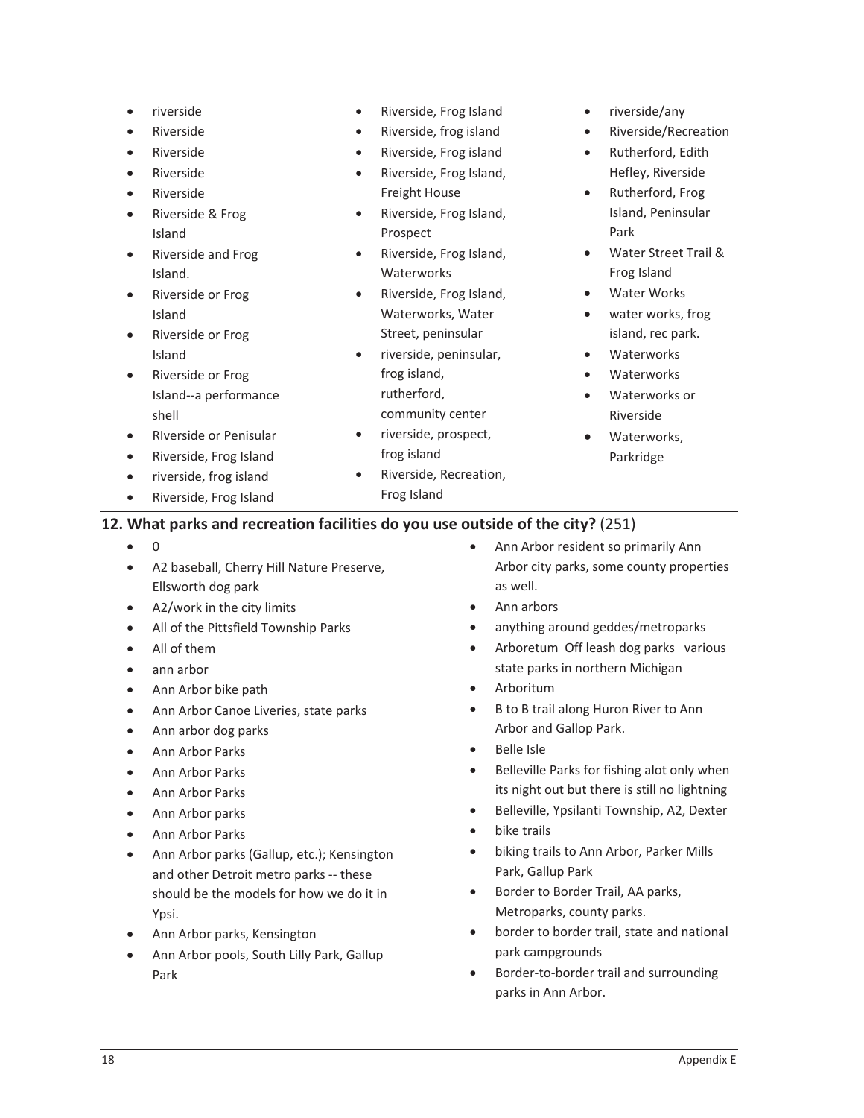- riverside
- **Riverside**
- **Riverside**
- Riverside
- **Riverside**
- Riverside & Frog Island
- Riverside and Frog Island.
- Riverside or Frog Island
- Riverside or Frog Island
- Riverside or Frog Island--a performance shell
- x RIverside or Penisular
- Riverside, Frog Island
- $\bullet$  riverside, frog island
- Riverside, Frog Island
- Riverside, Frog Island
- Riverside, frog island
- Riverside, Frog island
- Riverside, Frog Island, Freight House
- Riverside, Frog Island, Prospect
- x Riverside, Frog Island, **Waterworks**
- x Riverside, Frog Island, Waterworks, Water Street, peninsular
- x riverside, peninsular, frog island, rutherford, community center
- riverside, prospect, frog island
- Riverside, Recreation, Frog Island
- $\bullet$  riverside/any
- Riverside/Recreation
- Rutherford, Edith Hefley, Riverside
- Rutherford, Frog Island, Peninsular Park
- x Water Street Trail & Frog Island
- Water Works
- water works, frog island, rec park.
- **Waterworks**
- **Waterworks**
- Waterworks or Riverside
- Waterworks, Parkridge

#### **12. What parks and recreation facilities do you use outside of the city?** (251)

- $\bullet$  0
- A2 baseball, Cherry Hill Nature Preserve, Ellsworth dog park
- $\bullet$  A2/work in the city limits
- All of the Pittsfield Township Parks
- All of them
- ann arbor
- Ann Arbor bike path
- Ann Arbor Canoe Liveries, state parks
- Ann arbor dog parks
- Ann Arbor Parks
- Ann Arbor Parks
- Ann Arbor Parks
- Ann Arbor parks
- Ann Arbor Parks
- Ann Arbor parks (Gallup, etc.); Kensington and other Detroit metro parks -- these should be the models for how we do it in Ypsi.
- Ann Arbor parks, Kensington
- Ann Arbor pools, South Lilly Park, Gallup Park
- Ann Arbor resident so primarily Ann Arbor city parks, some county properties as well.
- Ann arbors
- anything around geddes/metroparks
- Arboretum Off leash dog parks various state parks in northern Michigan
- **Arboritum**
- B to B trail along Huron River to Ann Arbor and Gallop Park.
- x Belle Isle
- Belleville Parks for fishing alot only when its night out but there is still no lightning
- **•** Belleville, Ypsilanti Township, A2, Dexter
- bike trails
- biking trails to Ann Arbor, Parker Mills Park, Gallup Park
- Border to Border Trail, AA parks, Metroparks, county parks.
- border to border trail, state and national park campgrounds
- Border-to-border trail and surrounding parks in Ann Arbor.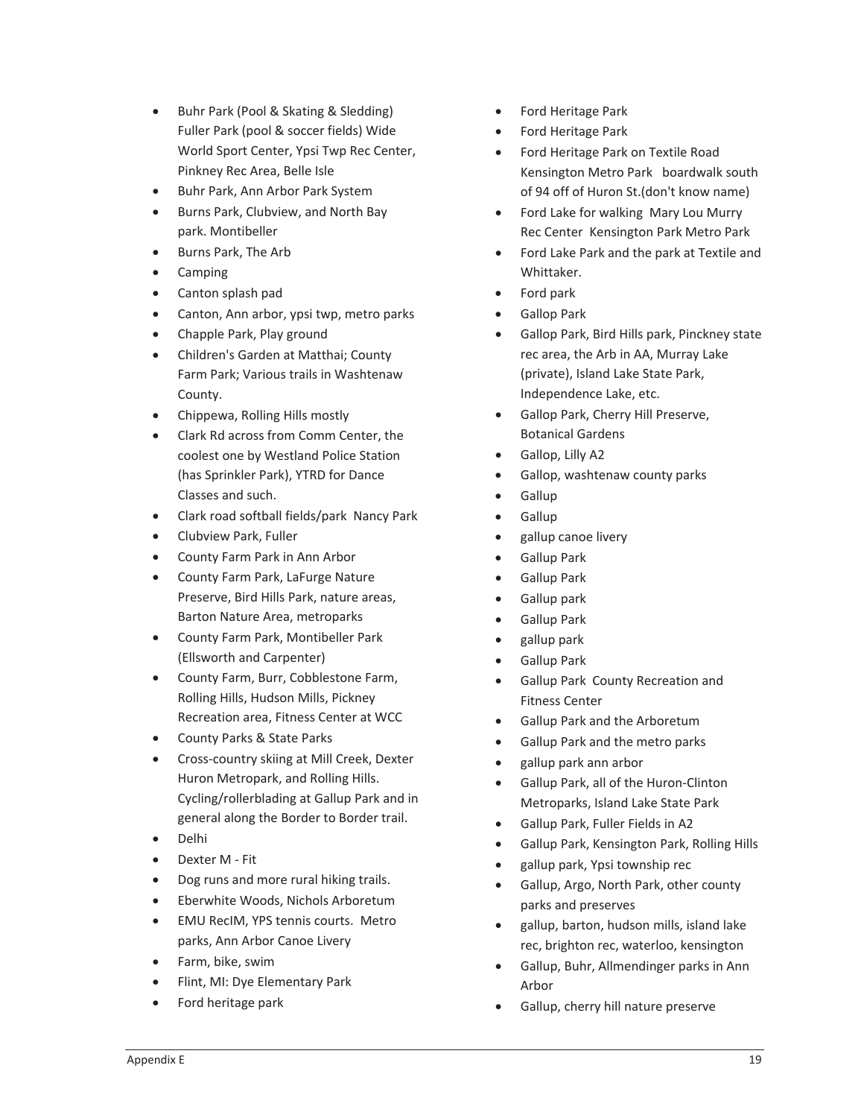- Buhr Park (Pool & Skating & Sledding) Fuller Park (pool & soccer fields) Wide World Sport Center, Ypsi Twp Rec Center, Pinkney Rec Area, Belle Isle
- Buhr Park, Ann Arbor Park System
- **•** Burns Park, Clubview, and North Bay park. Montibeller
- Burns Park, The Arb
- Camping
- Canton splash pad
- Canton, Ann arbor, ypsi twp, metro parks
- Chapple Park, Play ground
- x Children's Garden at Matthai; County Farm Park; Various trails in Washtenaw County.
- Chippewa, Rolling Hills mostly
- Clark Rd across from Comm Center, the coolest one by Westland Police Station (has Sprinkler Park), YTRD for Dance Classes and such.
- Clark road softball fields/park Nancy Park
- Clubview Park, Fuller
- County Farm Park in Ann Arbor
- County Farm Park, LaFurge Nature Preserve, Bird Hills Park, nature areas, Barton Nature Area, metroparks
- **•** County Farm Park, Montibeller Park (Ellsworth and Carpenter)
- County Farm, Burr, Cobblestone Farm, Rolling Hills, Hudson Mills, Pickney Recreation area, Fitness Center at WCC
- County Parks & State Parks
- Cross-country skiing at Mill Creek, Dexter Huron Metropark, and Rolling Hills. Cycling/rollerblading at Gallup Park and in general along the Border to Border trail.
- Delhi
- Dexter M Fit
- Dog runs and more rural hiking trails.
- **•** Eberwhite Woods, Nichols Arboretum
- EMU RecIM, YPS tennis courts. Metro parks, Ann Arbor Canoe Livery
- Farm, bike, swim
- Flint, MI: Dye Elementary Park
- Ford heritage park
- x Ford Heritage Park
- Ford Heritage Park
- Ford Heritage Park on Textile Road Kensington Metro Park boardwalk south of 94 off of Huron St.(don't know name)
- Ford Lake for walking Mary Lou Murry Rec Center Kensington Park Metro Park
- Ford Lake Park and the park at Textile and Whittaker.
- Ford park
- Gallop Park
- **•** Gallop Park, Bird Hills park, Pinckney state rec area, the Arb in AA, Murray Lake (private), Island Lake State Park, Independence Lake, etc.
- **•** Gallop Park, Cherry Hill Preserve, Botanical Gardens
- Gallop, Lilly A2
- Gallop, washtenaw county parks
- Gallup
- Gallup
- gallup canoe livery
- **•** Gallup Park
- Gallup Park
- **•** Gallup park
- **•** Gallup Park
- x gallup park
- **•** Gallup Park
- Gallup Park County Recreation and Fitness Center
- Gallup Park and the Arboretum
- Gallup Park and the metro parks
- gallup park ann arbor
- Gallup Park, all of the Huron-Clinton Metroparks, Island Lake State Park
- Gallup Park, Fuller Fields in A2
- Gallup Park, Kensington Park, Rolling Hills
- x gallup park, Ypsi township rec
- Gallup, Argo, North Park, other county parks and preserves
- gallup, barton, hudson mills, island lake rec, brighton rec, waterloo, kensington
- Gallup, Buhr, Allmendinger parks in Ann Arbor
- Gallup, cherry hill nature preserve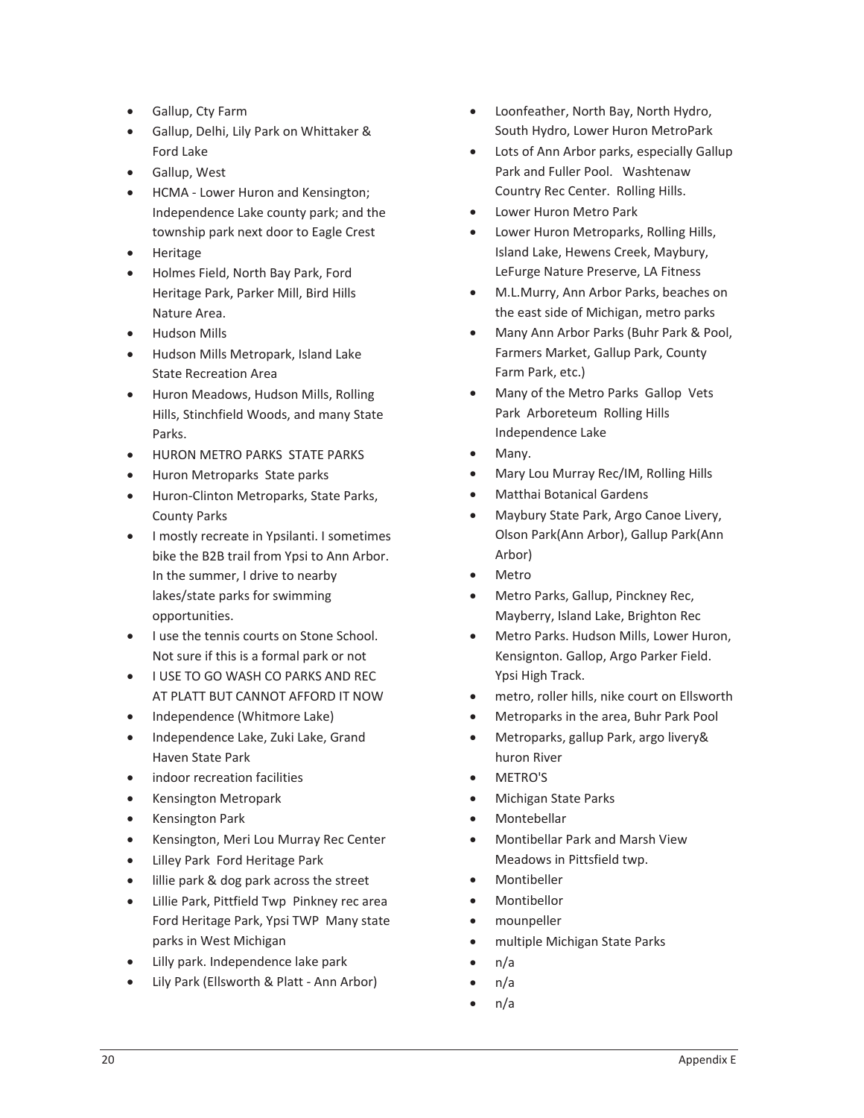- Gallup, Cty Farm
- **•** Gallup, Delhi, Lily Park on Whittaker & Ford Lake
- **•** Gallup, West
- HCMA Lower Huron and Kensington; Independence Lake county park; and the township park next door to Eagle Crest
- **Heritage**
- Holmes Field, North Bay Park, Ford Heritage Park, Parker Mill, Bird Hills Nature Area.
- **•** Hudson Mills
- Hudson Mills Metropark, Island Lake State Recreation Area
- Huron Meadows, Hudson Mills, Rolling Hills, Stinchfield Woods, and many State Parks.
- HURON METRO PARKS STATE PARKS
- Huron Metroparks State parks
- **•** Huron-Clinton Metroparks, State Parks, County Parks
- **•** I mostly recreate in Ypsilanti. I sometimes bike the B2B trail from Ypsi to Ann Arbor. In the summer, I drive to nearby lakes/state parks for swimming opportunities.
- **•** I use the tennis courts on Stone School. Not sure if this is a formal park or not
- **USE TO GO WASH CO PARKS AND REC** AT PLATT BUT CANNOT AFFORD IT NOW
- Independence (Whitmore Lake)
- Independence Lake, Zuki Lake, Grand Haven State Park
- indoor recreation facilities
- Kensington Metropark
- Kensington Park
- **•** Kensington, Meri Lou Murray Rec Center
- Lilley Park Ford Heritage Park
- **illie park & dog park across the street**
- Lillie Park, Pittfield Twp Pinkney rec area Ford Heritage Park, Ypsi TWP Many state parks in West Michigan
- Lilly park. Independence lake park
- Lily Park (Ellsworth & Platt Ann Arbor)
- Loonfeather, North Bay, North Hydro, South Hydro, Lower Huron MetroPark
- Lots of Ann Arbor parks, especially Gallup Park and Fuller Pool. Washtenaw Country Rec Center. Rolling Hills.
- Lower Huron Metro Park
- Lower Huron Metroparks, Rolling Hills, Island Lake, Hewens Creek, Maybury, LeFurge Nature Preserve, LA Fitness
- M.L.Murry, Ann Arbor Parks, beaches on the east side of Michigan, metro parks
- x Many Ann Arbor Parks (Buhr Park & Pool, Farmers Market, Gallup Park, County Farm Park, etc.)
- Many of the Metro Parks Gallop Vets Park Arboreteum Rolling Hills Independence Lake
- Many.
- x Mary Lou Murray Rec/IM, Rolling Hills
- Matthai Botanical Gardens
- x Maybury State Park, Argo Canoe Livery, Olson Park(Ann Arbor), Gallup Park(Ann Arbor)
- Metro
- Metro Parks, Gallup, Pinckney Rec, Mayberry, Island Lake, Brighton Rec
- Metro Parks. Hudson Mills, Lower Huron, Kensignton. Gallop, Argo Parker Field. Ypsi High Track.
- metro, roller hills, nike court on Ellsworth
- x Metroparks in the area, Buhr Park Pool
- x Metroparks, gallup Park, argo livery& huron River
- x METRO'S
- x Michigan State Parks
- **Montebellar**
- x Montibellar Park and Marsh View Meadows in Pittsfield twp.
- **Montibeller**
- **Montibellor**
- mounpeller
- multiple Michigan State Parks
- $n/a$
- $n/a$
- $n/a$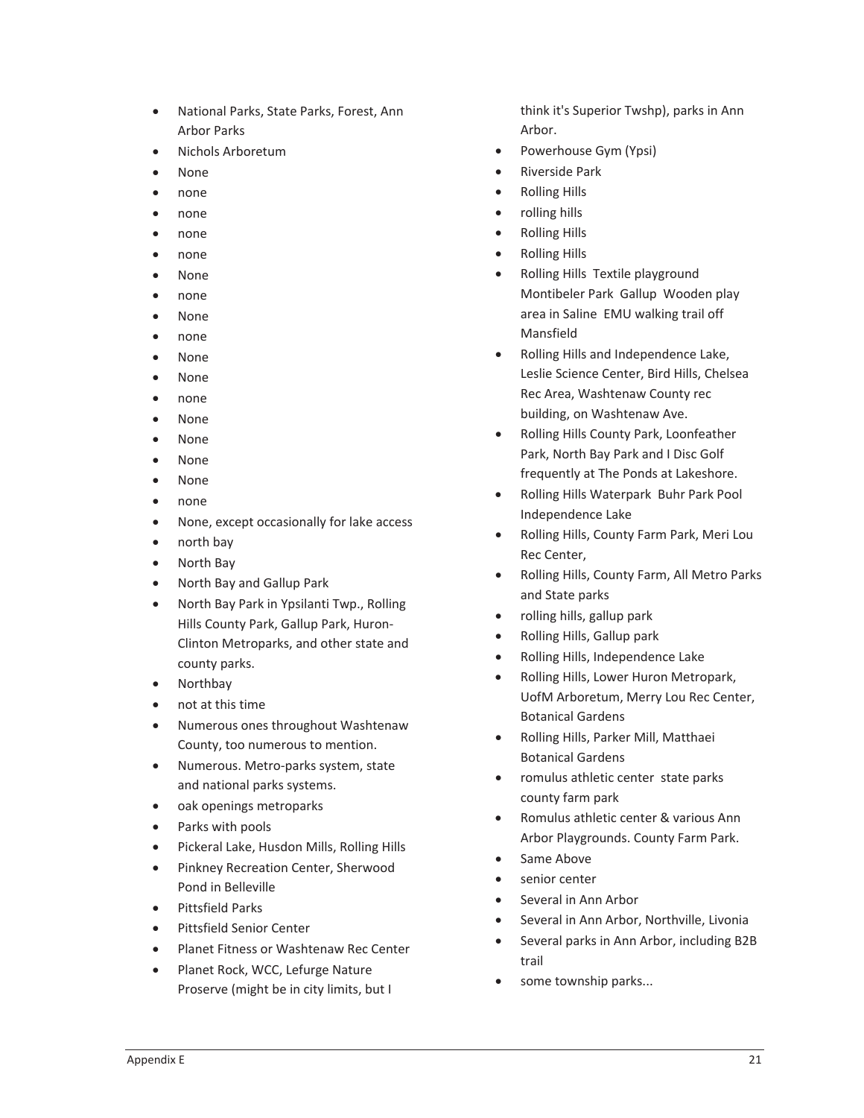- National Parks, State Parks, Forest, Ann Arbor Parks
- · Nichols Arboretum
- None
- none
- $\bullet$  none
- none
- $\bullet$  none
- None
- $\bullet$  none
- None
- none
- **None**
- $\bullet$  None
- none
- None
- **None**
- None
- None
- none
- None, except occasionally for lake access
- $\bullet$  north bay
- North Bay
- North Bay and Gallup Park
- North Bay Park in Ypsilanti Twp., Rolling Hills County Park, Gallup Park, Huron-Clinton Metroparks, and other state and county parks.
- Northbay
- not at this time
- Numerous ones throughout Washtenaw County, too numerous to mention.
- Numerous. Metro-parks system, state and national parks systems.
- oak openings metroparks
- Parks with pools
- Pickeral Lake, Husdon Mills, Rolling Hills
- **•** Pinkney Recreation Center, Sherwood Pond in Belleville
- Pittsfield Parks
- Pittsfield Senior Center
- Planet Fitness or Washtenaw Rec Center
- Planet Rock, WCC, Lefurge Nature Proserve (might be in city limits, but I

think it's Superior Twshp), parks in Ann Arbor.

- Powerhouse Gym (Ypsi)
- Riverside Park
- Rolling Hills
- x rolling hills
- Rolling Hills
- Rolling Hills
- Rolling Hills Textile playground Montibeler Park Gallup Wooden play area in Saline EMU walking trail off Mansfield
- x Rolling Hills and Independence Lake, Leslie Science Center, Bird Hills, Chelsea Rec Area, Washtenaw County rec building, on Washtenaw Ave.
- x Rolling Hills County Park, Loonfeather Park, North Bay Park and I Disc Golf frequently at The Ponds at Lakeshore.
- Rolling Hills Waterpark Buhr Park Pool Independence Lake
- x Rolling Hills, County Farm Park, Meri Lou Rec Center,
- Rolling Hills, County Farm, All Metro Parks and State parks
- $\bullet$  rolling hills, gallup park
- Rolling Hills, Gallup park
- Rolling Hills, Independence Lake
- Rolling Hills, Lower Huron Metropark, UofM Arboretum, Merry Lou Rec Center, Botanical Gardens
- x Rolling Hills, Parker Mill, Matthaei Botanical Gardens
- romulus athletic center state parks county farm park
- Romulus athletic center & various Ann Arbor Playgrounds. County Farm Park.
- Same Above
- senior center
- Several in Ann Arbor
- Several in Ann Arbor, Northville, Livonia
- Several parks in Ann Arbor, including B2B trail
- some township parks...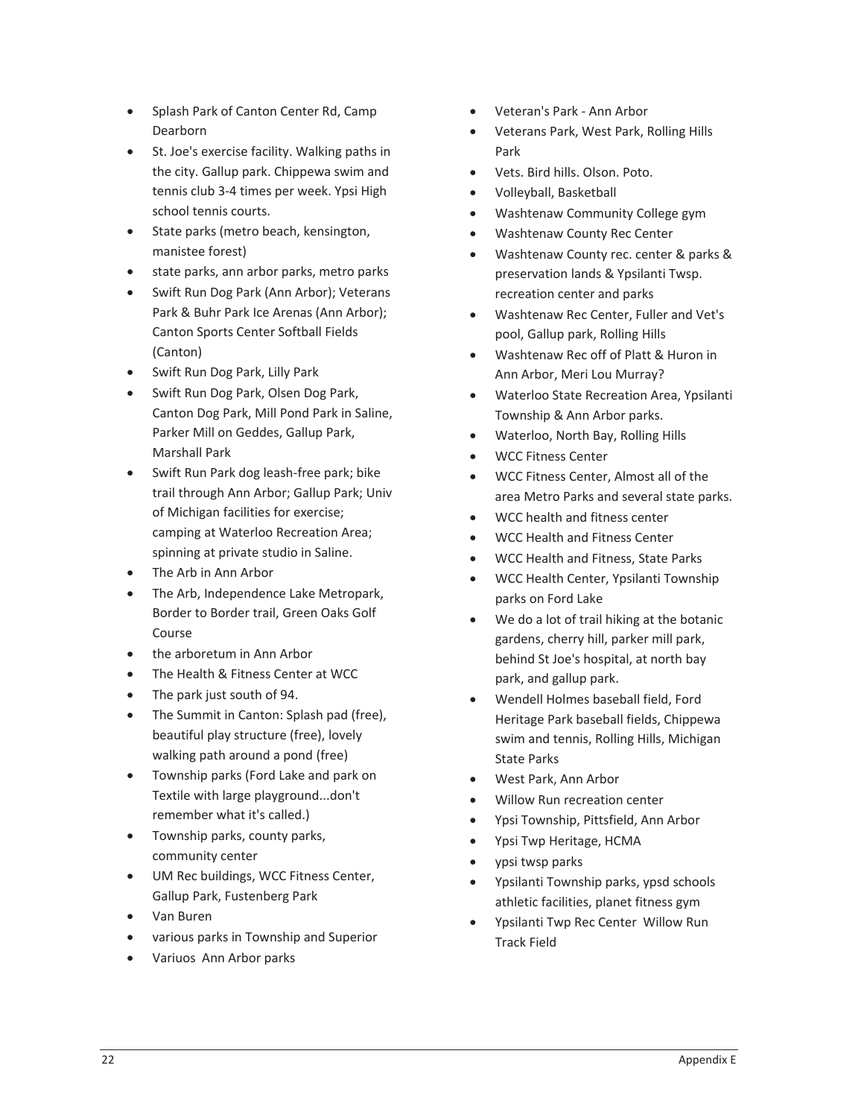- Splash Park of Canton Center Rd, Camp Dearborn
- St. Joe's exercise facility. Walking paths in the city. Gallup park. Chippewa swim and tennis club 3-4 times per week. Ypsi High school tennis courts.
- State parks (metro beach, kensington, manistee forest)
- state parks, ann arbor parks, metro parks
- Swift Run Dog Park (Ann Arbor); Veterans Park & Buhr Park Ice Arenas (Ann Arbor); Canton Sports Center Softball Fields (Canton)
- Swift Run Dog Park, Lilly Park
- Swift Run Dog Park, Olsen Dog Park, Canton Dog Park, Mill Pond Park in Saline, Parker Mill on Geddes, Gallup Park, Marshall Park
- Swift Run Park dog leash-free park; bike trail through Ann Arbor; Gallup Park; Univ of Michigan facilities for exercise; camping at Waterloo Recreation Area; spinning at private studio in Saline.
- The Arb in Ann Arbor
- The Arb, Independence Lake Metropark, Border to Border trail, Green Oaks Golf Course
- the arboretum in Ann Arbor
- The Health & Fitness Center at WCC
- The park just south of 94.
- The Summit in Canton: Splash pad (free), beautiful play structure (free), lovely walking path around a pond (free)
- Township parks (Ford Lake and park on Textile with large playground...don't remember what it's called.)
- Township parks, county parks, community center
- UM Rec buildings, WCC Fitness Center, Gallup Park, Fustenberg Park
- Van Buren
- x various parks in Township and Superior
- Variuos Ann Arbor parks
- Veteran's Park Ann Arbor
- x Veterans Park, West Park, Rolling Hills Park
- Vets. Bird hills. Olson. Poto.
- x Volleyball, Basketball
- x Washtenaw Community College gym
- Washtenaw County Rec Center
- x Washtenaw County rec. center & parks & preservation lands & Ypsilanti Twsp. recreation center and parks
- x Washtenaw Rec Center, Fuller and Vet's pool, Gallup park, Rolling Hills
- x Washtenaw Rec off of Platt & Huron in Ann Arbor, Meri Lou Murray?
- Waterloo State Recreation Area, Ypsilanti Township & Ann Arbor parks.
- Waterloo, North Bay, Rolling Hills
- x WCC Fitness Center
- x WCC Fitness Center, Almost all of the area Metro Parks and several state parks.
- x WCC health and fitness center
- x WCC Health and Fitness Center
- x WCC Health and Fitness, State Parks
- x WCC Health Center, Ypsilanti Township parks on Ford Lake
- We do a lot of trail hiking at the botanic gardens, cherry hill, parker mill park, behind St Joe's hospital, at north bay park, and gallup park.
- Wendell Holmes baseball field, Ford Heritage Park baseball fields, Chippewa swim and tennis, Rolling Hills, Michigan State Parks
- x West Park, Ann Arbor
- x Willow Run recreation center
- x Ypsi Township, Pittsfield, Ann Arbor
- x Ypsi Twp Heritage, HCMA
- ypsi twsp parks
- x Ypsilanti Township parks, ypsd schools athletic facilities, planet fitness gym
- Ypsilanti Twp Rec Center Willow Run Track Field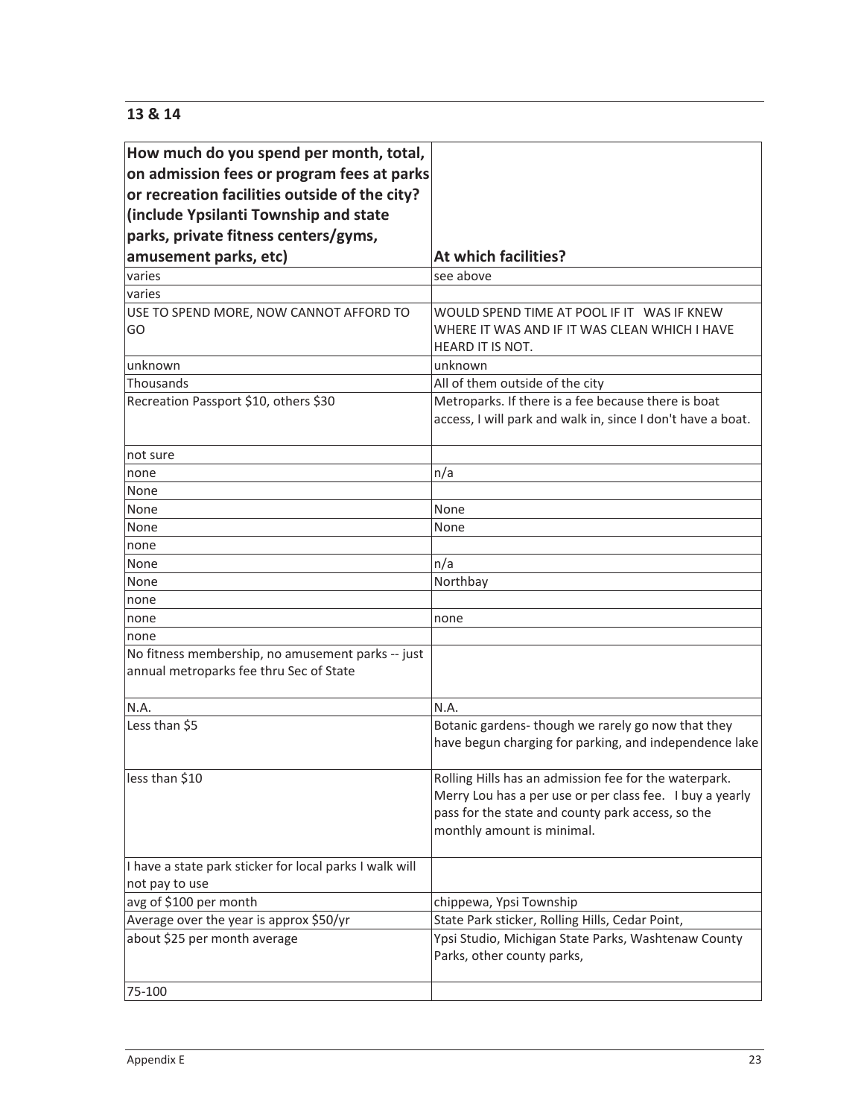# **13 & 14**

| How much do you spend per month, total,                                                      |                                                             |
|----------------------------------------------------------------------------------------------|-------------------------------------------------------------|
| on admission fees or program fees at parks                                                   |                                                             |
| or recreation facilities outside of the city?                                                |                                                             |
| (include Ypsilanti Township and state                                                        |                                                             |
| parks, private fitness centers/gyms,                                                         |                                                             |
| amusement parks, etc)                                                                        | At which facilities?                                        |
| varies                                                                                       | see above                                                   |
| varies                                                                                       |                                                             |
| USE TO SPEND MORE, NOW CANNOT AFFORD TO                                                      | WOULD SPEND TIME AT POOL IF IT WAS IF KNEW                  |
| GO                                                                                           | WHERE IT WAS AND IF IT WAS CLEAN WHICH I HAVE               |
|                                                                                              | <b>HEARD IT IS NOT.</b>                                     |
| unknown                                                                                      | unknown                                                     |
| Thousands                                                                                    | All of them outside of the city                             |
| Recreation Passport \$10, others \$30                                                        | Metroparks. If there is a fee because there is boat         |
|                                                                                              | access, I will park and walk in, since I don't have a boat. |
|                                                                                              |                                                             |
| not sure                                                                                     |                                                             |
| none                                                                                         | n/a                                                         |
| None                                                                                         |                                                             |
| None                                                                                         | None                                                        |
| None                                                                                         | None                                                        |
| none                                                                                         |                                                             |
| None                                                                                         | n/a                                                         |
| None                                                                                         | Northbay                                                    |
| none                                                                                         |                                                             |
| none                                                                                         | none                                                        |
| none                                                                                         |                                                             |
| No fitness membership, no amusement parks -- just<br>annual metroparks fee thru Sec of State |                                                             |
| N.A.                                                                                         | N.A.                                                        |
| Less than \$5                                                                                | Botanic gardens-though we rarely go now that they           |
|                                                                                              | have begun charging for parking, and independence lake      |
|                                                                                              |                                                             |
| less than \$10                                                                               | Rolling Hills has an admission fee for the waterpark.       |
|                                                                                              | Merry Lou has a per use or per class fee. I buy a yearly    |
|                                                                                              | pass for the state and county park access, so the           |
|                                                                                              | monthly amount is minimal.                                  |
|                                                                                              |                                                             |
| I have a state park sticker for local parks I walk will                                      |                                                             |
| not pay to use                                                                               |                                                             |
| avg of \$100 per month                                                                       | chippewa, Ypsi Township                                     |
| Average over the year is approx \$50/yr                                                      | State Park sticker, Rolling Hills, Cedar Point,             |
| about \$25 per month average                                                                 | Ypsi Studio, Michigan State Parks, Washtenaw County         |
|                                                                                              | Parks, other county parks,                                  |
|                                                                                              |                                                             |
| 75-100                                                                                       |                                                             |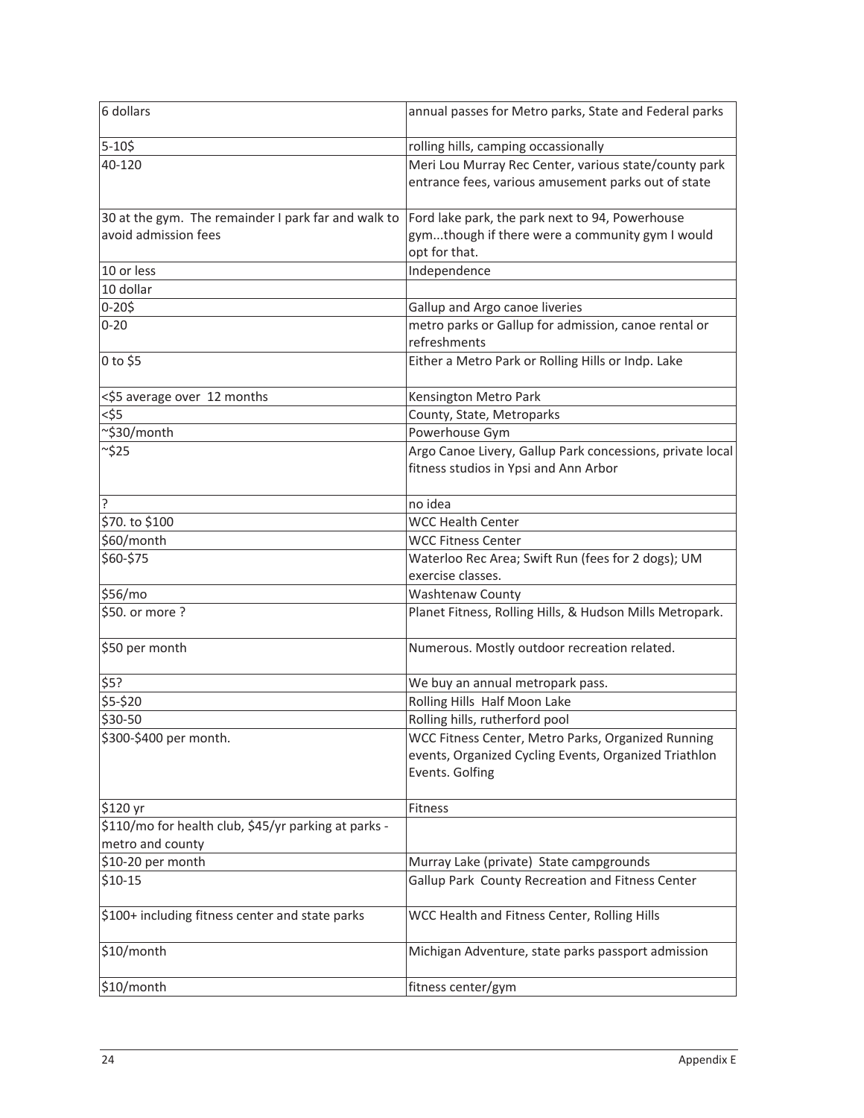| 6 dollars                                                                   | annual passes for Metro parks, State and Federal parks                                                                         |  |  |  |  |
|-----------------------------------------------------------------------------|--------------------------------------------------------------------------------------------------------------------------------|--|--|--|--|
| $5 - 105$                                                                   | rolling hills, camping occassionally                                                                                           |  |  |  |  |
| 40-120                                                                      | Meri Lou Murray Rec Center, various state/county park<br>entrance fees, various amusement parks out of state                   |  |  |  |  |
| 30 at the gym. The remainder I park far and walk to<br>avoid admission fees | Ford lake park, the park next to 94, Powerhouse<br>gymthough if there were a community gym I would<br>opt for that.            |  |  |  |  |
| 10 or less                                                                  | Independence                                                                                                                   |  |  |  |  |
| 10 dollar                                                                   |                                                                                                                                |  |  |  |  |
| $0 - 205$                                                                   | Gallup and Argo canoe liveries                                                                                                 |  |  |  |  |
| $0 - 20$                                                                    | metro parks or Gallup for admission, canoe rental or<br>refreshments                                                           |  |  |  |  |
| 0 to \$5                                                                    | Either a Metro Park or Rolling Hills or Indp. Lake                                                                             |  |  |  |  |
| <\$5 average over 12 months                                                 | Kensington Metro Park                                                                                                          |  |  |  |  |
| $<$ \$5                                                                     | County, State, Metroparks                                                                                                      |  |  |  |  |
| ~\$30/month                                                                 | Powerhouse Gym                                                                                                                 |  |  |  |  |
| ~\$25                                                                       | Argo Canoe Livery, Gallup Park concessions, private local<br>fitness studios in Ypsi and Ann Arbor                             |  |  |  |  |
| ŗ                                                                           | no idea                                                                                                                        |  |  |  |  |
| \$70. to \$100                                                              | <b>WCC Health Center</b>                                                                                                       |  |  |  |  |
| \$60/month                                                                  | <b>WCC Fitness Center</b>                                                                                                      |  |  |  |  |
| \$60-\$75                                                                   | Waterloo Rec Area; Swift Run (fees for 2 dogs); UM<br>exercise classes.                                                        |  |  |  |  |
| \$56/mo                                                                     | <b>Washtenaw County</b>                                                                                                        |  |  |  |  |
| \$50. or more ?                                                             | Planet Fitness, Rolling Hills, & Hudson Mills Metropark.                                                                       |  |  |  |  |
| \$50 per month                                                              | Numerous. Mostly outdoor recreation related.                                                                                   |  |  |  |  |
| \$5?                                                                        | We buy an annual metropark pass.                                                                                               |  |  |  |  |
| \$5-\$20                                                                    | Rolling Hills Half Moon Lake                                                                                                   |  |  |  |  |
| \$30-50                                                                     | Rolling hills, rutherford pool                                                                                                 |  |  |  |  |
| \$300-\$400 per month.                                                      | WCC Fitness Center, Metro Parks, Organized Running<br>events, Organized Cycling Events, Organized Triathlon<br>Events. Golfing |  |  |  |  |
| \$120 yr                                                                    | Fitness                                                                                                                        |  |  |  |  |
| \$110/mo for health club, \$45/yr parking at parks -<br>metro and county    |                                                                                                                                |  |  |  |  |
| \$10-20 per month                                                           | Murray Lake (private) State campgrounds                                                                                        |  |  |  |  |
| $$10-15$                                                                    | Gallup Park County Recreation and Fitness Center                                                                               |  |  |  |  |
| \$100+ including fitness center and state parks                             | WCC Health and Fitness Center, Rolling Hills                                                                                   |  |  |  |  |
| \$10/month                                                                  | Michigan Adventure, state parks passport admission                                                                             |  |  |  |  |
| \$10/month                                                                  | fitness center/gym                                                                                                             |  |  |  |  |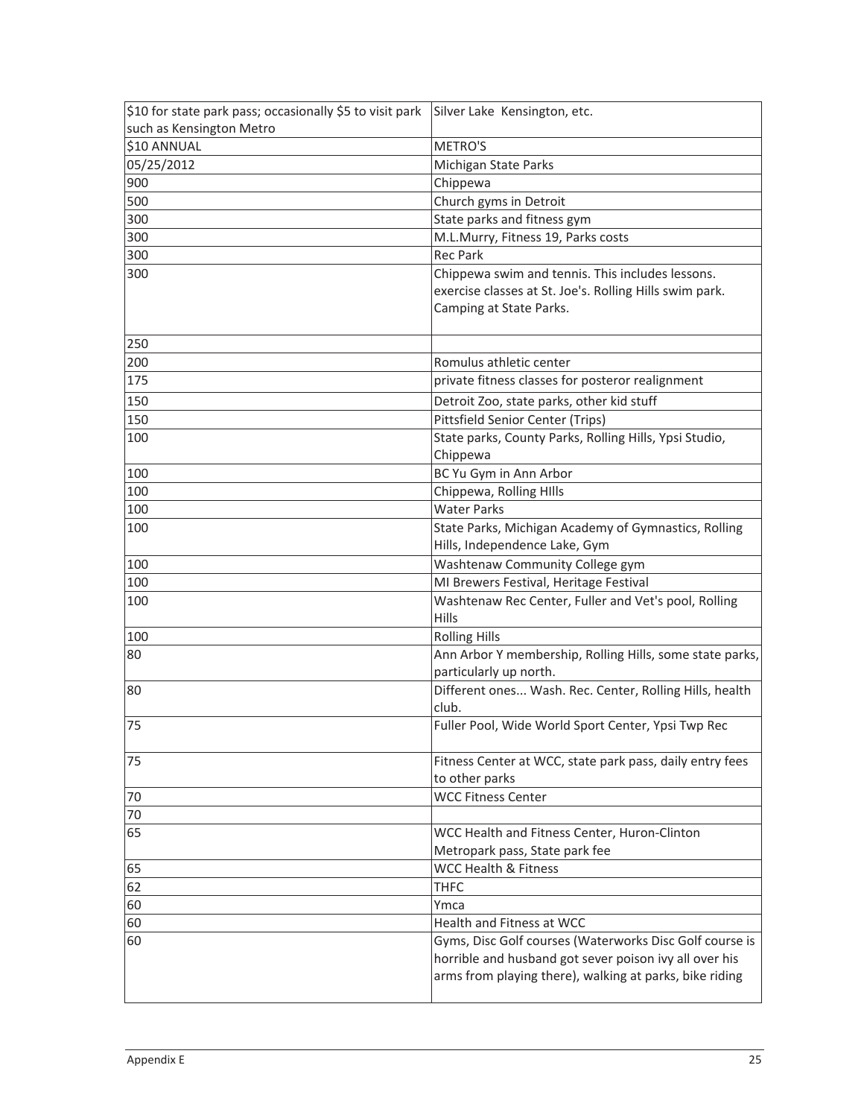| \$10 for state park pass; occasionally \$5 to visit park | Silver Lake Kensington, etc.                             |
|----------------------------------------------------------|----------------------------------------------------------|
| such as Kensington Metro                                 |                                                          |
| \$10 ANNUAL                                              | METRO'S                                                  |
| 05/25/2012                                               | Michigan State Parks                                     |
| 900                                                      | Chippewa                                                 |
| 500                                                      | Church gyms in Detroit                                   |
| 300                                                      | State parks and fitness gym                              |
| 300                                                      | M.L.Murry, Fitness 19, Parks costs                       |
| 300                                                      | <b>Rec Park</b>                                          |
| 300                                                      | Chippewa swim and tennis. This includes lessons.         |
|                                                          | exercise classes at St. Joe's. Rolling Hills swim park.  |
|                                                          | Camping at State Parks.                                  |
|                                                          |                                                          |
| 250                                                      |                                                          |
| 200                                                      | Romulus athletic center                                  |
| 175                                                      | private fitness classes for posteror realignment         |
| 150                                                      | Detroit Zoo, state parks, other kid stuff                |
| 150                                                      | Pittsfield Senior Center (Trips)                         |
| 100                                                      | State parks, County Parks, Rolling Hills, Ypsi Studio,   |
|                                                          | Chippewa                                                 |
| 100                                                      | BC Yu Gym in Ann Arbor                                   |
| 100                                                      | Chippewa, Rolling HIlls                                  |
| 100                                                      | <b>Water Parks</b>                                       |
| 100                                                      | State Parks, Michigan Academy of Gymnastics, Rolling     |
|                                                          | Hills, Independence Lake, Gym                            |
| 100                                                      | Washtenaw Community College gym                          |
| 100                                                      | MI Brewers Festival, Heritage Festival                   |
| 100                                                      | Washtenaw Rec Center, Fuller and Vet's pool, Rolling     |
|                                                          | Hills                                                    |
| 100                                                      | <b>Rolling Hills</b>                                     |
| 80                                                       | Ann Arbor Y membership, Rolling Hills, some state parks, |
|                                                          | particularly up north.                                   |
| 80                                                       | Different ones Wash. Rec. Center, Rolling Hills, health  |
|                                                          | club.                                                    |
| 75                                                       | Fuller Pool, Wide World Sport Center, Ypsi Twp Rec       |
|                                                          |                                                          |
| 75                                                       | Fitness Center at WCC, state park pass, daily entry fees |
|                                                          | to other parks                                           |
| 70                                                       | <b>WCC Fitness Center</b>                                |
| 70                                                       |                                                          |
| 65                                                       | WCC Health and Fitness Center, Huron-Clinton             |
|                                                          | Metropark pass, State park fee                           |
| 65                                                       | <b>WCC Health &amp; Fitness</b>                          |
| 62                                                       | <b>THFC</b>                                              |
| 60                                                       | Ymca                                                     |
| 60                                                       | Health and Fitness at WCC                                |
| 60                                                       | Gyms, Disc Golf courses (Waterworks Disc Golf course is  |
|                                                          | horrible and husband got sever poison ivy all over his   |
|                                                          | arms from playing there), walking at parks, bike riding  |
|                                                          |                                                          |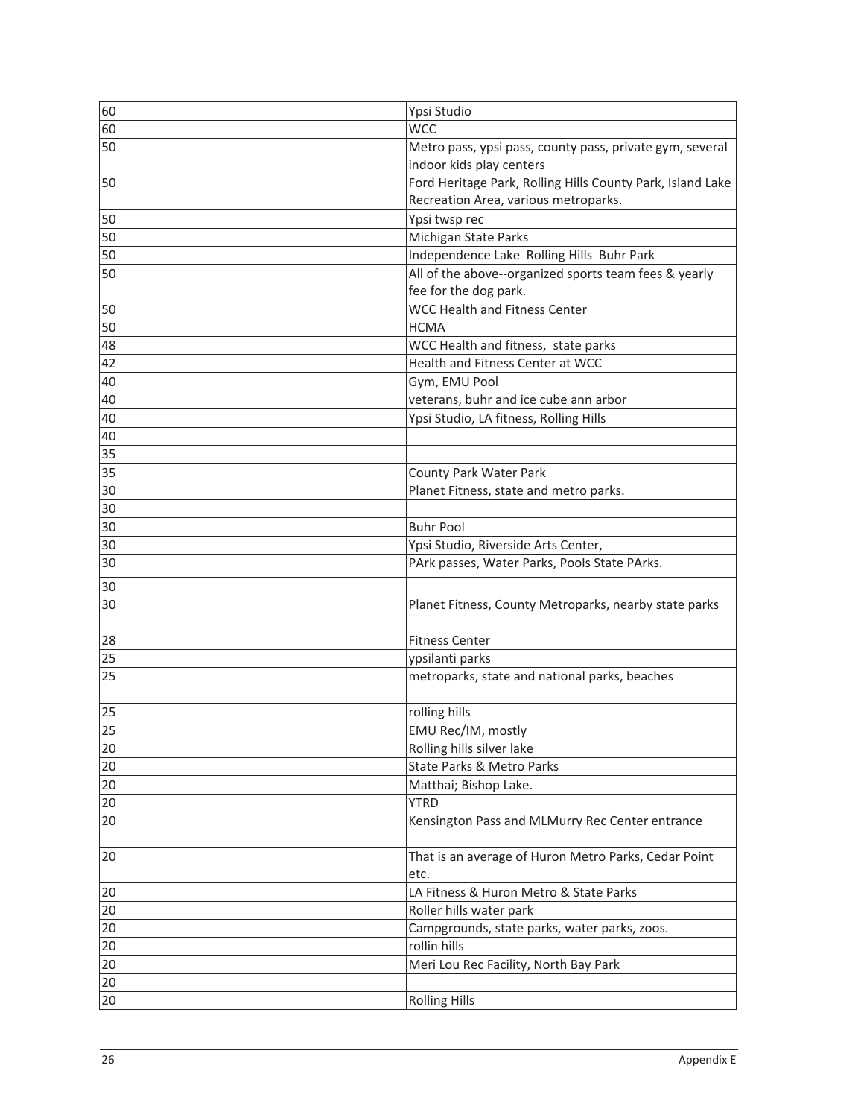| 60 | Ypsi Studio                                                                                        |
|----|----------------------------------------------------------------------------------------------------|
| 60 | <b>WCC</b>                                                                                         |
| 50 | Metro pass, ypsi pass, county pass, private gym, several<br>indoor kids play centers               |
| 50 | Ford Heritage Park, Rolling Hills County Park, Island Lake<br>Recreation Area, various metroparks. |
| 50 | Ypsi twsp rec                                                                                      |
| 50 | Michigan State Parks                                                                               |
| 50 | Independence Lake Rolling Hills Buhr Park                                                          |
| 50 | All of the above--organized sports team fees & yearly<br>fee for the dog park.                     |
| 50 | <b>WCC Health and Fitness Center</b>                                                               |
| 50 | <b>HCMA</b>                                                                                        |
| 48 | WCC Health and fitness, state parks                                                                |
| 42 | Health and Fitness Center at WCC                                                                   |
| 40 | Gym, EMU Pool                                                                                      |
| 40 | veterans, buhr and ice cube ann arbor                                                              |
| 40 | Ypsi Studio, LA fitness, Rolling Hills                                                             |
| 40 |                                                                                                    |
| 35 |                                                                                                    |
| 35 | County Park Water Park                                                                             |
| 30 | Planet Fitness, state and metro parks.                                                             |
| 30 |                                                                                                    |
| 30 | <b>Buhr Pool</b>                                                                                   |
| 30 | Ypsi Studio, Riverside Arts Center,                                                                |
| 30 | PArk passes, Water Parks, Pools State PArks.                                                       |
|    |                                                                                                    |
| 30 |                                                                                                    |
| 30 | Planet Fitness, County Metroparks, nearby state parks                                              |
| 28 | <b>Fitness Center</b>                                                                              |
| 25 | ypsilanti parks                                                                                    |
| 25 | metroparks, state and national parks, beaches                                                      |
| 25 | rolling hills                                                                                      |
| 25 | EMU Rec/IM, mostly                                                                                 |
| 20 | Rolling hills silver lake                                                                          |
| 20 | State Parks & Metro Parks                                                                          |
| 20 | Matthai; Bishop Lake.                                                                              |
| 20 | <b>YTRD</b>                                                                                        |
| 20 | Kensington Pass and MLMurry Rec Center entrance                                                    |
| 20 | That is an average of Huron Metro Parks, Cedar Point<br>etc.                                       |
| 20 | LA Fitness & Huron Metro & State Parks                                                             |
| 20 | Roller hills water park                                                                            |
| 20 | Campgrounds, state parks, water parks, zoos.                                                       |
| 20 | rollin hills                                                                                       |
| 20 | Meri Lou Rec Facility, North Bay Park                                                              |
| 20 |                                                                                                    |
| 20 | <b>Rolling Hills</b>                                                                               |
|    |                                                                                                    |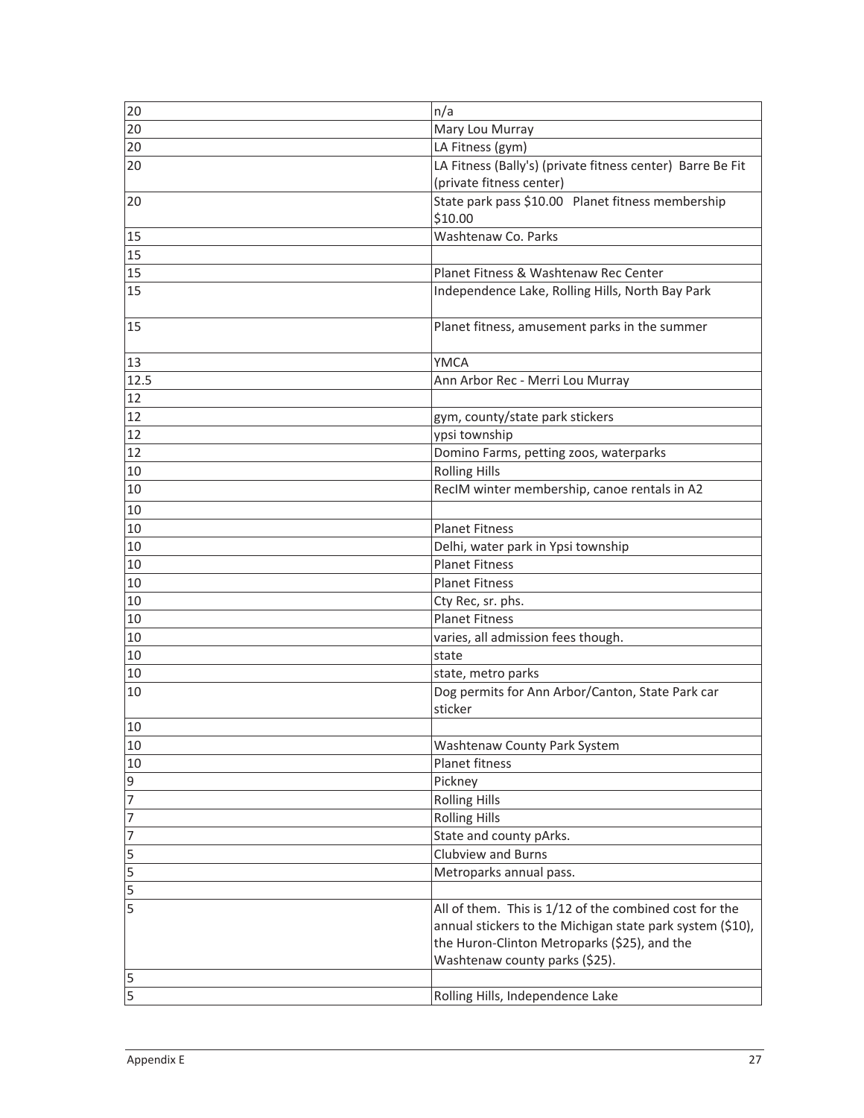| 20              | n/a                                                        |  |  |  |  |
|-----------------|------------------------------------------------------------|--|--|--|--|
| 20              | Mary Lou Murray                                            |  |  |  |  |
| 20              | LA Fitness (gym)                                           |  |  |  |  |
| 20              | LA Fitness (Bally's) (private fitness center) Barre Be Fit |  |  |  |  |
|                 | (private fitness center)                                   |  |  |  |  |
| 20              | State park pass \$10.00 Planet fitness membership          |  |  |  |  |
|                 | \$10.00                                                    |  |  |  |  |
| 15              | Washtenaw Co. Parks                                        |  |  |  |  |
| 15              |                                                            |  |  |  |  |
| 15              | Planet Fitness & Washtenaw Rec Center                      |  |  |  |  |
| $\overline{15}$ | Independence Lake, Rolling Hills, North Bay Park           |  |  |  |  |
|                 |                                                            |  |  |  |  |
| 15              | Planet fitness, amusement parks in the summer              |  |  |  |  |
|                 |                                                            |  |  |  |  |
| 13              | <b>YMCA</b>                                                |  |  |  |  |
| 12.5            | Ann Arbor Rec - Merri Lou Murray                           |  |  |  |  |
| 12              |                                                            |  |  |  |  |
| 12              | gym, county/state park stickers                            |  |  |  |  |
| 12              | ypsi township                                              |  |  |  |  |
| 12              | Domino Farms, petting zoos, waterparks                     |  |  |  |  |
| 10              | <b>Rolling Hills</b>                                       |  |  |  |  |
| 10              | RecIM winter membership, canoe rentals in A2               |  |  |  |  |
| 10              |                                                            |  |  |  |  |
| 10              | <b>Planet Fitness</b>                                      |  |  |  |  |
| 10              | Delhi, water park in Ypsi township                         |  |  |  |  |
| 10              | <b>Planet Fitness</b>                                      |  |  |  |  |
| 10              | <b>Planet Fitness</b>                                      |  |  |  |  |
| 10              |                                                            |  |  |  |  |
| 10              | Cty Rec, sr. phs.<br><b>Planet Fitness</b>                 |  |  |  |  |
| 10              |                                                            |  |  |  |  |
| 10              | varies, all admission fees though.<br>state                |  |  |  |  |
| 10              | state, metro parks                                         |  |  |  |  |
| 10              | Dog permits for Ann Arbor/Canton, State Park car           |  |  |  |  |
|                 | sticker                                                    |  |  |  |  |
| 10              |                                                            |  |  |  |  |
| 10              | Washtenaw County Park System                               |  |  |  |  |
| 10              | Planet fitness                                             |  |  |  |  |
| 9               | Pickney                                                    |  |  |  |  |
| 7               | <b>Rolling Hills</b>                                       |  |  |  |  |
| 7               | <b>Rolling Hills</b>                                       |  |  |  |  |
| 7               | State and county pArks.                                    |  |  |  |  |
| 5               | <b>Clubview and Burns</b>                                  |  |  |  |  |
| 5               | Metroparks annual pass.                                    |  |  |  |  |
| 5               |                                                            |  |  |  |  |
| 5               | All of them. This is 1/12 of the combined cost for the     |  |  |  |  |
|                 | annual stickers to the Michigan state park system (\$10),  |  |  |  |  |
|                 | the Huron-Clinton Metroparks (\$25), and the               |  |  |  |  |
|                 | Washtenaw county parks (\$25).                             |  |  |  |  |
| 5               |                                                            |  |  |  |  |
| 5               | Rolling Hills, Independence Lake                           |  |  |  |  |
|                 |                                                            |  |  |  |  |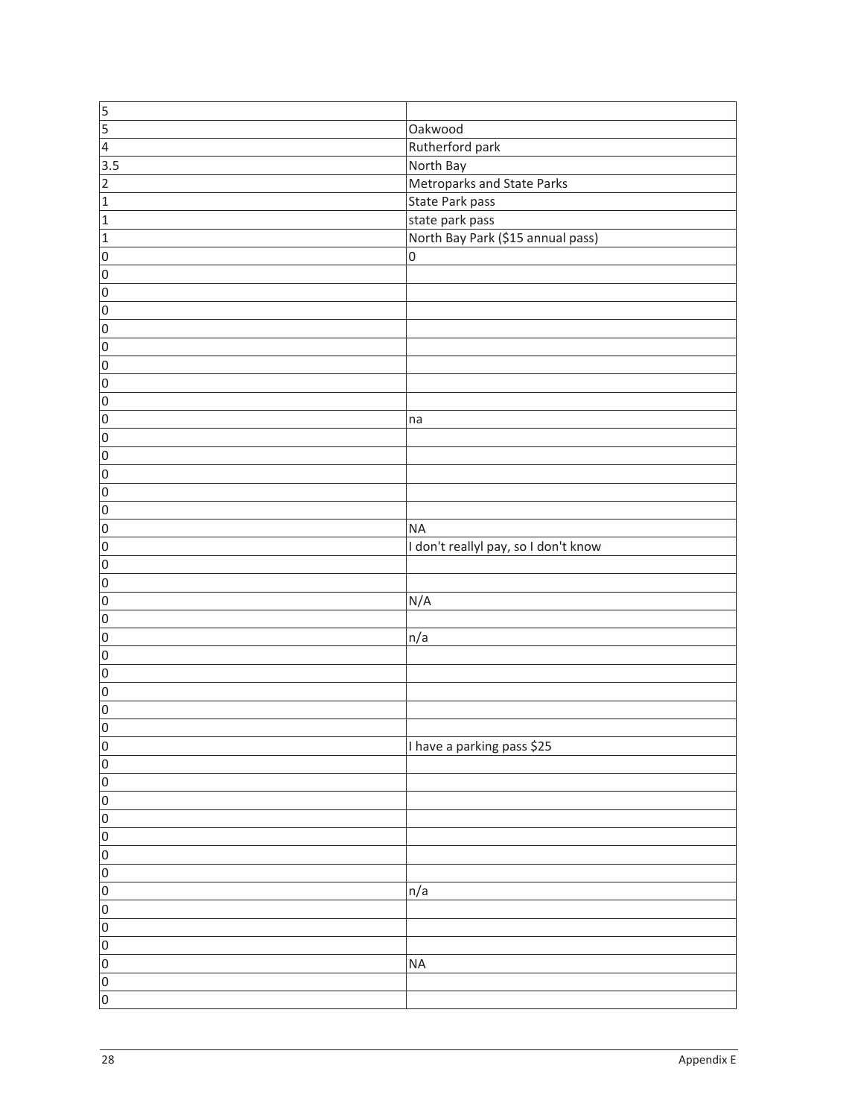| $\frac{5}{5}$                     |                                      |
|-----------------------------------|--------------------------------------|
|                                   | Oakwood                              |
| $\overline{4}$                    | Rutherford park                      |
| $\overline{3.5}$                  | North Bay                            |
| $\overline{2}$                    | Metroparks and State Parks           |
| $\vert$ 1                         | State Park pass                      |
| $\vert$ 1                         | state park pass                      |
| $\vert$ 1                         | North Bay Park (\$15 annual pass)    |
| $\overline{0}$                    | $\boldsymbol{0}$                     |
| $\overline{0}$                    |                                      |
| $\overline{0}$                    |                                      |
| $\overline{0}$                    |                                      |
| $\overline{0}$                    |                                      |
| $\overline{0}$                    |                                      |
| $\overline{0}$                    |                                      |
| $\overline{0}$                    |                                      |
| $\overline{0}$                    |                                      |
| $\overline{0}$                    | na                                   |
| $\overline{0}$                    |                                      |
| $\overline{0}$                    |                                      |
| $\overline{0}$                    |                                      |
| $\overline{0}$                    |                                      |
| $\overline{0}$                    |                                      |
| $\overline{0}$                    | <b>NA</b>                            |
| $\overline{0}$                    | I don't reallyl pay, so I don't know |
| $\overline{0}$                    |                                      |
| $\overline{0}$                    |                                      |
| $\overline{0}$                    | N/A                                  |
| $\overline{0}$                    |                                      |
| $\overline{0}$                    | n/a                                  |
| $\overline{0}$                    |                                      |
| $\overline{0}$                    |                                      |
| $\overline{0}$                    |                                      |
| $\overline{0}$                    |                                      |
| $\overline{0}$                    |                                      |
|                                   | I have a parking pass \$25           |
| $\vert 0 \vert$<br>$\overline{0}$ |                                      |
|                                   |                                      |
| $\overline{0}$                    |                                      |
| $\overline{0}$                    |                                      |
| $\overline{0}$                    |                                      |
| $\overline{0}$                    |                                      |
| $\overline{0}$                    |                                      |
| $\overline{0}$                    |                                      |
| $\overline{0}$                    | n/a                                  |
| $\overline{0}$                    |                                      |
| $\overline{0}$                    |                                      |
| $\overline{0}$                    |                                      |
| $\overline{0}$                    | <b>NA</b>                            |
| $\overline{0}$                    |                                      |
| $\overline{0}$                    |                                      |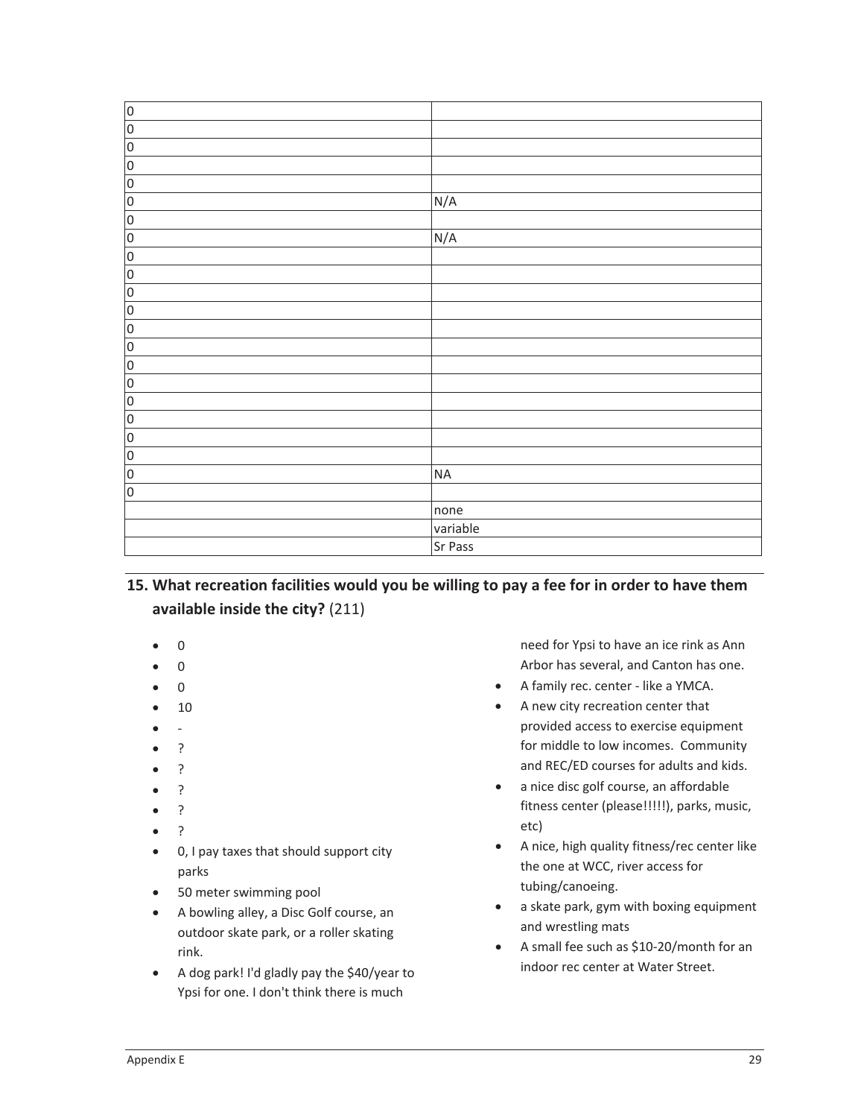| $\overline{0}$ |           |
|----------------|-----------|
| $\overline{0}$ |           |
| $\overline{0}$ |           |
| $\overline{0}$ |           |
| $\overline{0}$ |           |
| $\overline{0}$ | N/A       |
| O              |           |
| O              | N/A       |
| O              |           |
| $\overline{0}$ |           |
| $\overline{0}$ |           |
| $\overline{0}$ |           |
| $\overline{0}$ |           |
| $\overline{0}$ |           |
| O              |           |
| O              |           |
| $\overline{0}$ |           |
| $\overline{0}$ |           |
| O              |           |
| O              |           |
| $\overline{0}$ | <b>NA</b> |
| O              |           |
|                | none      |
|                | variable  |
|                | Sr Pass   |
|                |           |

**15. What recreation facilities would you be willing to pay a fee for in order to have them available inside the city?** (211)

- $\overline{0}$
- $\overline{0}$
- $\Omega$
- x 10
- $\overline{a}$
- x ?
- x ?
- x ?
- x ?
- $\overline{?}$
- 0, I pay taxes that should support city parks
- 50 meter swimming pool
- A bowling alley, a Disc Golf course, an outdoor skate park, or a roller skating rink.
- A dog park! I'd gladly pay the \$40/year to Ypsi for one. I don't think there is much

need for Ypsi to have an ice rink as Ann Arbor has several, and Canton has one.

- A family rec. center like a YMCA.
- A new city recreation center that provided access to exercise equipment for middle to low incomes. Community and REC/ED courses for adults and kids.
- a nice disc golf course, an affordable fitness center (please!!!!!), parks, music, etc)
- A nice, high quality fitness/rec center like the one at WCC, river access for tubing/canoeing.
- a skate park, gym with boxing equipment and wrestling mats
- A small fee such as \$10-20/month for an indoor rec center at Water Street.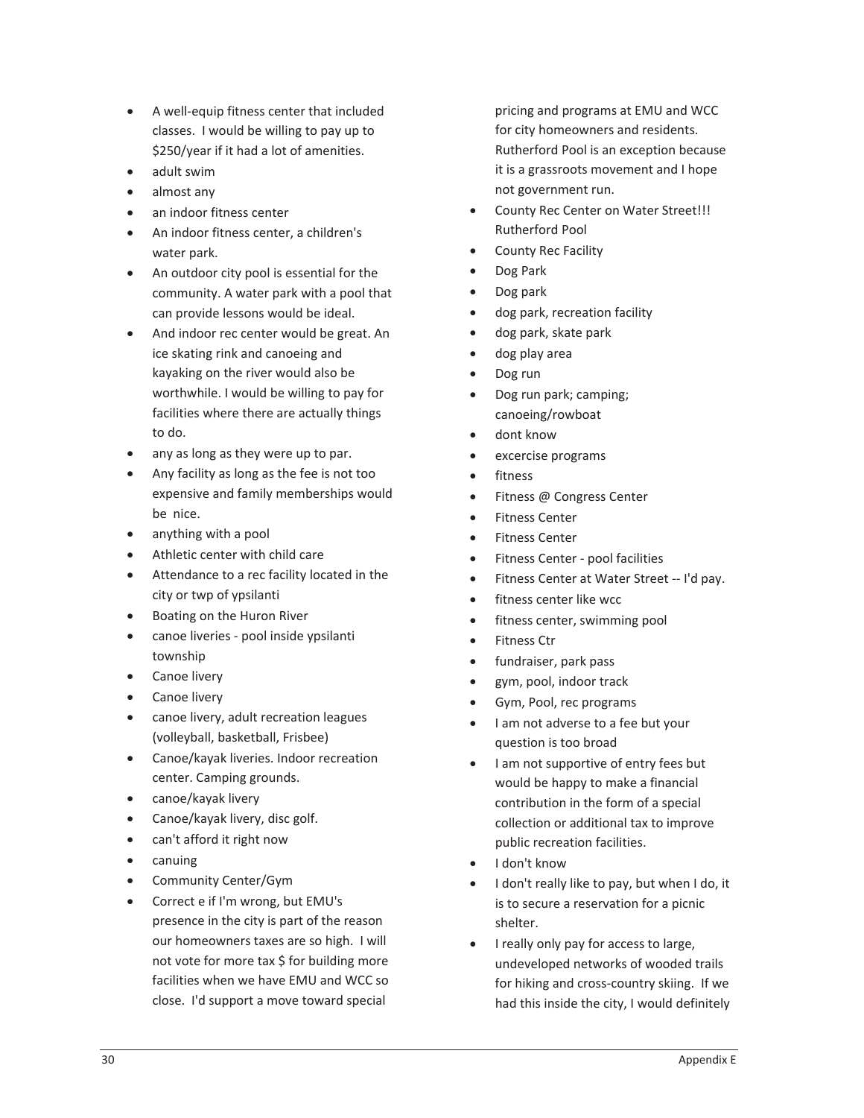- A well-equip fitness center that included classes.I would be willing to pay up to \$250/year if it had a lot of amenities.
- adult swim
- almost any
- an indoor fitness center
- An indoor fitness center, a children's water park.
- An outdoor city pool is essential for the community. A water park with a pool that can provide lessons would be ideal.
- And indoor rec center would be great. An ice skating rink and canoeing and kayaking on the river would also be worthwhile. I would be willing to pay for facilities where there are actually things to do.
- $\bullet$  any as long as they were up to par.
- Any facility as long as the fee is not too expensive and family memberships would be nice.
- anything with a pool
- Athletic center with child care
- Attendance to a rec facility located in the city or twp of ypsilanti
- Boating on the Huron River
- canoe liveries pool inside ypsilanti township
- Canoe livery
- Canoe livery
- canoe livery, adult recreation leagues (volleyball, basketball, Frisbee)
- Canoe/kayak liveries. Indoor recreation center. Camping grounds.
- canoe/kayak livery
- $\bullet$  Canoe/kayak livery, disc golf.
- can't afford it right now
- canuing
- Community Center/Gym
- x Correct e if I'm wrong, but EMU's presence in the city is part of the reason our homeowners taxes are so high. I will not vote for more tax \$ for building more facilities when we have EMU and WCC so close. I'd support a move toward special

pricing and programs at EMU and WCC for city homeowners and residents. Rutherford Pool is an exception because it is a grassroots movement and I hope not government run.

- County Rec Center on Water Street!!! Rutherford Pool
- County Rec Facility
- Dog Park
- $\bullet$  Dog park
- dog park, recreation facility
- dog park, skate park
- dog play area
- Dog run
- Dog run park; camping; canoeing/rowboat
- dont know
- x excercise programs
- fitness
- Fitness @ Congress Center
- Fitness Center
- Fitness Center
- Fitness Center pool facilities
- Fitness Center at Water Street -- I'd pay.
- fitness center like wcc
- fitness center, swimming pool
- Fitness Ctr
- fundraiser, park pass
- x gym, pool, indoor track
- Gym, Pool, rec programs
- I am not adverse to a fee but your question is too broad
- I am not supportive of entry fees but would be happy to make a financial contribution in the form of a special collection or additional tax to improve public recreation facilities.
- I don't know
- I don't really like to pay, but when I do, it is to secure a reservation for a picnic shelter.
- I really only pay for access to large, undeveloped networks of wooded trails for hiking and cross-country skiing. If we had this inside the city, I would definitely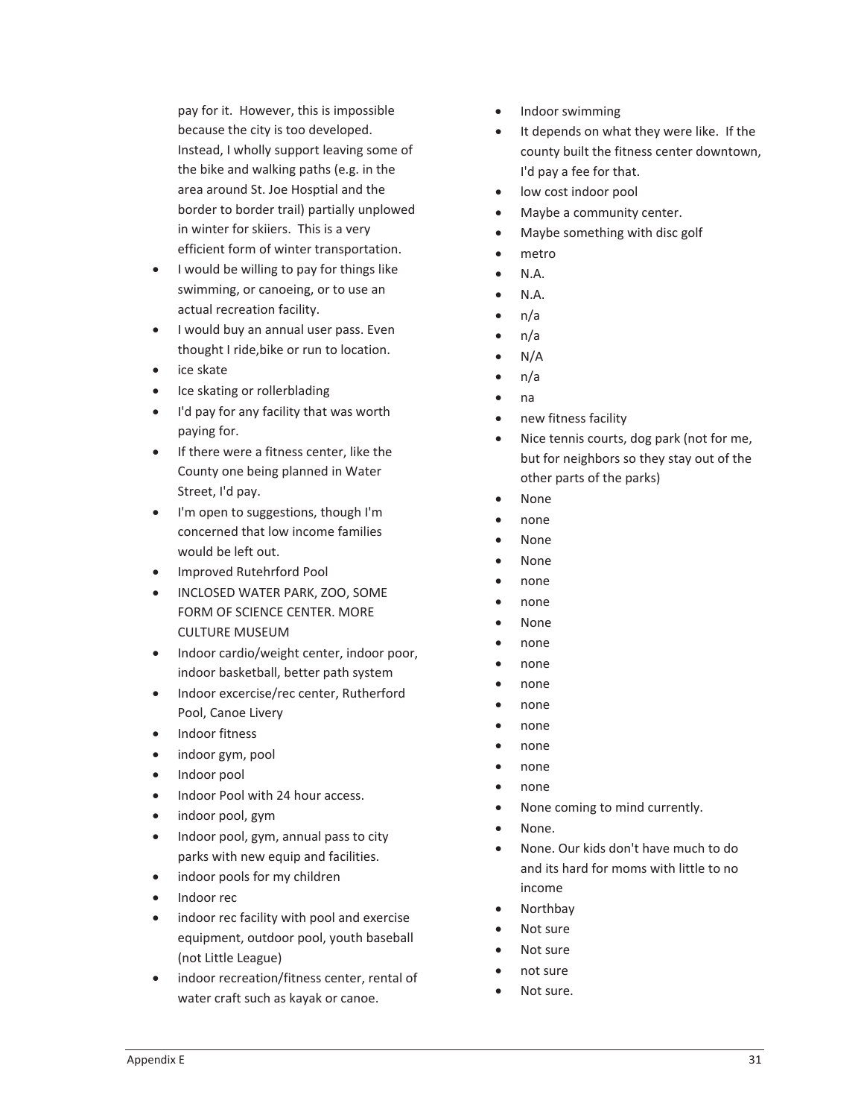pay for it. However, this is impossible because the city is too developed. Instead, I wholly support leaving some of the bike and walking paths (e.g. in the area around St. Joe Hosptial and the border to border trail) partially unplowed in winter for skiiers. This is a very efficient form of winter transportation.

- I would be willing to pay for things like swimming, or canoeing, or to use an actual recreation facility.
- I would buy an annual user pass. Even thought I ride,bike or run to location.
- $\bullet$  ice skate
- Ice skating or rollerblading
- I'd pay for any facility that was worth paying for.
- If there were a fitness center, like the County one being planned in Water Street, I'd pay.
- I'm open to suggestions, though I'm concerned that low income families would be left out.
- Improved Rutehrford Pool
- **INCLOSED WATER PARK, ZOO, SOME** FORM OF SCIENCE CENTER. MORE CULTURE MUSEUM
- Indoor cardio/weight center, indoor poor, indoor basketball, better path system
- Indoor excercise/rec center, Rutherford Pool, Canoe Livery
- Indoor fitness
- indoor gym, pool
- Indoor pool
- Indoor Pool with 24 hour access.
- indoor pool, gym
- Indoor pool, gym, annual pass to city parks with new equip and facilities.
- indoor pools for my children
- Indoor rec
- indoor rec facility with pool and exercise equipment, outdoor pool, youth baseball (not Little League)
- indoor recreation/fitness center, rental of water craft such as kayak or canoe.
- Indoor swimming
- It depends on what they were like. If the county built the fitness center downtown, I'd pay a fee for that.
- low cost indoor pool
- Maybe a community center.
- Maybe something with disc golf
- metro
- $\bullet$  N.A.
- $\bullet$  N.A.
- $\bullet$  n/a
- $\bullet$  n/a
- $\bullet$  N/A
- $n/a$
- $\bullet$  na
- new fitness facility
- Nice tennis courts, dog park (not for me, but for neighbors so they stay out of the other parts of the parks)
- **None**
- $\bullet$  none
- None
- None
- none
- none
- **None**
- none
- none
- $\bullet$  none
- none
- $\bullet$  none
- none
- none
- none
- None coming to mind currently.
- x None.
- None. Our kids don't have much to do and its hard for moms with little to no income
- **Northbay**
- Not sure
- Not sure
- not sure
- Not sure.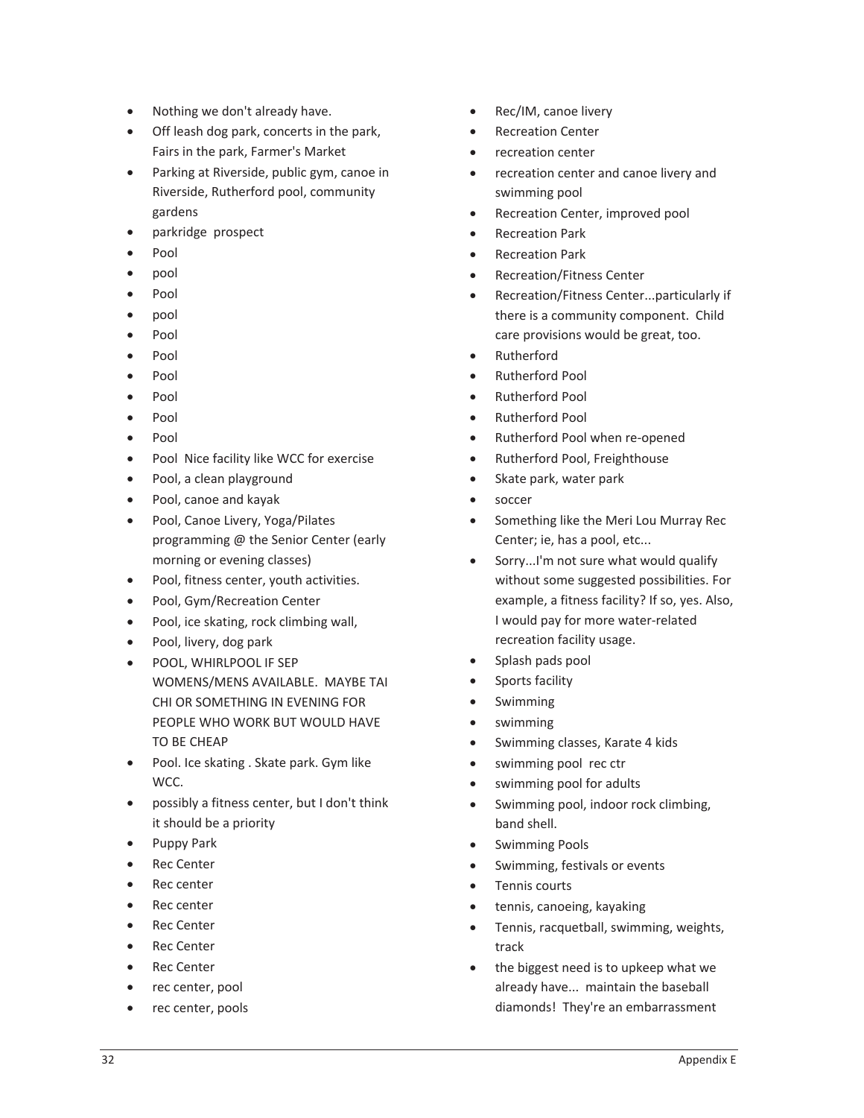- Nothing we don't already have.
- Off leash dog park, concerts in the park, Fairs in the park, Farmer's Market
- Parking at Riverside, public gym, canoe in Riverside, Rutherford pool, community gardens
- parkridge prospect
- Pool
- $\bullet$  pool
- Pool
- $\bullet$  pool
- Pool
- $\bullet$  Pool
- Pool
- $\bullet$  Pool
- $\bullet$  Pool
- $\bullet$  Pool
- Pool Nice facility like WCC for exercise
- Pool, a clean playground
- Pool, canoe and kayak
- Pool, Canoe Livery, Yoga/Pilates programming @ the Senior Center (early morning or evening classes)
- Pool, fitness center, youth activities.
- Pool, Gym/Recreation Center
- Pool, ice skating, rock climbing wall,
- Pool, livery, dog park
- **•** POOL, WHIRLPOOL IF SEP WOMENS/MENS AVAILABLE. MAYBE TAI CHI OR SOMETHING IN EVENING FOR PEOPLE WHO WORK BUT WOULD HAVE TO BE CHEAP
- Pool. Ice skating . Skate park. Gym like WCC.
- possibly a fitness center, but I don't think it should be a priority
- Puppy Park
- Rec Center
- $\bullet$  Rec center
- Rec center
- Rec Center
- Rec Center
- Rec Center
- rec center, pool
- rec center, pools
- x Rec/IM, canoe livery
- **Recreation Center**
- recreation center
- recreation center and canoe livery and swimming pool
- Recreation Center, improved pool
- **Recreation Park**
- Recreation Park
- Recreation/Fitness Center
- x Recreation/Fitness Center...particularly if there is a community component. Child care provisions would be great, too.
- **Rutherford**
- Rutherford Pool
- Rutherford Pool
- Rutherford Pool
- Rutherford Pool when re-opened
- Rutherford Pool, Freighthouse
- $\bullet$  Skate park, water park
- soccer
- Something like the Meri Lou Murray Rec Center; ie, has a pool, etc...
- Sorry...I'm not sure what would qualify without some suggested possibilities. For example, a fitness facility? If so, yes. Also, I would pay for more water-related recreation facility usage.
- Splash pads pool
- Sports facility
- **Swimming**
- swimming
- Swimming classes, Karate 4 kids
- swimming pool rec ctr
- swimming pool for adults
- Swimming pool, indoor rock climbing, band shell.
- Swimming Pools
- Swimming, festivals or events
- Tennis courts
- tennis, canoeing, kayaking
- Tennis, racquetball, swimming, weights, track
- the biggest need is to upkeep what we already have... maintain the baseball diamonds! They're an embarrassment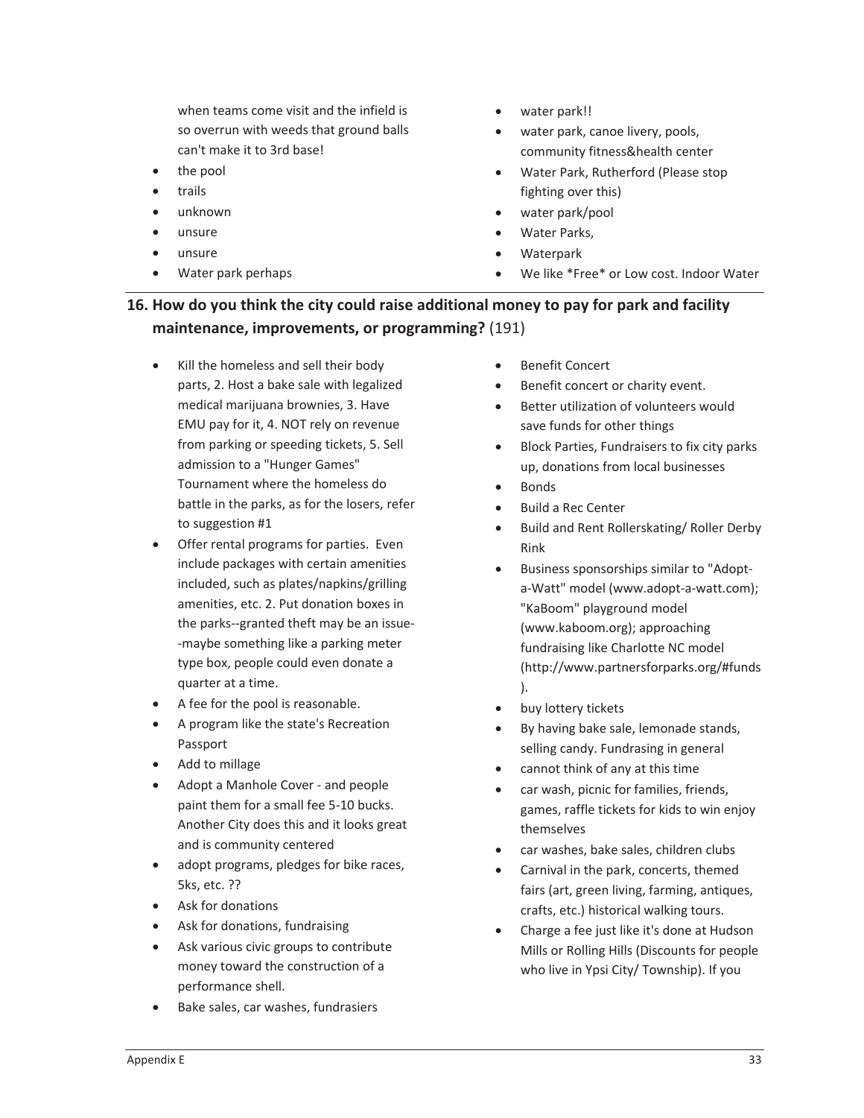when teams come visit and the infield is so overrun with weeds that ground balls can't make it to 3rd base!

- the pool
- trails
- unknown
- unsure
- unsure
- Water park perhaps
- water park!!
- water park, canoe livery, pools, community fitness&health center
- Water Park, Rutherford (Please stop fighting over this)
- water park/pool
- Water Parks,
- Waterpark
- We like \*Free\* or Low cost. Indoor Water

## **16. How do you think the city could raise additional money to pay for park and facility maintenance, improvements, or programming?** (191)

- Kill the homeless and sell their body parts, 2. Host a bake sale with legalized medical marijuana brownies, 3. Have EMU pay for it, 4. NOT rely on revenue from parking or speeding tickets, 5. Sell admission to a "Hunger Games" Tournament where the homeless do battle in the parks, as for the losers, refer to suggestion #1
- Offer rental programs for parties. Even include packages with certain amenities included, such as plates/napkins/grilling amenities, etc. 2. Put donation boxes in the parks--granted theft may be an issue--maybe something like a parking meter type box, people could even donate a quarter at a time.
- A fee for the pool is reasonable.
- A program like the state's Recreation Passport
- Add to millage
- Adopt a Manhole Cover and people paint them for a small fee 5-10 bucks. Another City does this and it looks great and is community centered
- adopt programs, pledges for bike races, 5ks, etc. ??
- Ask for donations
- Ask for donations, fundraising
- Ask various civic groups to contribute money toward the construction of a performance shell.
- Bake sales, car washes, fundrasiers
- Benefit Concert
- **•** Benefit concert or charity event.
- Better utilization of volunteers would save funds for other things
- **•** Block Parties, Fundraisers to fix city parks up, donations from local businesses
- $\bullet$  Bonds
- Build a Rec Center
- Build and Rent Rollerskating/ Roller Derby Rink
- Business sponsorships similar to "Adopta-Watt" model (www.adopt-a-watt.com); "KaBoom" playground model (www.kaboom.org); approaching fundraising like Charlotte NC model (http://www.partnersforparks.org/#funds ).
- buy lottery tickets
- By having bake sale, lemonade stands, selling candy. Fundrasing in general
- cannot think of any at this time
- car wash, picnic for families, friends, games, raffle tickets for kids to win enjoy themselves
- x car washes, bake sales, children clubs
- Carnival in the park, concerts, themed fairs (art, green living, farming, antiques, crafts, etc.) historical walking tours.
- Charge a fee just like it's done at Hudson Mills or Rolling Hills (Discounts for people who live in Ypsi City/ Township). If you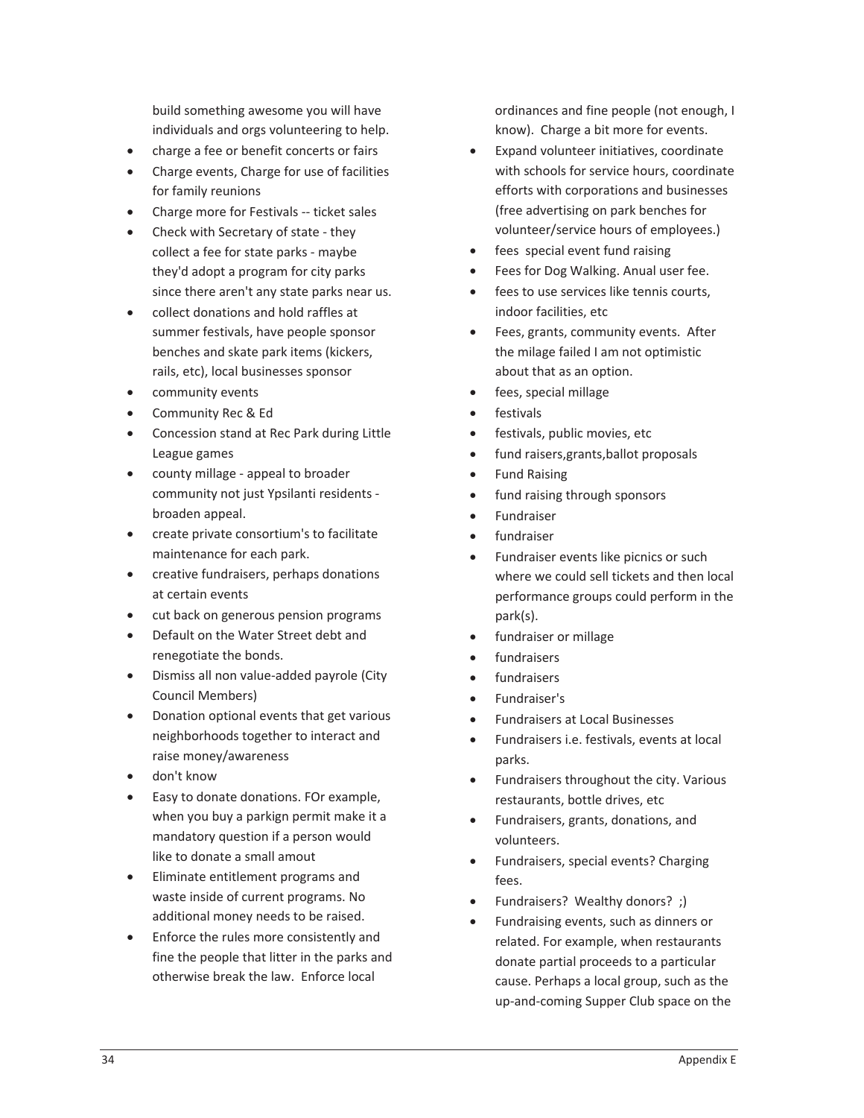build something awesome you will have individuals and orgs volunteering to help.

- charge a fee or benefit concerts or fairs
- Charge events, Charge for use of facilities for family reunions
- Charge more for Festivals -- ticket sales
- Check with Secretary of state they collect a fee for state parks - maybe they'd adopt a program for city parks since there aren't any state parks near us.
- collect donations and hold raffles at summer festivals, have people sponsor benches and skate park items (kickers, rails, etc), local businesses sponsor
- community events
- Community Rec & Ed
- Concession stand at Rec Park during Little League games
- county millage appeal to broader community not just Ypsilanti residents broaden appeal.
- create private consortium's to facilitate maintenance for each park.
- creative fundraisers, perhaps donations at certain events
- cut back on generous pension programs
- Default on the Water Street debt and renegotiate the bonds.
- Dismiss all non value-added payrole (City Council Members)
- Donation optional events that get various neighborhoods together to interact and raise money/awareness
- don't know
- Easy to donate donations. FOr example, when you buy a parkign permit make it a mandatory question if a person would like to donate a small amout
- Eliminate entitlement programs and waste inside of current programs. No additional money needs to be raised.
- Enforce the rules more consistently and fine the people that litter in the parks and otherwise break the law.Enforce local

ordinances and fine people (not enough, I know). Charge a bit more for events.

- Expand volunteer initiatives, coordinate with schools for service hours, coordinate efforts with corporations and businesses (free advertising on park benches for volunteer/service hours of employees.)
- fees special event fund raising
- **•** Fees for Dog Walking. Anual user fee.
- fees to use services like tennis courts, indoor facilities, etc
- Fees, grants, community events. After the milage failed I am not optimistic about that as an option.
- fees, special millage
- festivals
- festivals, public movies, etc
- fund raisers, grants, ballot proposals
- **Fund Raising**
- fund raising through sponsors
- **Fundraiser**
- fundraiser
- Fundraiser events like picnics or such where we could sell tickets and then local performance groups could perform in the park(s).
- fundraiser or millage
- fundraisers
- fundraisers
- x Fundraiser's
- x Fundraisers at Local Businesses
- Fundraisers i.e. festivals, events at local parks.
- Fundraisers throughout the city. Various restaurants, bottle drives, etc
- Fundraisers, grants, donations, and volunteers.
- Fundraisers, special events? Charging fees.
- Fundraisers? Wealthy donors?;)
- Fundraising events, such as dinners or related. For example, when restaurants donate partial proceeds to a particular cause. Perhaps a local group, such as the up-and-coming Supper Club space on the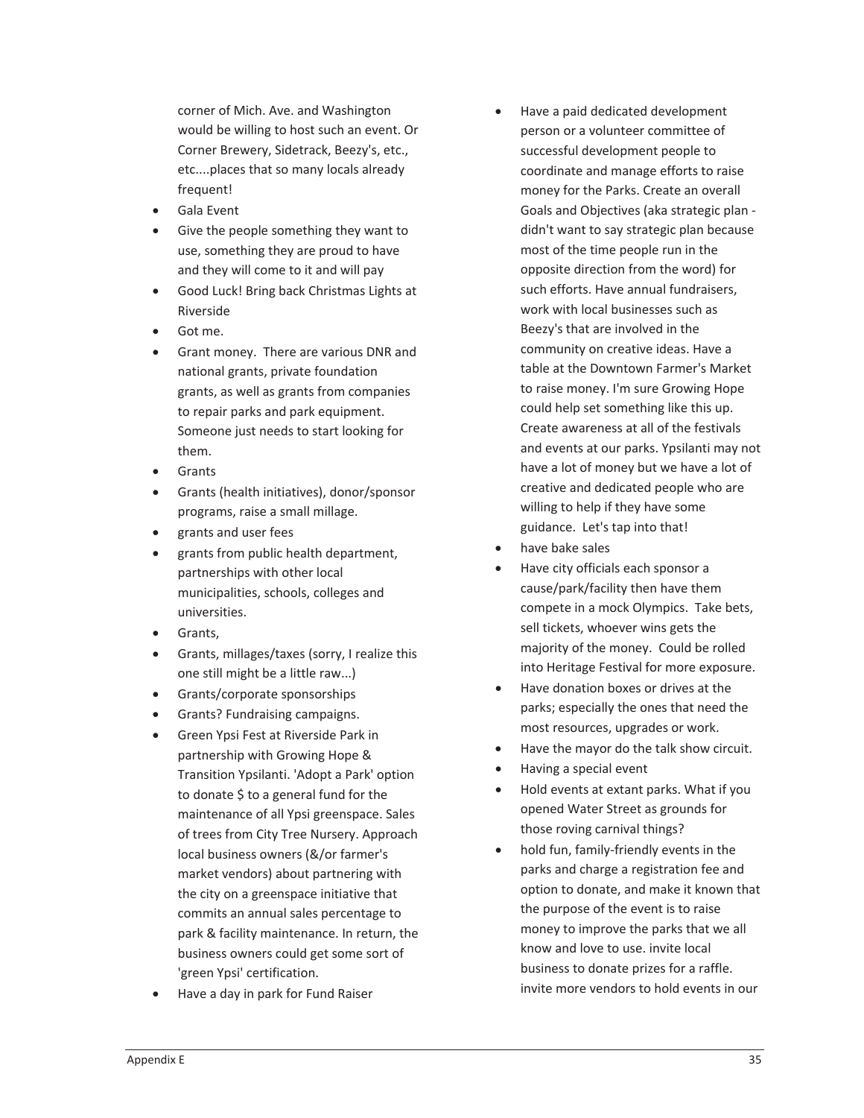corner of Mich. Ave. and Washington would be willing to host such an event. Or Corner Brewery, Sidetrack, Beezy's, etc., etc....places that so many locals already frequent!

- Gala Event
- Give the people something they want to use, something they are proud to have and they will come to it and will pay
- Good Luck! Bring back Christmas Lights at Riverside
- Got me.
- Grant money. There are various DNR and national grants, private foundation grants, as well as grants from companies to repair parks and park equipment. Someone just needs to start looking for them.
- Grants
- Grants (health initiatives), donor/sponsor programs, raise a small millage.
- x grants and user fees
- grants from public health department, partnerships with other local municipalities, schools, colleges and universities.
- **•** Grants,
- Grants, millages/taxes (sorry, I realize this one still might be a little raw...)
- Grants/corporate sponsorships
- Grants? Fundraising campaigns.
- **•** Green Ypsi Fest at Riverside Park in partnership with Growing Hope & Transition Ypsilanti. 'Adopt a Park' option to donate \$ to a general fund for the maintenance of all Ypsi greenspace. Sales of trees from City Tree Nursery. Approach local business owners (&/or farmer's market vendors) about partnering with the city on a greenspace initiative that commits an annual sales percentage to park & facility maintenance. In return, the business owners could get some sort of 'green Ypsi' certification.
- Have a day in park for Fund Raiser
- Have a paid dedicated development person or a volunteer committee of successful development people to coordinate and manage efforts to raise money for the Parks. Create an overall Goals and Objectives (aka strategic plan didn't want to say strategic plan because most of the time people run in the opposite direction from the word) for such efforts. Have annual fundraisers, work with local businesses such as Beezy's that are involved in the community on creative ideas. Have a table at the Downtown Farmer's Market to raise money. I'm sure Growing Hope could help set something like this up. Create awareness at all of the festivals and events at our parks. Ypsilanti may not have a lot of money but we have a lot of creative and dedicated people who are willing to help if they have some guidance. Let's tap into that!
- have bake sales
- Have city officials each sponsor a cause/park/facility then have them compete in a mock Olympics. Take bets, sell tickets, whoever wins gets the majority of the money. Could be rolled into Heritage Festival for more exposure.
- Have donation boxes or drives at the parks; especially the ones that need the most resources, upgrades or work.
- Have the mayor do the talk show circuit.
- $\bullet$  Having a special event
- Hold events at extant parks. What if you opened Water Street as grounds for those roving carnival things?
- hold fun, family-friendly events in the parks and charge a registration fee and option to donate, and make it known that the purpose of the event is to raise money to improve the parks that we all know and love to use. invite local business to donate prizes for a raffle. invite more vendors to hold events in our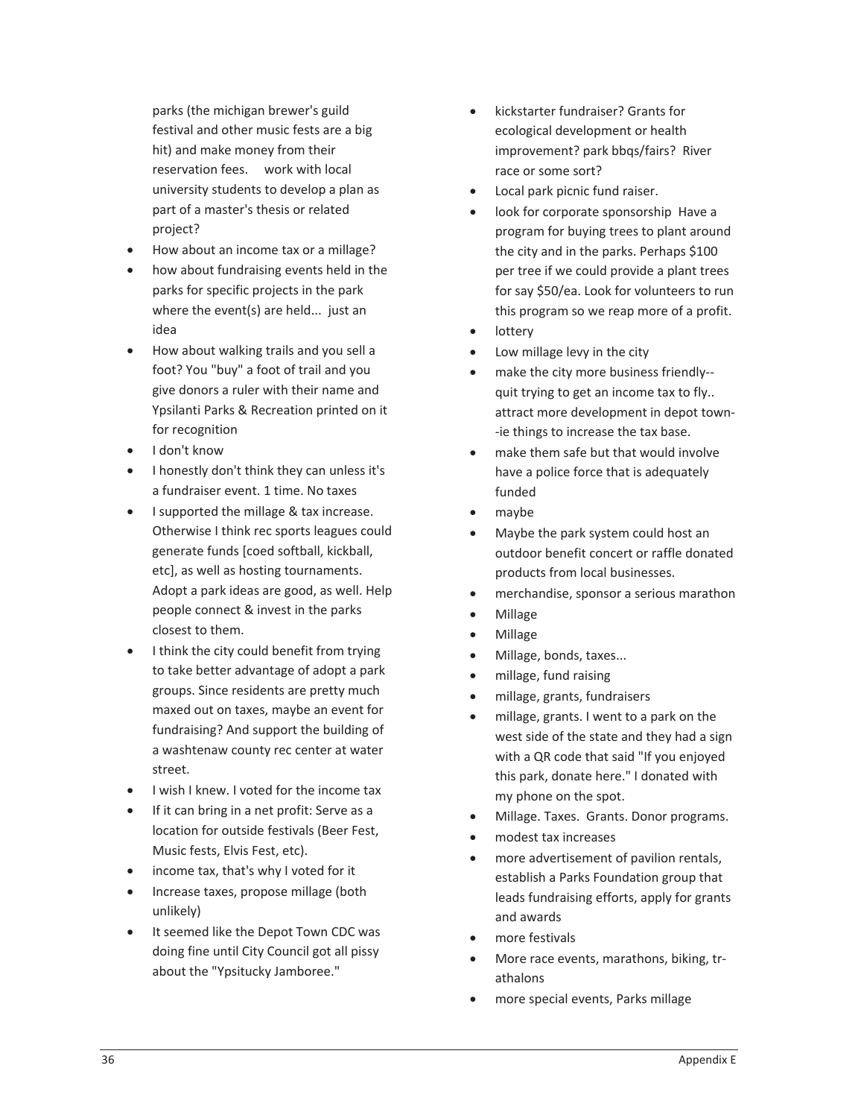parks (the michigan brewer's guild festival and other music fests are a big hit) and make money from their reservation fees. work with local university students to develop a plan as part of a master's thesis or related project?

- How about an income tax or a millage?
- how about fundraising events held in the parks for specific projects in the park where the event(s) are held... just an idea
- How about walking trails and you sell a foot? You "buy" a foot of trail and you give donors a ruler with their name and Ypsilanti Parks & Recreation printed on it for recognition
- I don't know
- I honestly don't think they can unless it's a fundraiser event. 1 time. No taxes
- I supported the millage & tax increase. Otherwise I think rec sports leagues could generate funds [coed softball, kickball, etc], as well as hosting tournaments. Adopt a park ideas are good, as well. Help people connect & invest in the parks closest to them.
- I think the city could benefit from trying to take better advantage of adopt a park groups. Since residents are pretty much maxed out on taxes, maybe an event for fundraising? And support the building of a washtenaw county rec center at water street.
- I wish I knew. I voted for the income tax
- If it can bring in a net profit: Serve as a location for outside festivals (Beer Fest, Music fests, Elvis Fest, etc).
- income tax, that's why I voted for it
- Increase taxes, propose millage (both unlikely)
- **•** It seemed like the Depot Town CDC was doing fine until City Council got all pissy about the "Ypsitucky Jamboree."
- kickstarter fundraiser? Grants for ecological development or health improvement? park bbqs/fairs? River race or some sort?
- Local park picnic fund raiser.
- look for corporate sponsorship Have a program for buying trees to plant around the city and in the parks. Perhaps \$100 per tree if we could provide a plant trees for say \$50/ea. Look for volunteers to run this program so we reap more of a profit.
- lottery
- Low millage levy in the city
- make the city more business friendly-quit trying to get an income tax to fly.. attract more development in depot town--ie things to increase the tax base.
- make them safe but that would involve have a police force that is adequately funded
- maybe
- Maybe the park system could host an outdoor benefit concert or raffle donated products from local businesses.
- merchandise, sponsor a serious marathon
- Millage
- Millage
- Millage, bonds, taxes...
- millage, fund raising
- x millage, grants, fundraisers
- millage, grants. I went to a park on the west side of the state and they had a sign with a QR code that said "If you enjoyed this park, donate here." I donated with my phone on the spot.
- Millage. Taxes. Grants. Donor programs.
- modest tax increases
- more advertisement of pavilion rentals, establish a Parks Foundation group that leads fundraising efforts, apply for grants and awards
- more festivals
- More race events, marathons, biking, trathalons
- more special events, Parks millage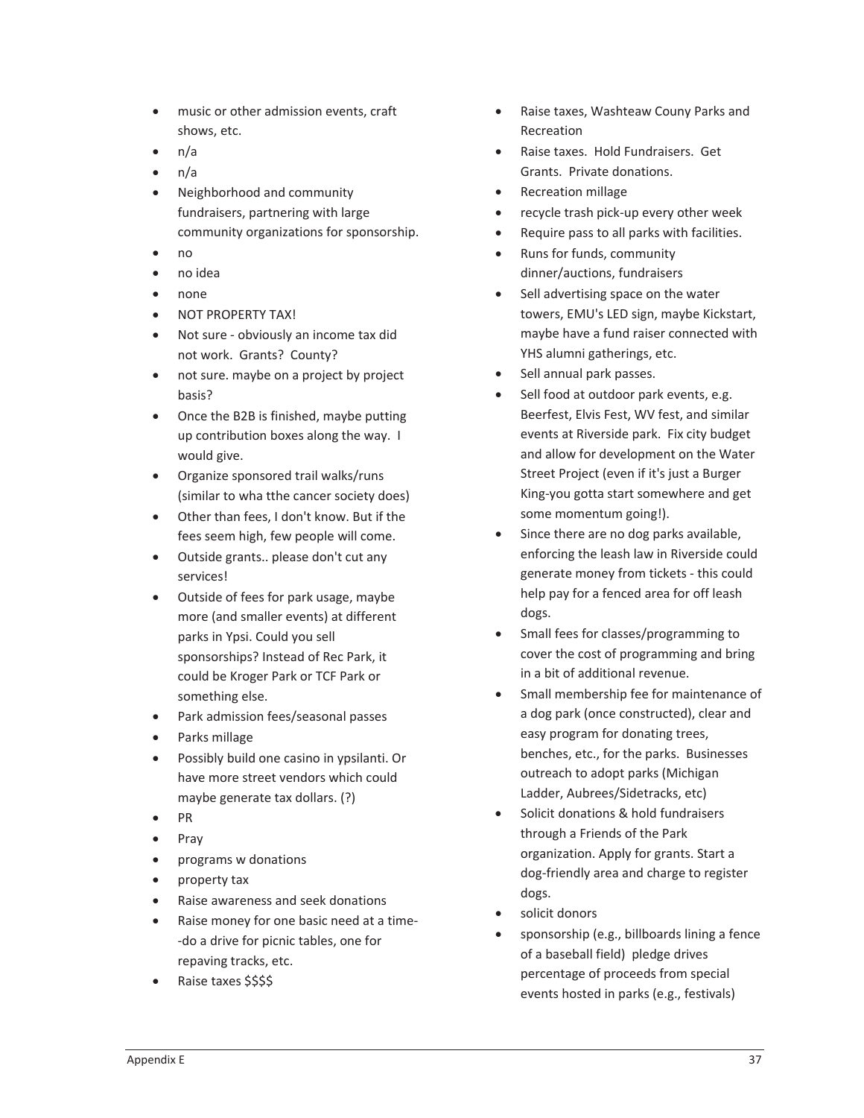- music or other admission events, craft shows, etc.
- $n/a$
- $\bullet$  n/a
- Neighborhood and community fundraisers, partnering with large community organizations for sponsorship.
- x no
- $\bullet$  no idea
- none
- **NOT PROPERTY TAX!**
- Not sure obviously an income tax did not work. Grants? County?
- not sure. maybe on a project by project basis?
- Once the B2B is finished, maybe putting up contribution boxes along the way. I would give.
- Organize sponsored trail walks/runs (similar to wha tthe cancer society does)
- Other than fees, I don't know. But if the fees seem high, few people will come.
- Outside grants.. please don't cut any services!
- Outside of fees for park usage, maybe more (and smaller events) at different parks in Ypsi. Could you sell sponsorships? Instead of Rec Park, it could be Kroger Park or TCF Park or something else.
- Park admission fees/seasonal passes
- Parks millage
- x Possibly build one casino in ypsilanti. Or have more street vendors which could maybe generate tax dollars. (?)
- $\bullet$  PR
- $\bullet$  Pray
- programs w donations
- property tax
- x Raise awareness and seek donations
- Raise money for one basic need at a time--do a drive for picnic tables, one for repaving tracks, etc.
- Raise taxes \$\$\$\$
- Raise taxes, Washteaw Couny Parks and Recreation
- Raise taxes. Hold Fundraisers. Get Grants. Private donations.
- Recreation millage
- recycle trash pick-up every other week
- Require pass to all parks with facilities.
- Runs for funds, community dinner/auctions, fundraisers
- Sell advertising space on the water towers, EMU's LED sign, maybe Kickstart, maybe have a fund raiser connected with YHS alumni gatherings, etc.
- Sell annual park passes.
- Sell food at outdoor park events, e.g. Beerfest, Elvis Fest, WV fest, and similar events at Riverside park. Fix city budget and allow for development on the Water Street Project (even if it's just a Burger King-you gotta start somewhere and get some momentum going!).
- Since there are no dog parks available, enforcing the leash law in Riverside could generate money from tickets - this could help pay for a fenced area for off leash dogs.
- Small fees for classes/programming to cover the cost of programming and bring in a bit of additional revenue.
- Small membership fee for maintenance of a dog park (once constructed), clear and easy program for donating trees, benches, etc., for the parks. Businesses outreach to adopt parks (Michigan Ladder, Aubrees/Sidetracks, etc)
- Solicit donations & hold fundraisers through a Friends of the Park organization. Apply for grants. Start a dog-friendly area and charge to register dogs.
- solicit donors
- sponsorship (e.g., billboards lining a fence of a baseball field) pledge drives percentage of proceeds from special events hosted in parks (e.g., festivals)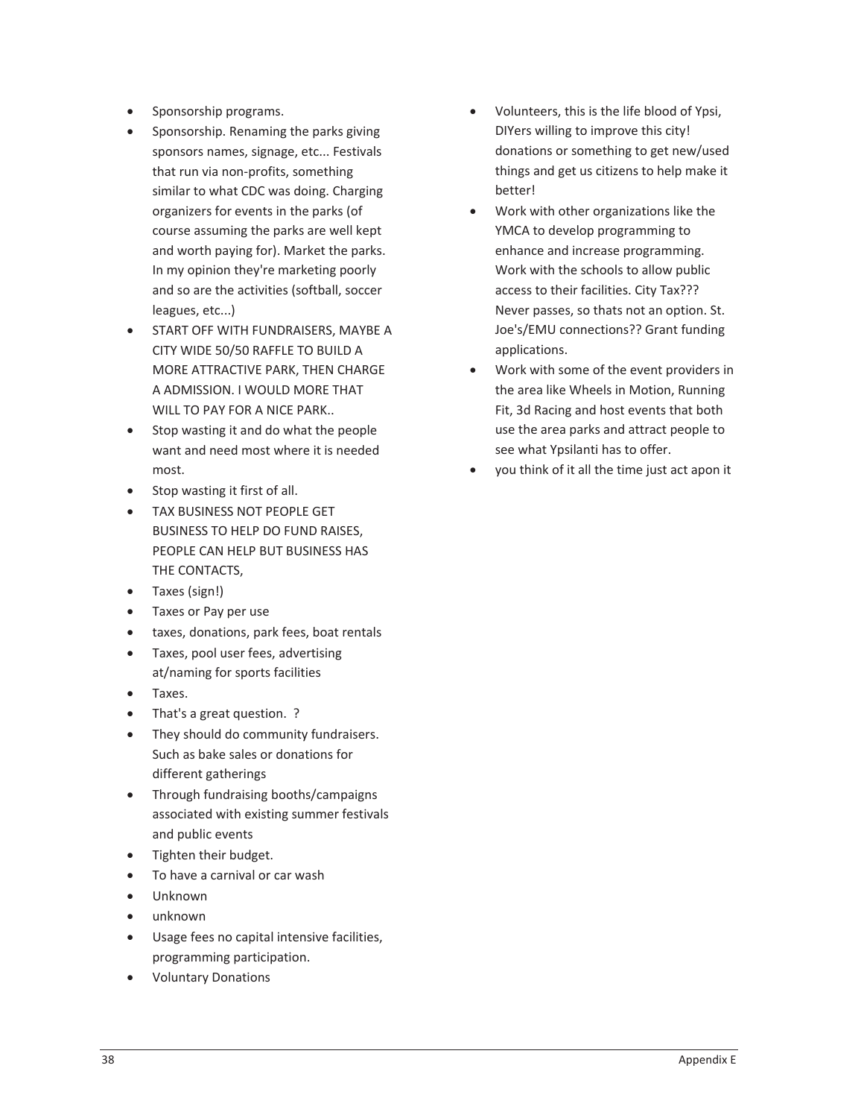- Sponsorship programs.
- Sponsorship. Renaming the parks giving sponsors names, signage, etc... Festivals that run via non-profits, something similar to what CDC was doing. Charging organizers for events in the parks (of course assuming the parks are well kept and worth paying for). Market the parks. In my opinion they're marketing poorly and so are the activities (softball, soccer leagues, etc...)
- START OFF WITH FUNDRAISERS, MAYBE A CITY WIDE 50/50 RAFFLE TO BUILD A MORE ATTRACTIVE PARK, THEN CHARGE A ADMISSION. I WOULD MORE THAT WILL TO PAY FOR A NICE PARK..
- Stop wasting it and do what the people want and need most where it is needed most.
- Stop wasting it first of all.
- TAX BUSINESS NOT PEOPLE GET BUSINESS TO HELP DO FUND RAISES, PEOPLE CAN HELP BUT BUSINESS HAS THE CONTACTS,
- Taxes (sign!)
- Taxes or Pay per use
- taxes, donations, park fees, boat rentals
- Taxes, pool user fees, advertising at/naming for sports facilities
- Taxes.
- That's a great question. ?
- They should do community fundraisers. Such as bake sales or donations for different gatherings
- Through fundraising booths/campaigns associated with existing summer festivals and public events
- Tighten their budget.
- To have a carnival or car wash
- Unknown
- unknown
- Usage fees no capital intensive facilities, programming participation.
- Voluntary Donations
- x Volunteers, this is the life blood of Ypsi, DIYers willing to improve this city! donations or something to get new/used things and get us citizens to help make it better!
- Work with other organizations like the YMCA to develop programming to enhance and increase programming. Work with the schools to allow public access to their facilities. City Tax??? Never passes, so thats not an option. St. Joe's/EMU connections?? Grant funding applications.
- Work with some of the event providers in the area like Wheels in Motion, Running Fit, 3d Racing and host events that both use the area parks and attract people to see what Ypsilanti has to offer.
- you think of it all the time just act apon it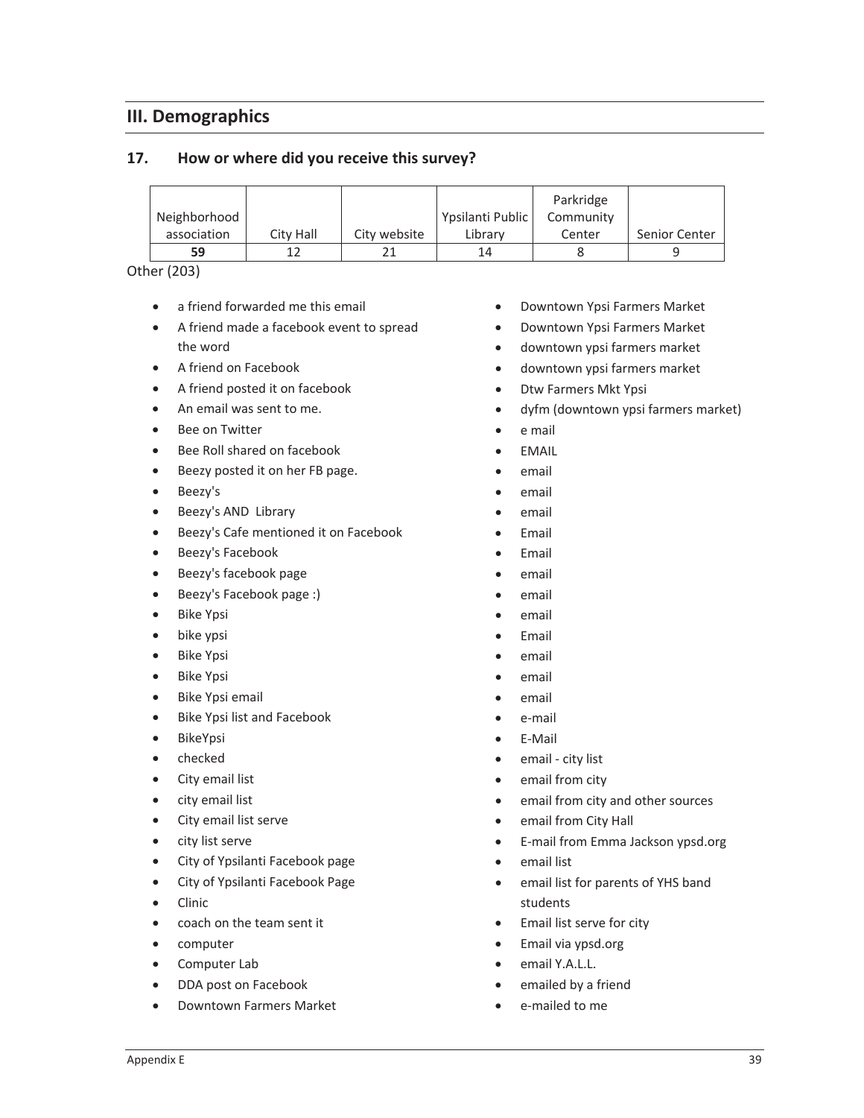## **III. Demographics**

#### **17. How or where did you receive this survey?**

|              |           |              |                  | Parkridge |               |
|--------------|-----------|--------------|------------------|-----------|---------------|
| Neighborhood |           |              | Ypsilanti Public | Community |               |
| association  | City Hall | City website | Library          | Center    | Senior Center |
| 59           |           |              | 14               |           |               |

Other (203)

- $\bullet$  a friend forwarded me this email
- A friend made a facebook event to spread the word
- A friend on Facebook
- A friend posted it on facebook
- An email was sent to me.
- Bee on Twitter
- Bee Roll shared on facebook
- Beezy posted it on her FB page.
- $\bullet$  Beezy's
- Beezy's AND Library
- **•** Beezy's Cafe mentioned it on Facebook
- **•** Beezy's Facebook
- Beezy's facebook page
- Beezy's Facebook page :)
- Bike Ypsi
- $\bullet$  bike ypsi
- **Bike Ypsi**
- Bike Ypsi
- Bike Ypsi email
- Bike Ypsi list and Facebook
- BikeYpsi
- $\bullet$  checked
- City email list
- city email list
- City email list serve
- city list serve
- City of Ypsilanti Facebook page
- City of Ypsilanti Facebook Page
- Clinic
- coach on the team sent it
- computer
- Computer Lab
- DDA post on Facebook
- Downtown Farmers Market
- Downtown Ypsi Farmers Market
- Downtown Ypsi Farmers Market
- downtown ypsi farmers market
- downtown ypsi farmers market
- Dtw Farmers Mkt Ypsi
- dyfm (downtown ypsi farmers market)
- $\bullet$  e mail
- $\bullet$  EMAIL
- email
- email
- $\bullet$  email
- $\bullet$  Email
- $\bullet$  Email
- email
- $\bullet$  email
- email
- $\bullet$  Email
- $\bullet$  email
- email
- $\bullet$  email
- e-mail
- E-Mail
- email city list
- email from city
- email from city and other sources
- email from City Hall
- E-mail from Emma Jackson ypsd.org
- $\bullet$  email list
- email list for parents of YHS band students
- **•** Email list serve for city
- Email via ypsd.org
- email Y.A.L.L.
- emailed by a friend
- e-mailed to me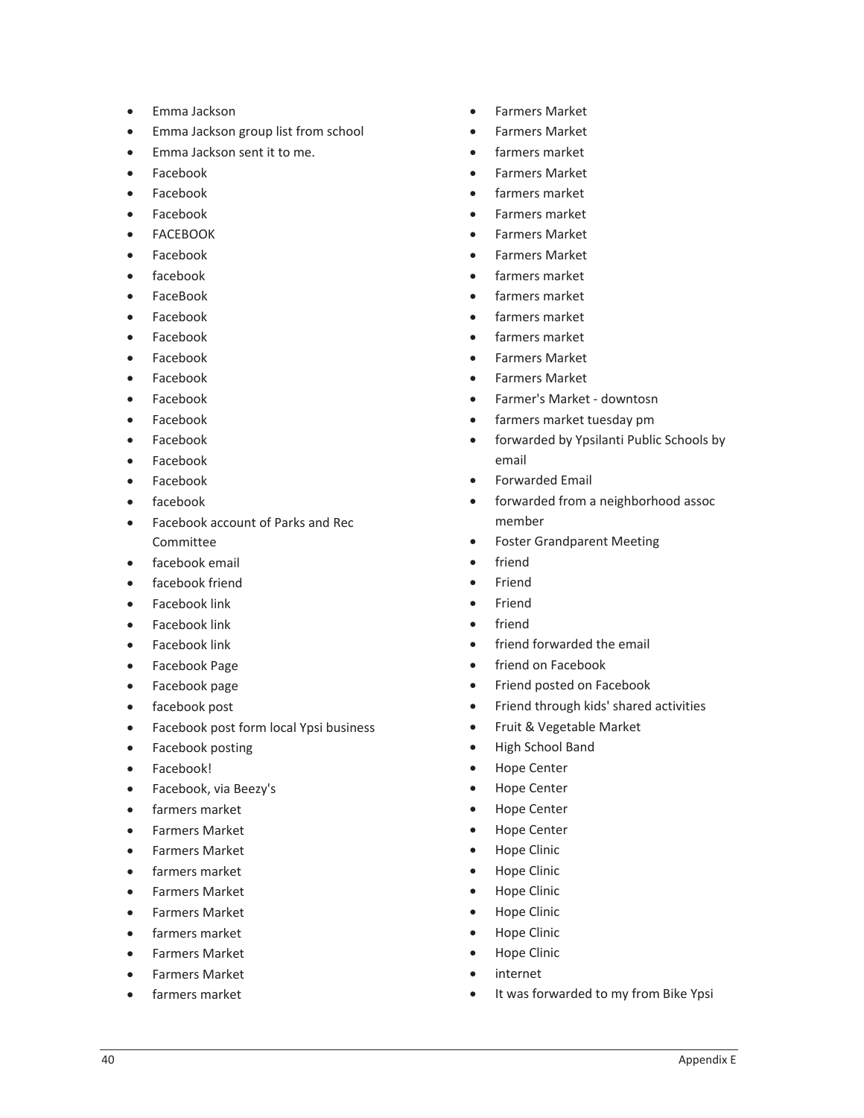- Emma Jackson
- **•** Emma Jackson group list from school
- **•** Emma Jackson sent it to me.
- Facebook
- Facebook
- $\bullet$  Facebook
- **FACEBOOK**
- $\bullet$  Facebook
- facebook
- FaceBook
- Facebook
- $\bullet$  Facebook
- Facebook
- Facebook
- **Facebook**
- Facebook
- **Facebook**
- Facebook
- Facebook
- $\bullet$  facebook
- Facebook account of Parks and Rec Committee
- $\bullet$  facebook email
- facebook friend
- $\bullet$  Facebook link
- $\bullet$  Facebook link
- Facebook link
- Facebook Page
- Facebook page
- facebook post
- Facebook post form local Ypsi business
- Facebook posting
- Facebook!
- Facebook, via Beezy's
- farmers market
- Farmers Market
- **•** Farmers Market
- farmers market
- Farmers Market
- Farmers Market
- **•** farmers market
- Farmers Market
- Farmers Market
- farmers market
- Farmers Market
- Farmers Market
- farmers market
- Farmers Market
- farmers market
- x Farmers market
- Farmers Market
- Farmers Market
- farmers market
- farmers market
- farmers market
- farmers market
- Farmers Market
- Farmers Market
- Farmer's Market downtosn
- farmers market tuesday pm
- forwarded by Ypsilanti Public Schools by email
- Forwarded Email
- forwarded from a neighborhood assoc member
- Foster Grandparent Meeting
- friend
- **Friend**
- **Friend**
- friend
- friend forwarded the email
- friend on Facebook
- Friend posted on Facebook
- Friend through kids' shared activities
- Fruit & Vegetable Market
- High School Band
- Hope Center
- Hope Center
- Hope Center
- Hope Center
- Hope Clinic
- Hope Clinic
- Hope Clinic
- Hope Clinic
- Hope Clinic
- Hope Clinic
- internet
- It was forwarded to my from Bike Ypsi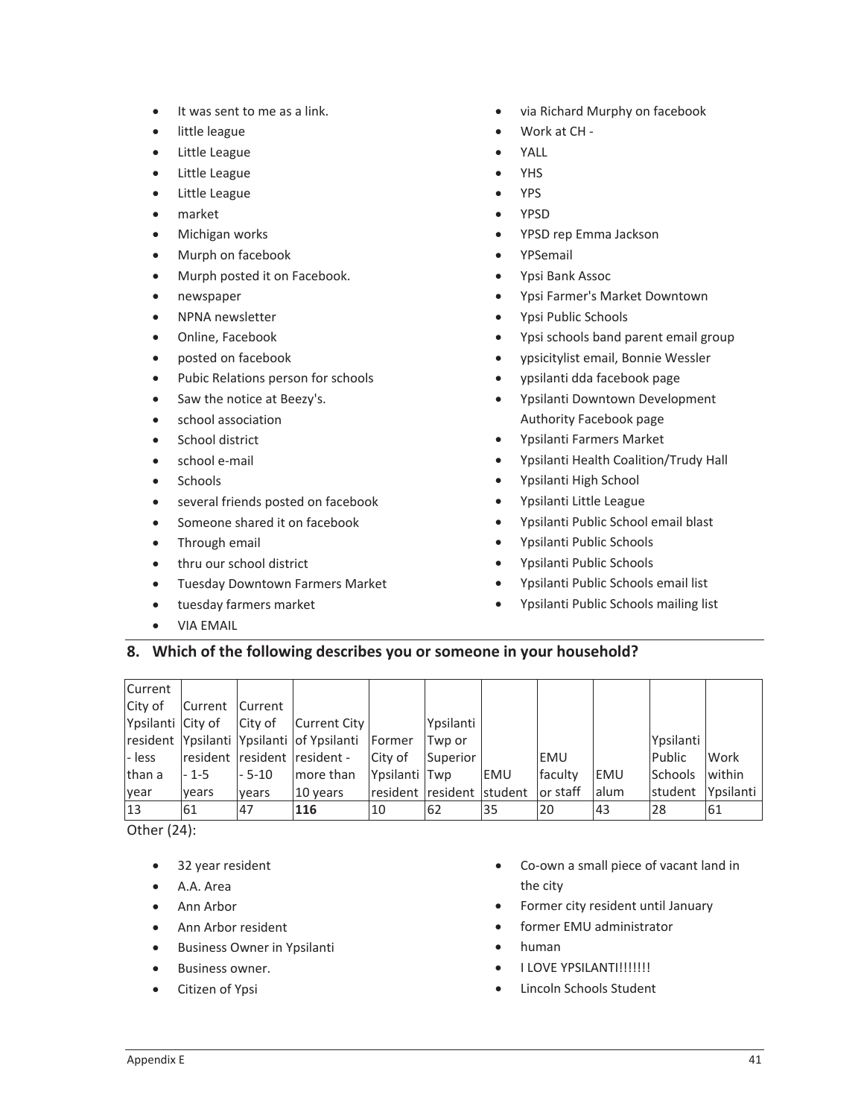- $\bullet$  It was sent to me as a link.
- little league
- Little League
- Little League
- Little League
- $\bullet$  market
- Michigan works
- Murph on facebook
- Murph posted it on Facebook.
- newspaper
- NPNA newsletter
- Online, Facebook
- posted on facebook
- Pubic Relations person for schools
- Saw the notice at Beezy's.
- **•** school association
- School district
- school e-mail
- Schools
- **•** several friends posted on facebook
- Someone shared it on facebook
- Through email
- thru our school district
- **Tuesday Downtown Farmers Market**
- **•** tuesday farmers market
- x VIA EMAIL
- via Richard Murphy on facebook
- Work at CH-
- YALL
- YHS
- x YPS
- $\bullet$  YPSD
- YPSD rep Emma Jackson
- YPSemail
- Ypsi Bank Assoc
- Ypsi Farmer's Market Downtown
- Ypsi Public Schools
- Ypsi schools band parent email group
- x ypsicitylist email, Bonnie Wessler
- ypsilanti dda facebook page
- Ypsilanti Downtown Development Authority Facebook page
- Ypsilanti Farmers Market
- Ypsilanti Health Coalition/Trudy Hall
- Ypsilanti High School
- Ypsilanti Little League
- Ypsilanti Public School email blast
- Ypsilanti Public Schools
- Ypsilanti Public Schools
- Ypsilanti Public Schools email list
- Ypsilanti Public Schools mailing list

#### **8. Which of the following describes you or someone in your household?**

| <b>Current</b>    |                 |         |                                                  |               |                                        |     |         |            |                |           |
|-------------------|-----------------|---------|--------------------------------------------------|---------------|----------------------------------------|-----|---------|------------|----------------|-----------|
| City of           | Current Current |         |                                                  |               |                                        |     |         |            |                |           |
| Ypsilanti City of |                 | City of | Current City                                     |               | Ypsilanti                              |     |         |            |                |           |
|                   |                 |         | resident Ypsilanti Ypsilanti of Ypsilanti Former |               | Twp or                                 |     |         |            | Ypsilanti      |           |
| l-less            |                 |         | resident resident resident -                     | City of       | Superior                               |     | IEMU    |            | Public         | Work      |
| than a            | - 1-5           | $-5-10$ | more than                                        | Ypsilanti Twp |                                        | EMU | faculty | <b>EMU</b> | <b>Schools</b> | within    |
| year              | vears           | vears   | 10 years                                         |               | Iresident Iresident Istudent lor staff |     |         | lalum      | <b>student</b> | Ypsilanti |
| 13                | 61              | 147     | 116                                              | 10            | 62                                     | 135 | 20      | 43         | 28             | 161       |

Other (24):

- 32 year resident
- $A.A. Area$
- $\bullet$  Ann Arbor
- Ann Arbor resident
- **•** Business Owner in Ypsilanti
- Business owner.
- Citizen of Ypsi
- Co-own a small piece of vacant land in the city
- Former city resident until January
- former EMU administrator
- $\bullet$  human
- · I LOVE YPSILANTI!!!!!!!!
- Lincoln Schools Student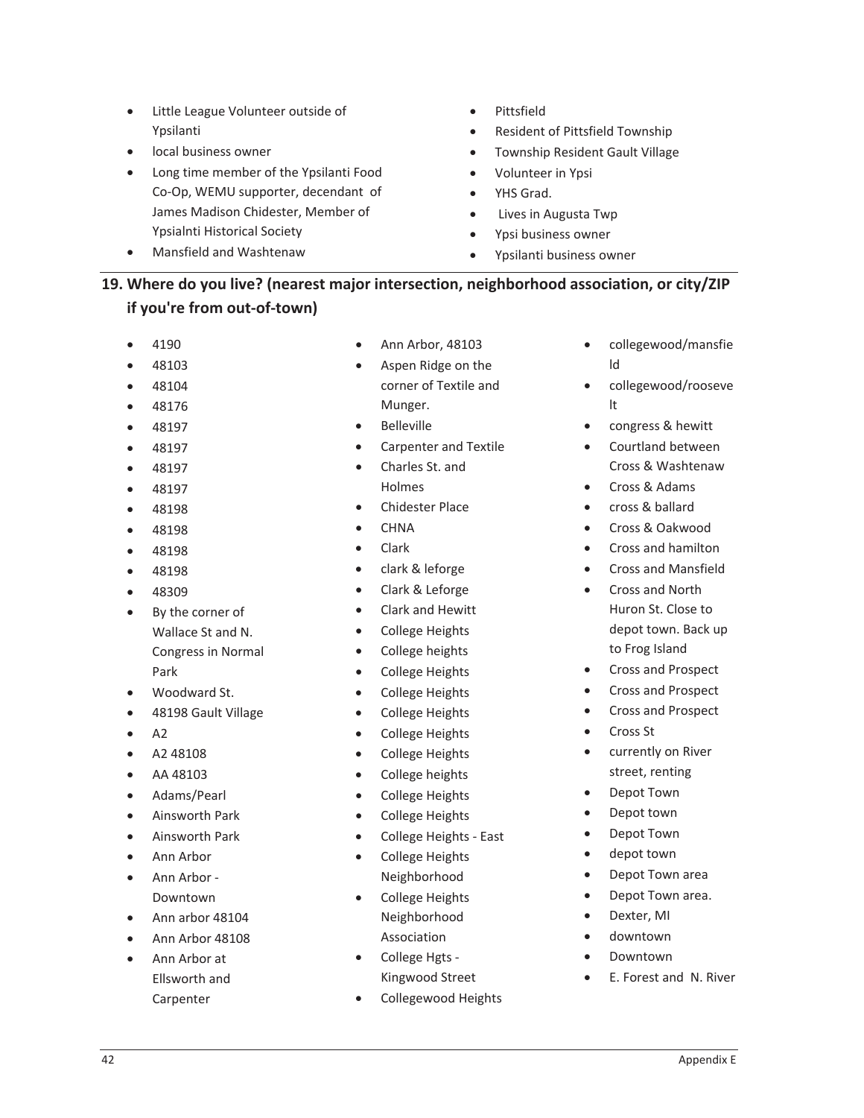- Little League Volunteer outside of Ypsilanti
- local business owner
- Long time member of the Ypsilanti Food Co-Op, WEMU supporter, decendant of James Madison Chidester, Member of Ypsialnti Historical Society
- x Mansfield and Washtenaw
- Pittsfield
- Resident of Pittsfield Township
- Township Resident Gault Village
- Volunteer in Ypsi
- YHS Grad.
- Lives in Augusta Twp
- x Ypsi business owner
- x Ypsilanti business owner

## **19. Where do you live? (nearest major intersection, neighborhood association, or city/ZIP**  $if you're from out-of-town)$

- 4190
- x 48103
- $48104$
- 48176
- $48197$
- $48197$
- $48197$
- $48197$
- $48198$
- $48198$
- $48198$
- $48198$
- $48309$
- By the corner of Wallace St and N. Congress in Normal Park
- Woodward St.
- 48198 Gault Village
- $\bullet$  A2
- $\bullet$  A2 48108
- AA 48103
- Adams/Pearl
- Ainsworth Park
- x Ainsworth Park
- Ann Arbor
- Ann Arbor -Downtown
- $\bullet$  Ann arbor 48104
- Ann Arbor 48108
- $\bullet$  Ann Arbor at Ellsworth and Carpenter
- Ann Arbor, 48103
- Aspen Ridge on the corner of Textile and Munger.
- **Belleville**
- Carpenter and Textile
- Charles St. and Holmes
- Chidester Place
- $\bullet$  CHNA
- $\bullet$  Clark
- clark & leforge
- Clark & Leforge
- Clark and Hewitt
- College Heights
- College heights
- College Heights
- College Heights
- College Heights
- College Heights
- College Heights
- College heights
- College Heights
- College Heights
- College Heights East
- College Heights Neighborhood
- College Heights Neighborhood Association
- College Hgts -Kingwood Street
- Collegewood Heights
- collegewood/mansfie ld
- collegewood/rooseve lt
- congress & hewitt
- Courtland between Cross & Washtenaw
- Cross & Adams
- cross & ballard
- Cross & Oakwood
- Cross and hamilton
- x Cross and Mansfield
- Cross and North Huron St. Close to depot town. Back up to Frog Island
- Cross and Prospect
- Cross and Prospect
- Cross and Prospect
- Cross St
- **•** currently on River street, renting
- Depot Town
- Depot town
- Depot Town
- depot town
- Depot Town area
- Depot Town area.
- Dexter, MI
- downtown
- **Downtown**
- E. Forest and N. River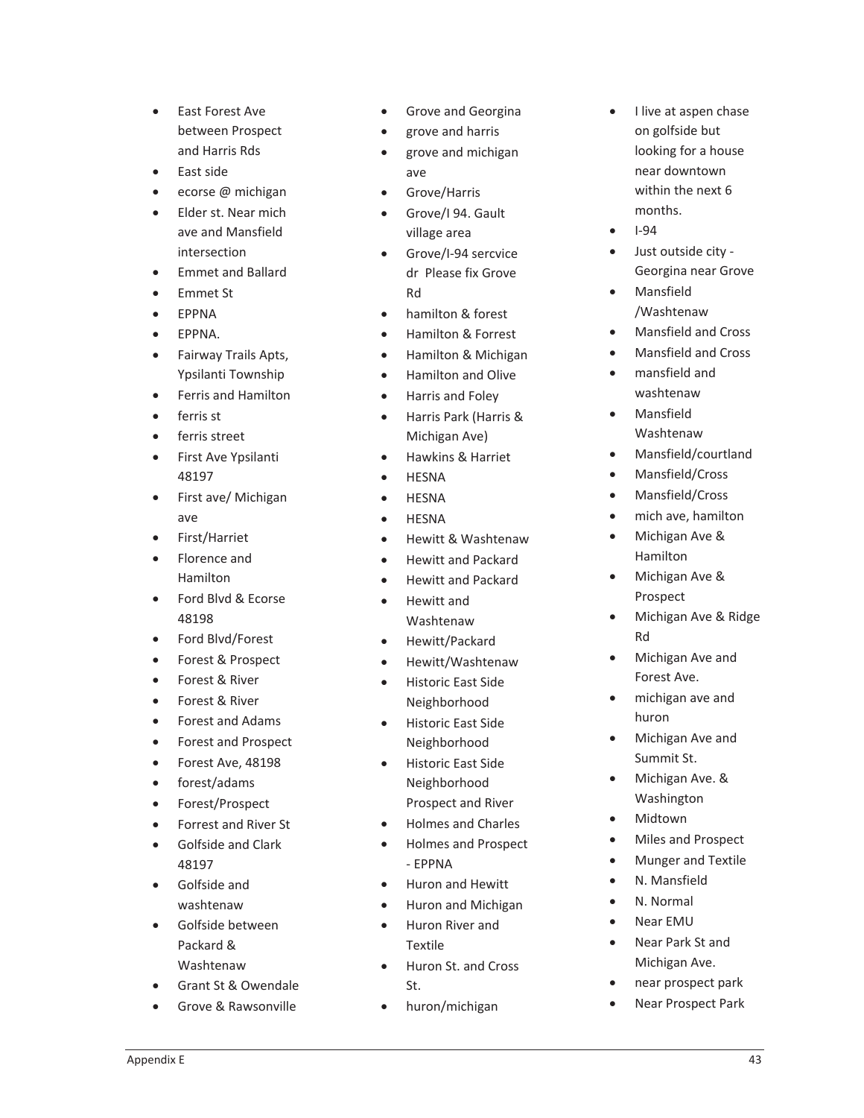- East Forest Ave between Prospect and Harris Rds
- East side
- ecorse @ michigan
- Elder st. Near mich ave and Mansfield intersection
- x Emmet and Ballard
- Emmet St
- **EPPNA**
- $\bullet$  EPPNA.
- Fairway Trails Apts, Ypsilanti Township
- Ferris and Hamilton
- ferris st
- ferris street
- First Ave Ypsilanti 48197
- First ave/ Michigan ave
- First/Harriet
- Florence and Hamilton
- Ford Blvd & Ecorse 48198
- Ford Blvd/Forest
- Forest & Prospect
- Forest & River
- Forest & River
- Forest and Adams
- Forest and Prospect
- Forest Ave, 48198
- $\bullet$  forest/adams
- Forest/Prospect
- Forrest and River St
- **•** Golfside and Clark 48197
- **•** Golfside and washtenaw
- Golfside between Packard & Washtenaw
- Grant St & Owendale
- Grove & Rawsonville
- Grove and Georgina
- grove and harris
- x grove and michigan ave
- Grove/Harris
- Grove/I 94. Gault village area
- Grove/I-94 sercvice dr Please fix Grove Rd
- hamilton & forest
- Hamilton & Forrest
- Hamilton & Michigan
- Hamilton and Olive
- Harris and Foley
- x Harris Park (Harris & Michigan Ave)
- Hawkins & Harriet
- **HFSNA**
- **HESNA**
- **HESNA**
- Hewitt & Washtenaw
- x Hewitt and Packard
- Hewitt and Packard
- Hewitt and Washtenaw
- Hewitt/Packard
- Hewitt/Washtenaw
- Historic East Side Neighborhood
- Historic East Side Neighborhood
- Historic East Side Neighborhood Prospect and River
- x Holmes and Charles
- Holmes and Prospect - EPPNA
- Huron and Hewitt
- Huron and Michigan
- Huron River and Textile
- x Huron St. and Cross St.
- huron/michigan
- $\bullet$ I live at aspen chase on golfside but looking for a house near downtown within the next 6 months.
- $\bullet$ l-94
- Just outside city -Georgina near Grove
- Mansfield /Washtenaw
- x Mansfield and Cross
- Mansfield and Cross
- mansfield and washtenaw
- **Mansfield** Washtenaw
- x Mansfield/courtland
- Mansfield/Cross
- Mansfield/Cross
- mich ave, hamilton
- Michigan Ave & Hamilton
- Michigan Ave & Prospect
- Michigan Ave & Ridge Rd
- Michigan Ave and Forest Ave.
- michigan ave and huron
- Michigan Ave and Summit St.
- Michigan Ave. & Washington
- **Midtown**
- Miles and Prospect
- **Munger and Textile**
- N. Mansfield
- N. Normal
- Near FMU
- Near Park St and Michigan Ave.
- near prospect park
- Near Prospect Park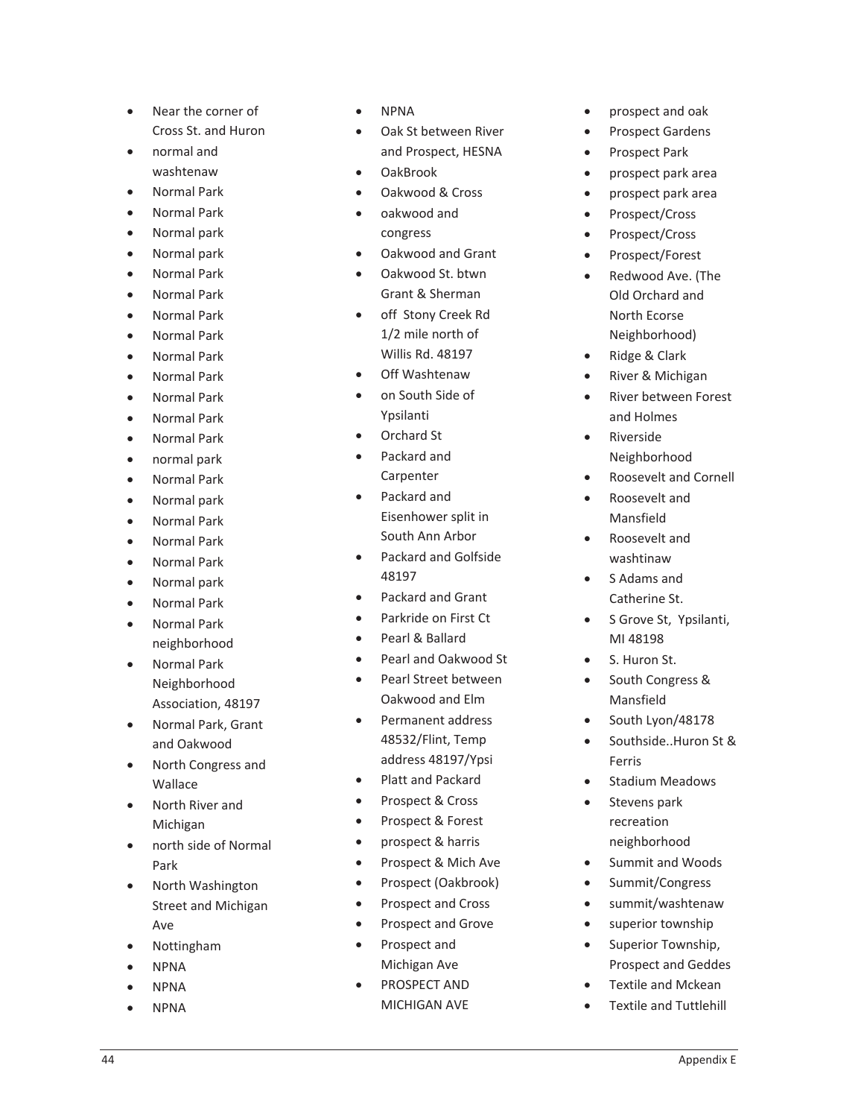- Near the corner of Cross St. and Huron
- $\bullet$  normal and washtenaw
- Normal Park
- x Normal Park
- Normal park
- Normal park
- Normal Park
- Normal Park
- Normal Park
- Normal Park
- Normal Park
- x Normal Park
- Normal Park
- Normal Park
- Normal Park
- normal park
- Normal Park
- Normal park
- Normal Park
- Normal Park
- Normal Park
- Normal park
- x Normal Park
- Normal Park neighborhood
- Normal Park Neighborhood Association, 48197
- Normal Park, Grant and Oakwood
- North Congress and Wallace
- North River and Michigan
- north side of Normal Park
- North Washington Street and Michigan Ave
- **Nottingham**
- x NPNA
- **NPNA**
- **NPNA**
- **NPNA**
- Oak St between River and Prospect, HESNA
- OakBrook
- Oakwood & Cross
- oakwood and congress
- Oakwood and Grant
- Oakwood St. btwn Grant & Sherman
- off Stony Creek Rd 1/2 mile north of Willis Rd. 48197
- Off Washtenaw
- on South Side of Ypsilanti
- Orchard St
- Packard and
	- Carpenter
- Packard and Eisenhower split in South Ann Arbor
- Packard and Golfside 48197
- Packard and Grant
- Parkride on First Ct
- Pearl & Ballard
- Pearl and Oakwood St
- x Pearl Street between Oakwood and Elm
- Permanent address 48532/Flint, Temp address 48197/Ypsi
- Platt and Packard
- Prospect & Cross
- Prospect & Forest
- prospect & harris
- Prospect & Mich Ave
- Prospect (Oakbrook)
- Prospect and Cross
- Prospect and Grove
- Prospect and Michigan Ave
- PROSPECT AND MICHIGAN AVE
- prospect and oak
- Prospect Gardens
- Prospect Park
- prospect park area
- prospect park area
- Prospect/Cross
- Prospect/Cross
- Prospect/Forest
- Redwood Ave. (The Old Orchard and North Ecorse Neighborhood)
- Ridge & Clark
- River & Michigan
- River between Forest and Holmes
- **Riverside** Neighborhood
- x Roosevelt and Cornell
- x Roosevelt and Mansfield
- x Roosevelt and washtinaw
- $\bullet$ S Adams and Catherine St.
- $\bullet$ S Grove St, Ypsilanti, MI 48198
- S. Huron St.
- South Congress & Mansfield
- South Lyon/48178
- Southside..Huron St & Ferris
- Stadium Meadows
- Stevens park recreation neighborhood
- Summit and Woods
- Summit/Congress
- summit/washtenaw
- superior township
- Superior Township, Prospect and Geddes
- Textile and Mckean
- Textile and Tuttlehill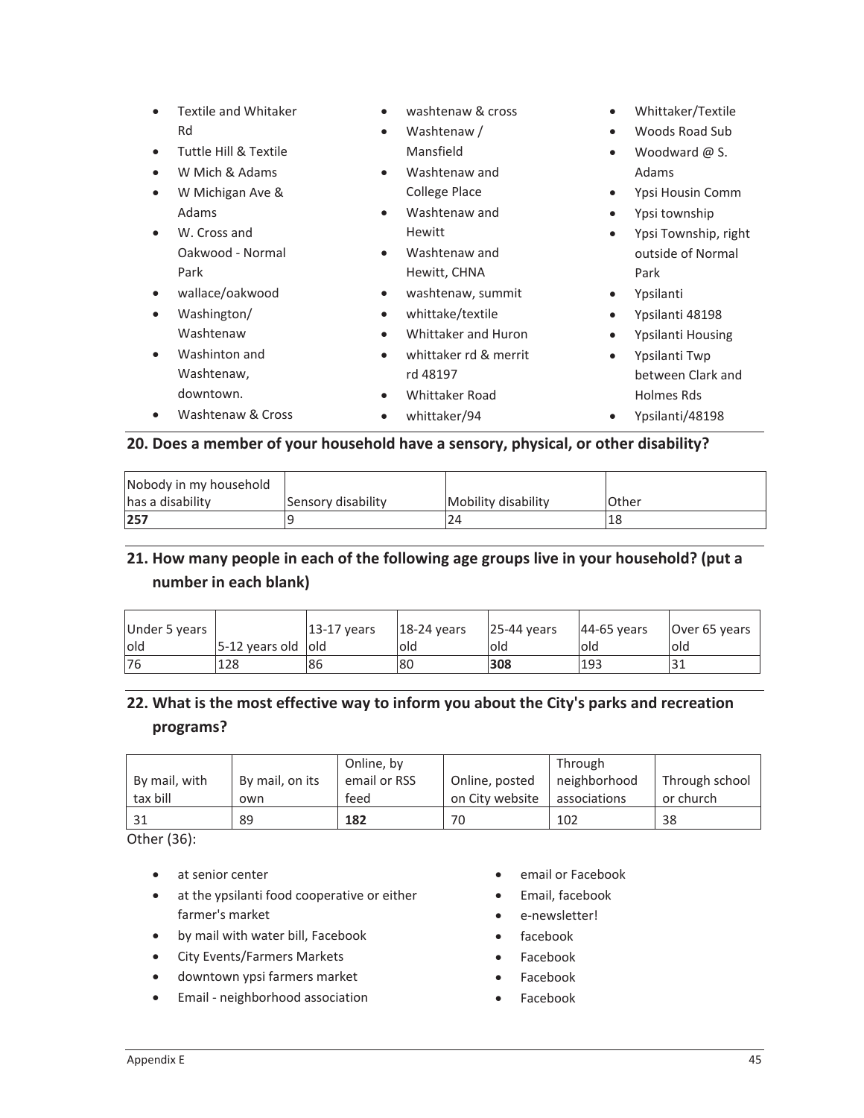| $\bullet$<br>$\bullet$ | Textile and Whitaker<br>Rd<br>Tuttle Hill & Textile<br>W Mich & Adams<br>W Michigan Ave &<br>Adams<br>W. Cross and<br>Oakwood - Normal<br>Park | $\bullet$<br>$\bullet$<br>$\bullet$<br>$\bullet$              | washtenaw & cross<br>Washtenaw /<br>Mansfield<br>Washtenaw and<br>College Place<br>Washtenaw and<br>Hewitt<br>Washtenaw and<br>Hewitt, CHNA | ٠<br>$\bullet$<br>$\bullet$<br>$\bullet$<br>$\bullet$ | Whittaker/Textile<br>Woods Road Sub<br>Woodward $\omega$ S.<br>Adams<br>Ypsi Housin Comm<br>Ypsi township<br>Ypsi Township, right<br>outside of Normal<br>Park |
|------------------------|------------------------------------------------------------------------------------------------------------------------------------------------|---------------------------------------------------------------|---------------------------------------------------------------------------------------------------------------------------------------------|-------------------------------------------------------|----------------------------------------------------------------------------------------------------------------------------------------------------------------|
| $\bullet$              | wallace/oakwood<br>Washington/<br>Washtenaw<br>Washinton and<br>Washtenaw,<br>downtown.<br>Washtenaw & Cross                                   | $\bullet$<br>$\bullet$<br>$\bullet$<br>$\bullet$<br>$\bullet$ | washtenaw, summit<br>whittake/textile<br>Whittaker and Huron<br>whittaker rd & merrit<br>rd 48197<br>Whittaker Road<br>whittaker/94         | $\bullet$<br>٠<br>٠                                   | Ypsilanti<br>Ypsilanti 48198<br>Ypsilanti Housing<br>Ypsilanti Twp<br>between Clark and<br>Holmes Rds<br>Ypsilanti/48198                                       |

#### **20. Does a member of your household have a sensory, physical, or other disability?**

| Nobody in my household |                    |                     |              |
|------------------------|--------------------|---------------------|--------------|
| has a disability       | Sensory disability | Mobility disability | <b>Other</b> |
| 257                    |                    | 24                  | '18          |

## **21. How many people in each of the following age groups live in your household? (put a number in each blank)**

| Under 5 years |                         | 13-17 years | $18-24$ years | 125-44 years | 44-65 years | Over 65 years |
|---------------|-------------------------|-------------|---------------|--------------|-------------|---------------|
| lold          | $5-12$ years old $ old$ |             | lold          | lold         | old         | lold          |
| 76            | 128                     | 86          | 180           | 308          | 193         | JІ            |

# **22. What is the most effective way to inform you about the City's parks and recreation programs?**

| By mail, with | By mail, on its | Online, by<br>email or RSS | Online, posted  | Through<br>neighborhood | Through school |
|---------------|-----------------|----------------------------|-----------------|-------------------------|----------------|
| tax bill      | own             | feed                       | on City website | associations            | or church      |
| 31            | 89              | 182                        | 70              | 102                     | 38             |

Other (36):

- at senior center
- at the ypsilanti food cooperative or either farmer's market
- by mail with water bill, Facebook
- City Events/Farmers Markets
- downtown ypsi farmers market
- Email neighborhood association
- **•** email or Facebook
- **•** Email, facebook
- e-newsletter!
- $\bullet$  facebook
- Facebook
- Facebook
- Facebook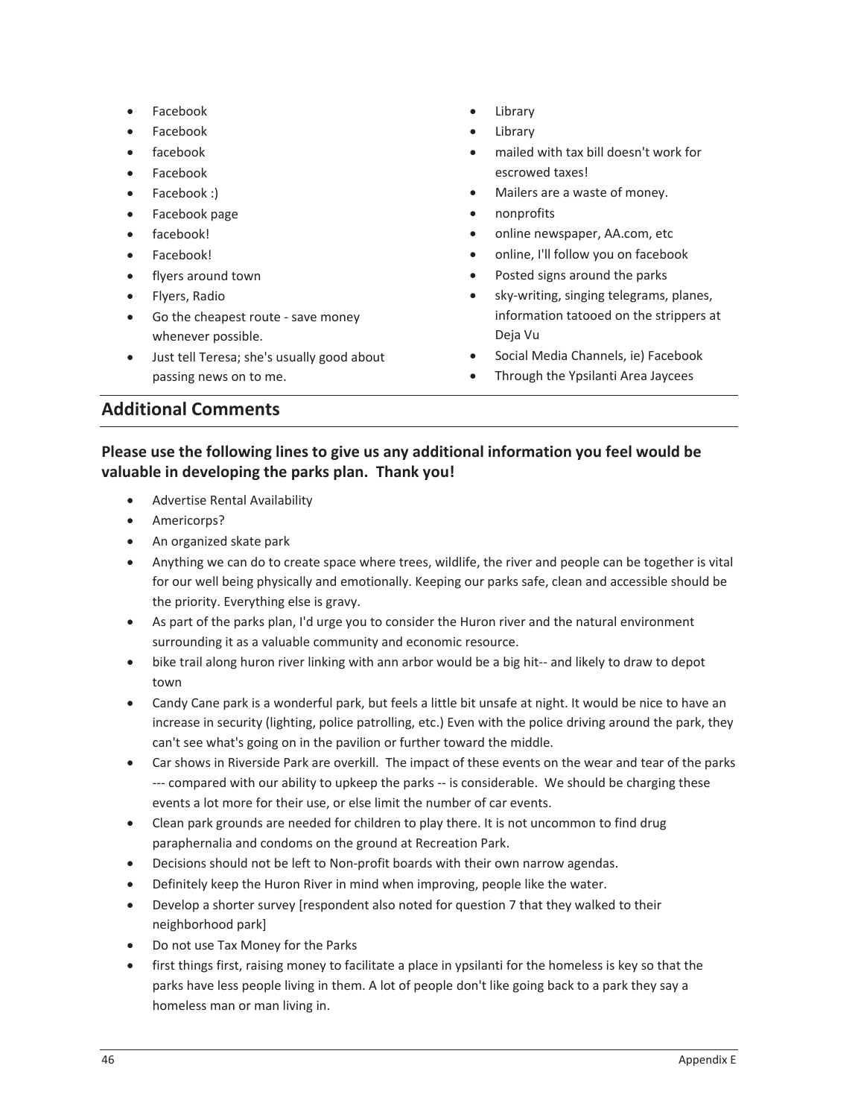- **Facebook**
- **Facebook**
- facebook
- **Facebook**
- Facebook :)
- Facebook page
- facebook!
- Facebook!
- flyers around town
- Flyers, Radio
- Go the cheapest route save money whenever possible.
- Just tell Teresa; she's usually good about passing news on to me.
- Library
- Library
- mailed with tax bill doesn't work for escrowed taxes!
- Mailers are a waste of money.
- nonprofits
- online newspaper, AA.com, etc
- online, I'll follow you on facebook
- Posted signs around the parks
- sky-writing, singing telegrams, planes, information tatooed on the strippers at Deja Vu
- Social Media Channels, ie) Facebook
- Through the Ypsilanti Area Jaycees

## **Additional Comments**

### **Please use the following lines to give us any additional information you feel would be valuable in developing the parks plan.Thank you!**

- x Advertise Rental Availability
- Americorps?
- An organized skate park
- Anything we can do to create space where trees, wildlife, the river and people can be together is vital for our well being physically and emotionally. Keeping our parks safe, clean and accessible should be the priority. Everything else is gravy.
- As part of the parks plan, I'd urge you to consider the Huron river and the natural environment surrounding it as a valuable community and economic resource.
- bike trail along huron river linking with ann arbor would be a big hit-- and likely to draw to depot town
- Candy Cane park is a wonderful park, but feels a little bit unsafe at night. It would be nice to have an increase in security (lighting, police patrolling, etc.) Even with the police driving around the park, they can't see what's going on in the pavilion or further toward the middle.
- Car shows in Riverside Park are overkill. The impact of these events on the wear and tear of the parks --- compared with our ability to upkeep the parks -- is considerable. We should be charging these events a lot more for their use, or else limit the number of car events.
- Clean park grounds are needed for children to play there. It is not uncommon to find drug paraphernalia and condoms on the ground at Recreation Park.
- Decisions should not be left to Non-profit boards with their own narrow agendas.
- **•** Definitely keep the Huron River in mind when improving, people like the water.
- Develop a shorter survey [respondent also noted for question 7 that they walked to their neighborhood park]
- Do not use Tax Money for the Parks
- first things first, raising money to facilitate a place in ypsilanti for the homeless is key so that the parks have less people living in them. A lot of people don't like going back to a park they say a homeless man or man living in.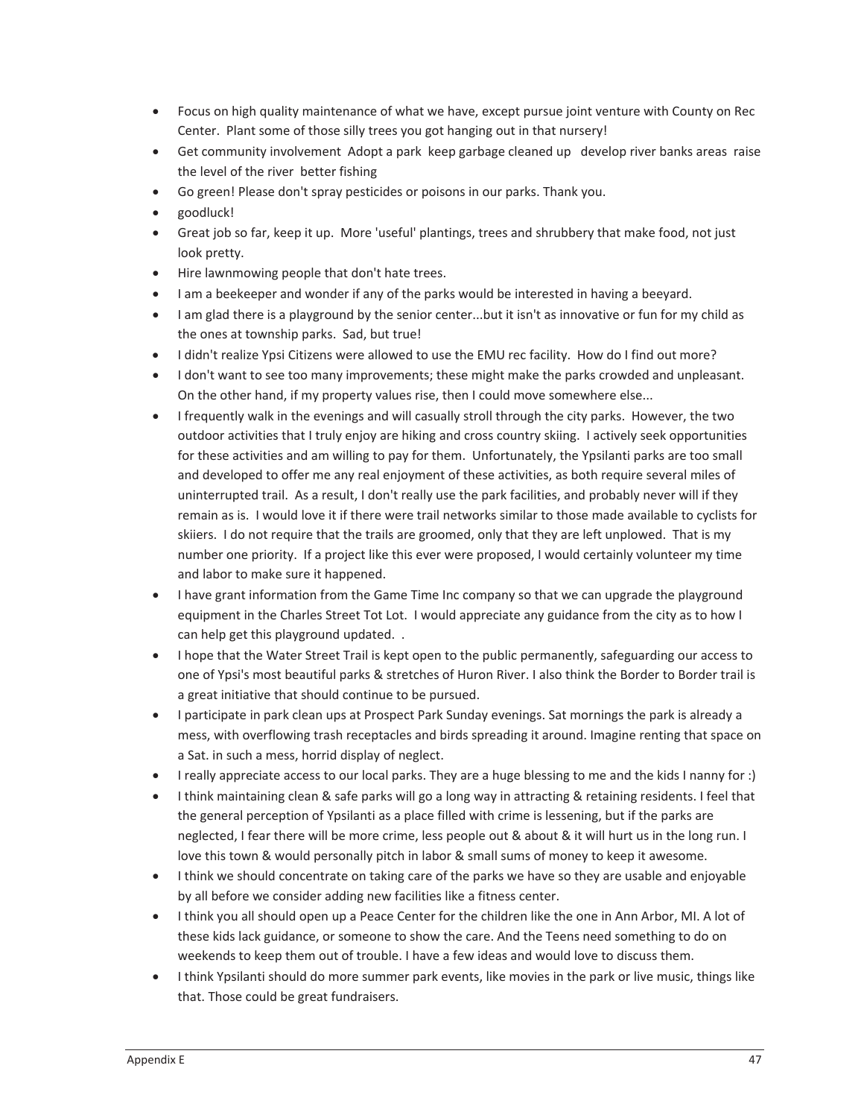- Focus on high quality maintenance of what we have, except pursue joint venture with County on Rec Center. Plant some of those silly trees you got hanging out in that nursery!
- Get community involvement Adopt a park keep garbage cleaned up develop river banks areas raise the level of the river better fishing
- Go green! Please don't spray pesticides or poisons in our parks. Thank you.
- goodluck!
- Great job so far, keep it up. More 'useful' plantings, trees and shrubbery that make food, not just look pretty.
- Hire lawnmowing people that don't hate trees.
- I am a beekeeper and wonder if any of the parks would be interested in having a beeyard.
- I am glad there is a playground by the senior center...but it isn't as innovative or fun for my child as the ones at township parks. Sad, but true!
- I didn't realize Ypsi Citizens were allowed to use the EMU rec facility. How do I find out more?
- I don't want to see too many improvements; these might make the parks crowded and unpleasant. On the other hand, if my property values rise, then I could move somewhere else...
- $\bullet$  I frequently walk in the evenings and will casually stroll through the city parks. However, the two outdoor activities that I truly enjoy are hiking and cross country skiing. I actively seek opportunities for these activities and am willing to pay for them. Unfortunately, the Ypsilanti parks are too small and developed to offer me any real enjoyment of these activities, as both require several miles of uninterrupted trail. As a result, I don't really use the park facilities, and probably never will if they remain as is. I would love it if there were trail networks similar to those made available to cyclists for skiiers. I do not require that the trails are groomed, only that they are left unplowed. That is my number one priority. If a project like this ever were proposed, I would certainly volunteer my time and labor to make sure it happened.
- I have grant information from the Game Time Inc company so that we can upgrade the playground equipment in the Charles Street Tot Lot. I would appreciate any guidance from the city as to how I can help get this playground updated..
- I hope that the Water Street Trail is kept open to the public permanently, safeguarding our access to one of Ypsi's most beautiful parks & stretches of Huron River. I also think the Border to Border trail is a great initiative that should continue to be pursued.
- I participate in park clean ups at Prospect Park Sunday evenings. Sat mornings the park is already a mess, with overflowing trash receptacles and birds spreading it around. Imagine renting that space on a Sat. in such a mess, horrid display of neglect.
- I really appreciate access to our local parks. They are a huge blessing to me and the kids I nanny for :)
- I think maintaining clean & safe parks will go a long way in attracting & retaining residents. I feel that the general perception of Ypsilanti as a place filled with crime is lessening, but if the parks are neglected, I fear there will be more crime, less people out & about & it will hurt us in the long run. I love this town & would personally pitch in labor & small sums of money to keep it awesome.
- I think we should concentrate on taking care of the parks we have so they are usable and enjoyable by all before we consider adding new facilities like a fitness center.
- I think you all should open up a Peace Center for the children like the one in Ann Arbor, MI. A lot of these kids lack guidance, or someone to show the care. And the Teens need something to do on weekends to keep them out of trouble. I have a few ideas and would love to discuss them.
- I think Ypsilanti should do more summer park events, like movies in the park or live music, things like that. Those could be great fundraisers.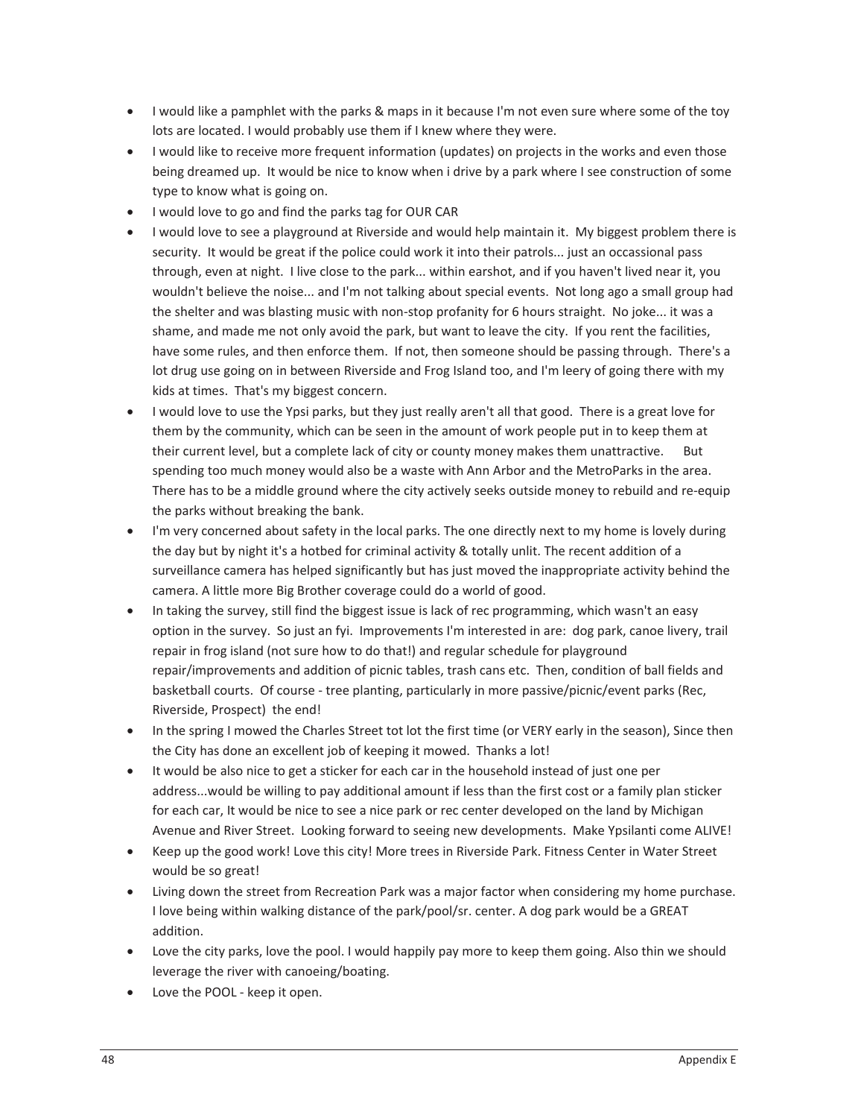- I would like a pamphlet with the parks & maps in it because I'm not even sure where some of the toy lots are located. I would probably use them if I knew where they were.
- I would like to receive more frequent information (updates) on projects in the works and even those being dreamed up. It would be nice to know when i drive by a park where I see construction of some type to know what is going on.
- I would love to go and find the parks tag for OUR CAR
- I would love to see a playground at Riverside and would help maintain it. My biggest problem there is security. It would be great if the police could work it into their patrols... just an occassional pass through, even at night. I live close to the park... within earshot, and if you haven't lived near it, you wouldn't believe the noise... and I'm not talking about special events. Not long ago a small group had the shelter and was blasting music with non-stop profanity for 6 hours straight. No joke... it was a shame, and made me not only avoid the park, but want to leave the city. If you rent the facilities, have some rules, and then enforce them. If not, then someone should be passing through. There's a lot drug use going on in between Riverside and Frog Island too, and I'm leery of going there with my kids at times. That's my biggest concern.
- I would love to use the Ypsi parks, but they just really aren't all that good. There is a great love for them by the community, which can be seen in the amount of work people put in to keep them at their current level, but a complete lack of city or county money makes them unattractive. But spending too much money would also be a waste with Ann Arbor and the MetroParks in the area. There has to be a middle ground where the city actively seeks outside money to rebuild and re-equip the parks without breaking the bank.
- I'm very concerned about safety in the local parks. The one directly next to my home is lovely during the day but by night it's a hotbed for criminal activity & totally unlit. The recent addition of a surveillance camera has helped significantly but has just moved the inappropriate activity behind the camera. A little more Big Brother coverage could do a world of good.
- In taking the survey, still find the biggest issue is lack of rec programming, which wasn't an easy option in the survey. So just an fyi. Improvements I'm interested in are: dog park, canoe livery, trail repair in frog island (not sure how to do that!) and regular schedule for playground repair/improvements and addition of picnic tables, trash cans etc.Then, condition of ball fields and basketball courts. Of course - tree planting, particularly in more passive/picnic/event parks (Rec, Riverside, Prospect) the end!
- In the spring I mowed the Charles Street tot lot the first time (or VERY early in the season), Since then the City has done an excellent job of keeping it mowed. Thanks a lot!
- It would be also nice to get a sticker for each car in the household instead of just one per address...would be willing to pay additional amount if less than the first cost or a family plan sticker for each car, It would be nice to see a nice park or rec center developed on the land by Michigan Avenue and River Street. Looking forward to seeing new developments. Make Ypsilanti come ALIVE!
- Keep up the good work! Love this city! More trees in Riverside Park. Fitness Center in Water Street would be so great!
- Living down the street from Recreation Park was a major factor when considering my home purchase. I love being within walking distance of the park/pool/sr. center. A dog park would be a GREAT addition.
- Love the city parks, love the pool. I would happily pay more to keep them going. Also thin we should leverage the river with canoeing/boating.
- Love the POOL keep it open.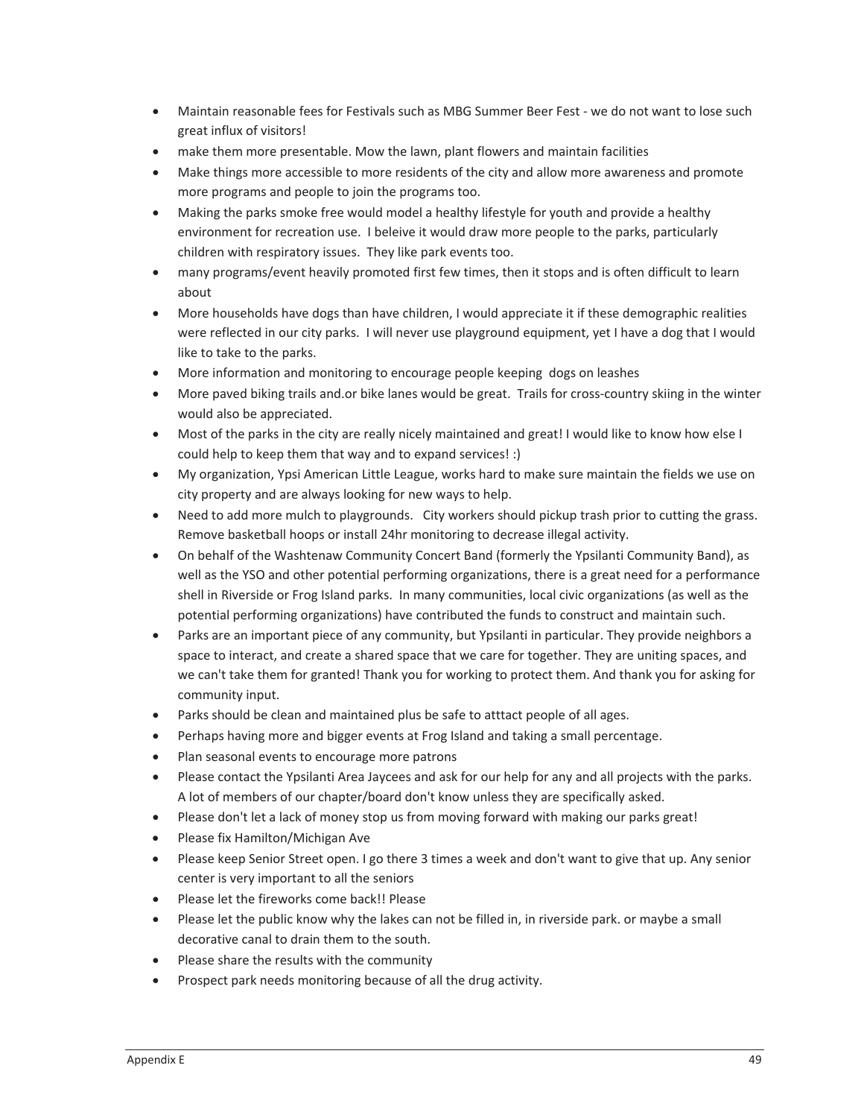- Maintain reasonable fees for Festivals such as MBG Summer Beer Fest we do not want to lose such great influx of visitors!
- make them more presentable. Mow the lawn, plant flowers and maintain facilities
- Make things more accessible to more residents of the city and allow more awareness and promote more programs and people to join the programs too.
- Making the parks smoke free would model a healthy lifestyle for youth and provide a healthy environment for recreation use. I beleive it would draw more people to the parks, particularly children with respiratory issues. They like park events too.
- many programs/event heavily promoted first few times, then it stops and is often difficult to learn about
- More households have dogs than have children, I would appreciate it if these demographic realities were reflected in our city parks. I will never use playground equipment, yet I have a dog that I would like to take to the parks.
- More information and monitoring to encourage people keeping dogs on leashes
- More paved biking trails and.or bike lanes would be great. Trails for cross-country skiing in the winter would also be appreciated.
- Most of the parks in the city are really nicely maintained and great! I would like to know how else I could help to keep them that way and to expand services! :)
- My organization, Ypsi American Little League, works hard to make sure maintain the fields we use on city property and are always looking for new ways to help.
- Need to add more mulch to playgrounds. City workers should pickup trash prior to cutting the grass. Remove basketball hoops or install 24hr monitoring to decrease illegal activity.
- On behalf of the Washtenaw Community Concert Band (formerly the Ypsilanti Community Band), as well as the YSO and other potential performing organizations, there is a great need for a performance shell in Riverside or Frog Island parks. In many communities, local civic organizations (as well as the potential performing organizations) have contributed the funds to construct and maintain such.
- Parks are an important piece of any community, but Ypsilanti in particular. They provide neighbors a space to interact, and create a shared space that we care for together. They are uniting spaces, and we can't take them for granted! Thank you for working to protect them. And thank you for asking for community input.
- Parks should be clean and maintained plus be safe to atttact people of all ages.
- Perhaps having more and bigger events at Frog Island and taking a small percentage.
- Plan seasonal events to encourage more patrons
- Please contact the Ypsilanti Area Jaycees and ask for our help for any and all projects with the parks. A lot of members of our chapter/board don't know unless they are specifically asked.
- Please don't let a lack of money stop us from moving forward with making our parks great!
- Please fix Hamilton/Michigan Ave
- Please keep Senior Street open. I go there 3 times a week and don't want to give that up. Any senior center is very important to all the seniors
- Please let the fireworks come back!! Please
- Please let the public know why the lakes can not be filled in, in riverside park. or maybe a small decorative canal to drain them to the south.
- Please share the results with the community
- Prospect park needs monitoring because of all the drug activity.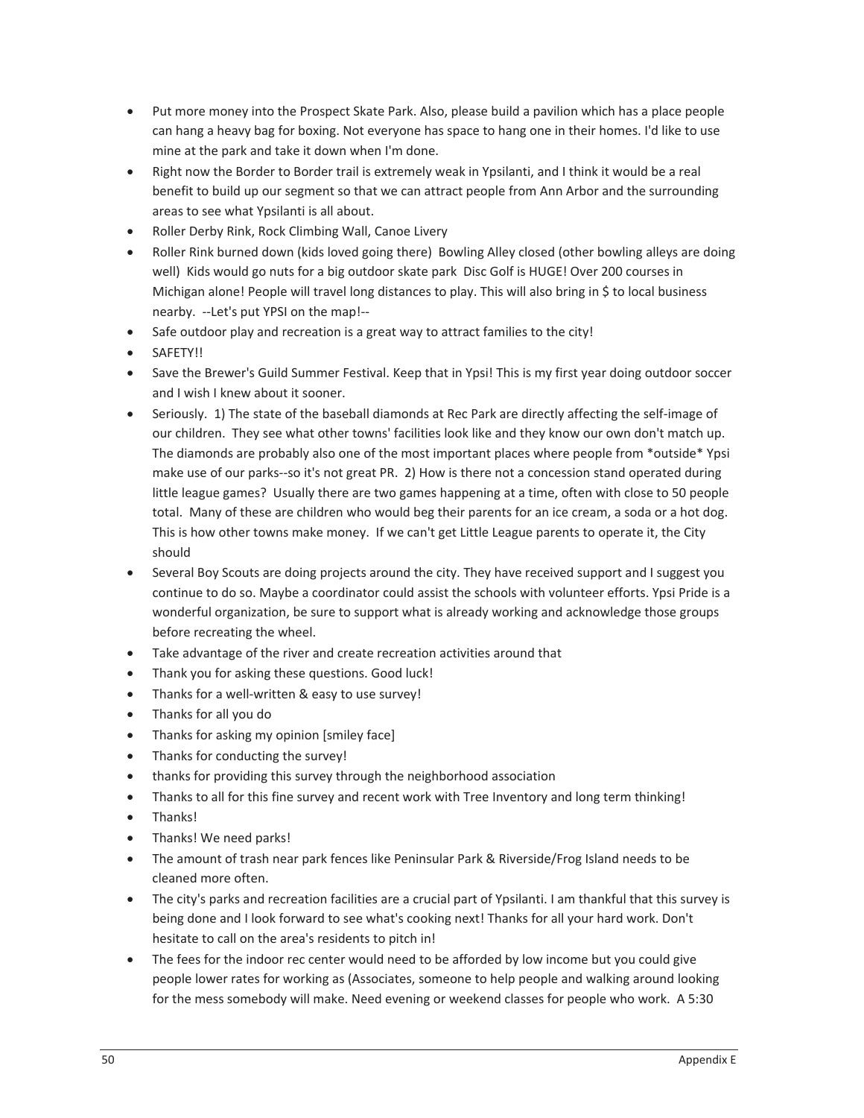- Put more money into the Prospect Skate Park. Also, please build a pavilion which has a place people can hang a heavy bag for boxing. Not everyone has space to hang one in their homes. I'd like to use mine at the park and take it down when I'm done.
- Right now the Border to Border trail is extremely weak in Ypsilanti, and I think it would be a real benefit to build up our segment so that we can attract people from Ann Arbor and the surrounding areas to see what Ypsilanti is all about.
- Roller Derby Rink, Rock Climbing Wall, Canoe Livery
- Roller Rink burned down (kids loved going there) Bowling Alley closed (other bowling alleys are doing well) Kids would go nuts for a big outdoor skate park Disc Golf is HUGE! Over 200 courses in Michigan alone! People will travel long distances to play. This will also bring in \$ to local business nearby. --Let's put YPSI on the map!--
- Safe outdoor play and recreation is a great way to attract families to the city!
- · SAFETY!!
- Save the Brewer's Guild Summer Festival. Keep that in Ypsi! This is my first year doing outdoor soccer and I wish I knew about it sooner.
- Seriously. 1) The state of the baseball diamonds at Rec Park are directly affecting the self-image of our children. They see what other towns' facilities look like and they know our own don't match up. The diamonds are probably also one of the most important places where people from \*outside\* Ypsi make use of our parks--so it's not great PR. 2) How is there not a concession stand operated during little league games? Usually there are two games happening at a time, often with close to 50 people total. Many of these are children who would beg their parents for an ice cream, a soda or a hot dog. This is how other towns make money. If we can't get Little League parents to operate it, the City should
- Several Boy Scouts are doing projects around the city. They have received support and I suggest you continue to do so. Maybe a coordinator could assist the schools with volunteer efforts. Ypsi Pride is a wonderful organization, be sure to support what is already working and acknowledge those groups before recreating the wheel.
- Take advantage of the river and create recreation activities around that
- Thank you for asking these questions. Good luck!
- Thanks for a well-written & easy to use survey!
- Thanks for all you do
- Thanks for asking my opinion [smiley face]
- $\bullet$  Thanks for conducting the survey!
- thanks for providing this survey through the neighborhood association
- Thanks to all for this fine survey and recent work with Tree Inventory and long term thinking!
- Thanks!
- Thanks! We need parks!
- The amount of trash near park fences like Peninsular Park & Riverside/Frog Island needs to be cleaned more often.
- The city's parks and recreation facilities are a crucial part of Ypsilanti. I am thankful that this survey is being done and I look forward to see what's cooking next! Thanks for all your hard work. Don't hesitate to call on the area's residents to pitch in!
- The fees for the indoor rec center would need to be afforded by low income but you could give people lower rates for working as (Associates, someone to help people and walking around looking for the mess somebody will make. Need evening or weekend classes for people who work. A 5:30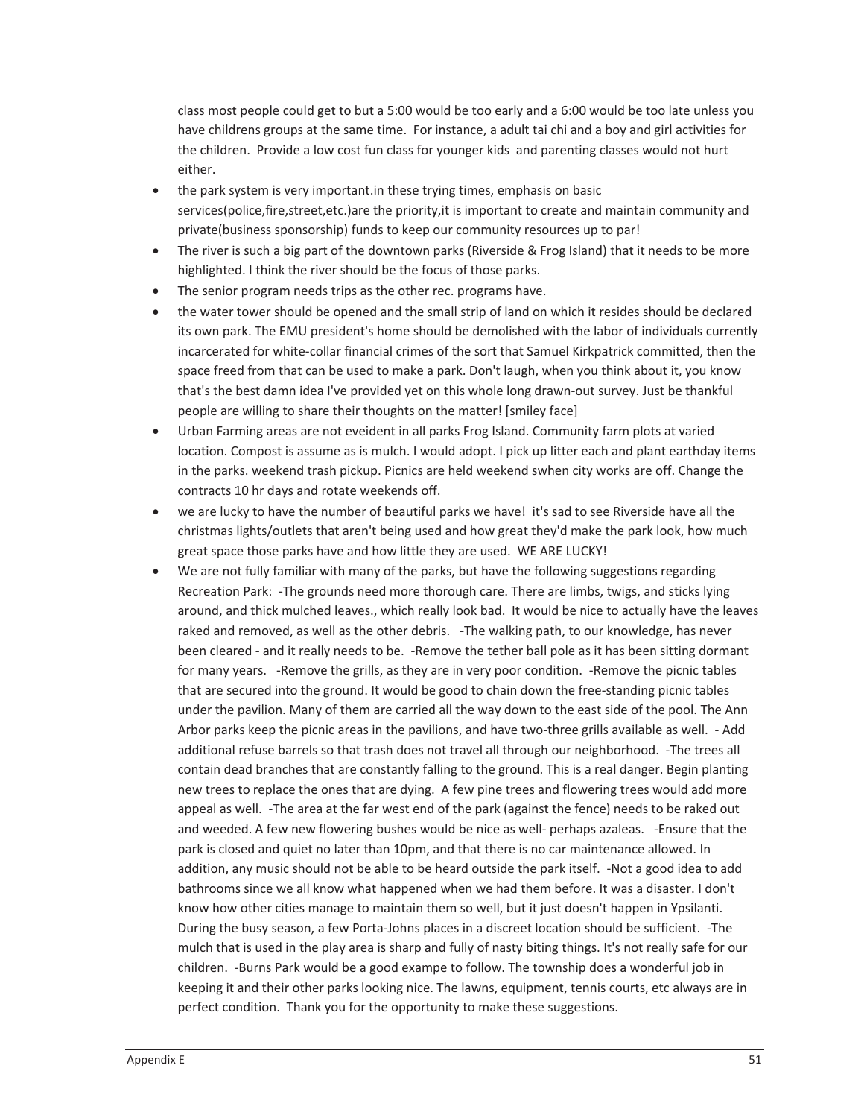class most people could get to but a 5:00 would be too early and a 6:00 would be too late unless you have childrens groups at the same time. For instance, a adult tai chi and a boy and girl activities for the children. Provide a low cost fun class for younger kids and parenting classes would not hurt either.

- the park system is very important.in these trying times, emphasis on basic services(police,fire,street,etc.)are the priority,it is important to create and maintain community and private(business sponsorship) funds to keep our community resources up to par!
- The river is such a big part of the downtown parks (Riverside & Frog Island) that it needs to be more highlighted. I think the river should be the focus of those parks.
- $\bullet$  The senior program needs trips as the other rec. programs have.
- the water tower should be opened and the small strip of land on which it resides should be declared its own park. The EMU president's home should be demolished with the labor of individuals currently incarcerated for white-collar financial crimes of the sort that Samuel Kirkpatrick committed, then the space freed from that can be used to make a park. Don't laugh, when you think about it, you know that's the best damn idea I've provided yet on this whole long drawn-out survey. Just be thankful people are willing to share their thoughts on the matter! [smiley face]
- Urban Farming areas are not eveident in all parks Frog Island. Community farm plots at varied location. Compost is assume as is mulch. I would adopt. I pick up litter each and plant earthday items in the parks. weekend trash pickup. Picnics are held weekend swhen city works are off. Change the contracts 10 hr days and rotate weekends off.
- we are lucky to have the number of beautiful parks we have! it's sad to see Riverside have all the christmas lights/outlets that aren't being used and how great they'd make the park look, how much great space those parks have and how little they are used. WE ARE LUCKY!
- We are not fully familiar with many of the parks, but have the following suggestions regarding Recreation Park: -The grounds need more thorough care. There are limbs, twigs, and sticks lying around, and thick mulched leaves., which really look bad. It would be nice to actually have the leaves raked and removed, as well as the other debris. -The walking path, to our knowledge, has never been cleared - and it really needs to be. -Remove the tether ball pole as it has been sitting dormant for many years. - Remove the grills, as they are in very poor condition. - Remove the picnic tables that are secured into the ground. It would be good to chain down the free-standing picnic tables under the pavilion. Many of them are carried all the way down to the east side of the pool. The Ann Arbor parks keep the picnic areas in the pavilions, and have two-three grills available as well. - Add additional refuse barrels so that trash does not travel all through our neighborhood. -The trees all contain dead branches that are constantly falling to the ground. This is a real danger. Begin planting new trees to replace the ones that are dying. A few pine trees and flowering trees would add more appeal as well. -The area at the far west end of the park (against the fence) needs to be raked out and weeded. A few new flowering bushes would be nice as well- perhaps azaleas. - Ensure that the park is closed and quiet no later than 10pm, and that there is no car maintenance allowed. In addition, any music should not be able to be heard outside the park itself. -Not a good idea to add bathrooms since we all know what happened when we had them before. It was a disaster. I don't know how other cities manage to maintain them so well, but it just doesn't happen in Ypsilanti. During the busy season, a few Porta-Johns places in a discreet location should be sufficient. -The mulch that is used in the play area is sharp and fully of nasty biting things. It's not really safe for our children. -Burns Park would be a good exampe to follow. The township does a wonderful job in keeping it and their other parks looking nice. The lawns, equipment, tennis courts, etc always are in perfect condition. Thank you for the opportunity to make these suggestions.